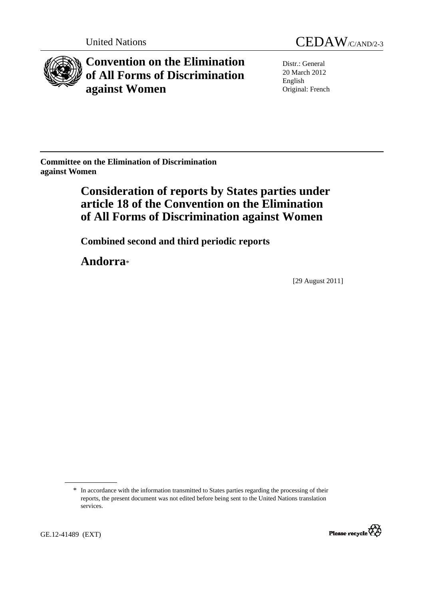

**Convention on the Elimination of All Forms of Discrimination against Women** 

United Nations CEDAW/C/AND/2-3

Distr.: General 20 March 2012 English Original: French

**Committee on the Elimination of Discrimination against Women** 

# **Consideration of reports by States parties under article 18 of the Convention on the Elimination of All Forms of Discrimination against Women**

 **Combined second and third periodic reports** 

 **Andorra**\*

[29 August 2011]

<sup>\*</sup> In accordance with the information transmitted to States parties regarding the processing of their reports, the present document was not edited before being sent to the United Nations translation services.

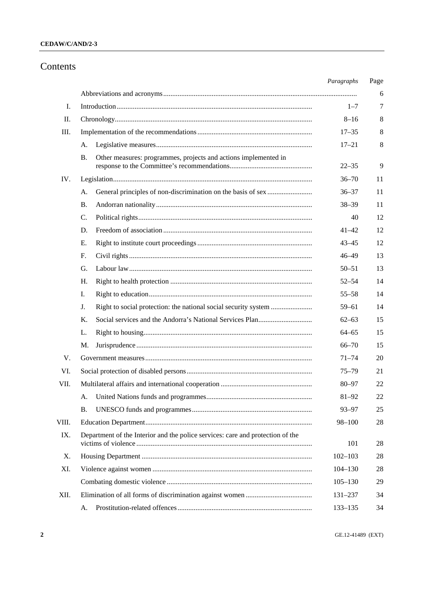## **CEDAW/C/AND/2-3**

# Contents

|       |                                                                                       | Paragraphs  | Page   |
|-------|---------------------------------------------------------------------------------------|-------------|--------|
|       |                                                                                       |             | 6      |
| I.    |                                                                                       | $1 - 7$     | 7      |
| П.    |                                                                                       | $8 - 16$    | 8      |
| Ш.    |                                                                                       | $17 - 35$   | 8      |
|       | А.                                                                                    | $17 - 21$   | 8      |
|       | Other measures: programmes, projects and actions implemented in<br>В.                 | $22 - 35$   | 9      |
| IV.   |                                                                                       | $36 - 70$   | 11     |
|       | А.                                                                                    | $36 - 37$   | 11     |
|       | В.                                                                                    | $38 - 39$   | 11     |
|       | C.                                                                                    | 40          | 12     |
|       | D.                                                                                    | 41–42       | 12     |
|       | Е.                                                                                    | $43 - 45$   | 12     |
|       | F.                                                                                    | $46 - 49$   | 13     |
|       | G.                                                                                    | $50 - 51$   | 13     |
|       | Η.                                                                                    | $52 - 54$   | 14     |
|       | I.                                                                                    | $55 - 58$   | 14     |
|       | J.                                                                                    | $59 - 61$   | 14     |
|       | Κ.                                                                                    | $62 - 63$   | 15     |
|       | L.                                                                                    | $64 - 65$   | 15     |
|       | M.                                                                                    | $66 - 70$   | 15     |
| V.    |                                                                                       | $71 - 74$   | 20     |
| VI.   |                                                                                       | $75 - 79$   | 21     |
| VII.  |                                                                                       | $80 - 97$   | 22     |
|       |                                                                                       | $81 - 92$   | $22\,$ |
|       | <b>B.</b>                                                                             | $93 - 97$   | 25     |
| VIII. |                                                                                       | $98 - 100$  | 28     |
| IX.   | Department of the Interior and the police services: care and protection of the<br>101 |             |        |
| Χ.    |                                                                                       | $102 - 103$ | 28     |
| XI.   |                                                                                       | $104 - 130$ | 28     |
|       |                                                                                       | $105 - 130$ | 29     |
| XII.  |                                                                                       | 131-237     | 34     |
|       | А.                                                                                    | $133 - 135$ | 34     |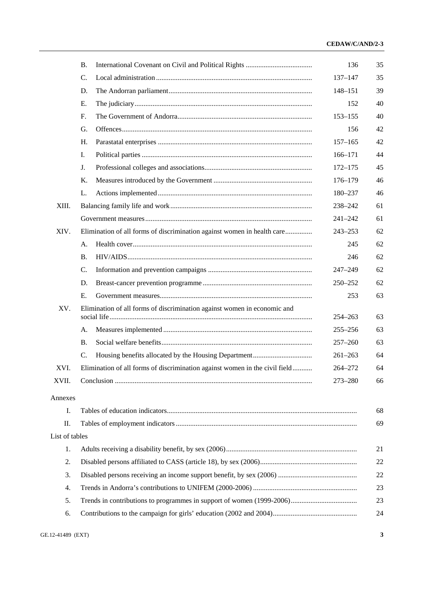|                | В.                                                                          | 136         | 35 |  |  |
|----------------|-----------------------------------------------------------------------------|-------------|----|--|--|
|                | C.                                                                          |             | 35 |  |  |
|                | D.                                                                          | 148-151     | 39 |  |  |
|                | Е.                                                                          |             | 40 |  |  |
|                | F.                                                                          | $153 - 155$ | 40 |  |  |
|                | G.                                                                          | 156         | 42 |  |  |
|                | Η.                                                                          | $157 - 165$ | 42 |  |  |
|                | I.                                                                          | $166 - 171$ | 44 |  |  |
|                | J.                                                                          | $172 - 175$ | 45 |  |  |
|                | Κ.                                                                          | $176 - 179$ | 46 |  |  |
|                | L.                                                                          | 180-237     | 46 |  |  |
| XIII.          |                                                                             | 238-242     | 61 |  |  |
|                |                                                                             | $241 - 242$ | 61 |  |  |
| XIV.           | Elimination of all forms of discrimination against women in health care     | $243 - 253$ | 62 |  |  |
|                | А.                                                                          | 245         | 62 |  |  |
|                | <b>B.</b>                                                                   | 246         | 62 |  |  |
|                | C.                                                                          | 247-249     | 62 |  |  |
|                | D.                                                                          | 250-252     | 62 |  |  |
|                | Ε.                                                                          | 253         | 63 |  |  |
| XV.            | Elimination of all forms of discrimination against women in economic and    | 254-263     | 63 |  |  |
|                | А.                                                                          | $255 - 256$ | 63 |  |  |
|                | В.                                                                          | $257 - 260$ | 63 |  |  |
|                | C.                                                                          | $261 - 263$ | 64 |  |  |
| XVI.           | Elimination of all forms of discrimination against women in the civil field | 264-272     | 64 |  |  |
| XVII.          |                                                                             | 273-280     | 66 |  |  |
| Annexes        |                                                                             |             |    |  |  |
| Ι.             |                                                                             |             | 68 |  |  |
| П.             | 69                                                                          |             |    |  |  |
| List of tables |                                                                             |             |    |  |  |
| 1.             | 21                                                                          |             |    |  |  |
| 2.             | 22                                                                          |             |    |  |  |
| 3.             |                                                                             |             |    |  |  |
| 4.             | 22<br>23                                                                    |             |    |  |  |
| 5.             | 23                                                                          |             |    |  |  |
| 6.             |                                                                             |             | 24 |  |  |
|                |                                                                             |             |    |  |  |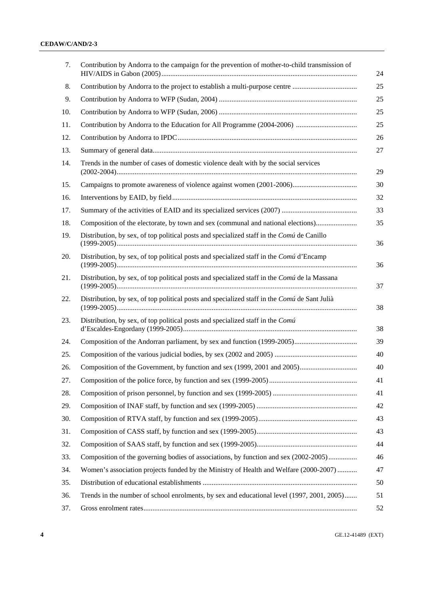| 7.  | Contribution by Andorra to the campaign for the prevention of mother-to-child transmission of |  |  |
|-----|-----------------------------------------------------------------------------------------------|--|--|
| 8.  | Contribution by Andorra to the project to establish a multi-purpose centre                    |  |  |
| 9.  |                                                                                               |  |  |
| 10. |                                                                                               |  |  |
| 11. |                                                                                               |  |  |
| 12. |                                                                                               |  |  |
| 13. |                                                                                               |  |  |
| 14. | Trends in the number of cases of domestic violence dealt with by the social services          |  |  |
| 15. |                                                                                               |  |  |
| 16. |                                                                                               |  |  |
| 17. |                                                                                               |  |  |
| 18. | Composition of the electorate, by town and sex (communal and national elections)              |  |  |
| 19. | Distribution, by sex, of top political posts and specialized staff in the Comú de Canillo     |  |  |
| 20. | Distribution, by sex, of top political posts and specialized staff in the Comú d'Encamp       |  |  |
| 21. | Distribution, by sex, of top political posts and specialized staff in the Comú de la Massana  |  |  |
| 22. | Distribution, by sex, of top political posts and specialized staff in the Comú de Sant Julià  |  |  |
| 23. | Distribution, by sex, of top political posts and specialized staff in the Comú                |  |  |
| 24. |                                                                                               |  |  |
| 25. |                                                                                               |  |  |
| 26. |                                                                                               |  |  |
| 27. |                                                                                               |  |  |
| 28. |                                                                                               |  |  |
| 29. |                                                                                               |  |  |
| 30. |                                                                                               |  |  |
| 31. |                                                                                               |  |  |
| 32. |                                                                                               |  |  |
| 33. | Composition of the governing bodies of associations, by function and sex (2002-2005)          |  |  |
| 34. | Women's association projects funded by the Ministry of Health and Welfare (2000-2007)         |  |  |
| 35. |                                                                                               |  |  |
| 36. | Trends in the number of school enrolments, by sex and educational level (1997, 2001, 2005)    |  |  |
| 37. |                                                                                               |  |  |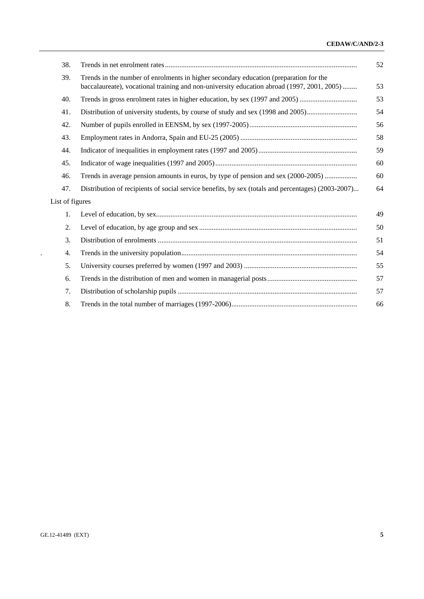## **CEDAW/C/AND/2-3**

| 38.             |                                                                                                                                                                                     | 52 |
|-----------------|-------------------------------------------------------------------------------------------------------------------------------------------------------------------------------------|----|
| 39.             | Trends in the number of enrolments in higher secondary education (preparation for the<br>baccalaureate), vocational training and non-university education abroad (1997, 2001, 2005) | 53 |
| 40.             | Trends in gross enrolment rates in higher education, by sex (1997 and 2005)                                                                                                         | 53 |
| 41.             | Distribution of university students, by course of study and sex (1998 and 2005)                                                                                                     | 54 |
| 42.             |                                                                                                                                                                                     | 56 |
| 43.             |                                                                                                                                                                                     | 58 |
| 44.             |                                                                                                                                                                                     | 59 |
| 45.             |                                                                                                                                                                                     | 60 |
| 46.             | Trends in average pension amounts in euros, by type of pension and sex (2000-2005)                                                                                                  | 60 |
| 47.             | Distribution of recipients of social service benefits, by sex (totals and percentages) (2003-2007)                                                                                  | 64 |
| List of figures |                                                                                                                                                                                     |    |
| 1.              |                                                                                                                                                                                     | 49 |
| 2.              |                                                                                                                                                                                     | 50 |
| 3.              |                                                                                                                                                                                     | 51 |
| 4.              |                                                                                                                                                                                     | 54 |
| 5.              |                                                                                                                                                                                     | 55 |
| 6.              |                                                                                                                                                                                     | 57 |
| 7.              |                                                                                                                                                                                     | 57 |
| 8.              |                                                                                                                                                                                     | 66 |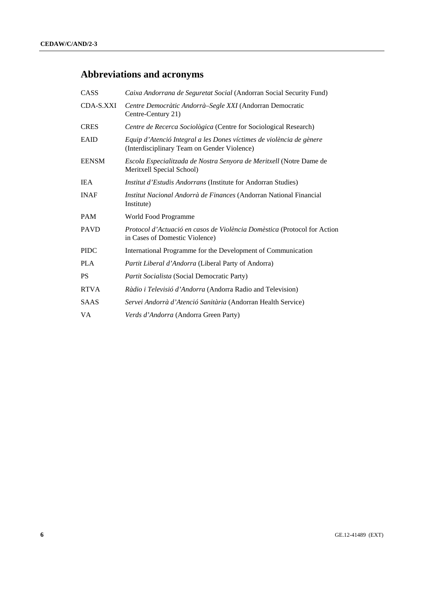# **Abbreviations and acronyms**

| CASS         | Caixa Andorrana de Seguretat Social (Andorran Social Security Fund)                                                 |
|--------------|---------------------------------------------------------------------------------------------------------------------|
| CDA-S.XXI    | Centre Democràtic Andorrà-Segle XXI (Andorran Democratic<br>Centre-Century 21)                                      |
| <b>CRES</b>  | Centre de Recerca Sociològica (Centre for Sociological Research)                                                    |
| EAID         | Equip d'Atenció Integral a les Dones víctimes de violència de gènere<br>(Interdisciplinary Team on Gender Violence) |
| <b>EENSM</b> | Escola Especialitzada de Nostra Senyora de Meritxell (Notre Dame de<br>Meritxell Special School)                    |
| IEA          | <i>Institut d'Estudis Andorrans</i> (Institute for Andorran Studies)                                                |
| <b>INAF</b>  | Institut Nacional Andorrà de Finances (Andorran National Financial<br>Institute)                                    |
| PAM          | World Food Programme                                                                                                |
| <b>PAVD</b>  | Protocol d'Actuació en casos de Violència Domèstica (Protocol for Action<br>in Cases of Domestic Violence)          |
| <b>PIDC</b>  | International Programme for the Development of Communication                                                        |
| <b>PLA</b>   | Partit Liberal d'Andorra (Liberal Party of Andorra)                                                                 |
| PS           | <i>Partit Socialista</i> (Social Democratic Party)                                                                  |
| <b>RTVA</b>  | Ràdio i Televisió d'Andorra (Andorra Radio and Television)                                                          |
| SAAS         | Servei Andorrà d'Atenció Sanitària (Andorran Health Service)                                                        |
| VA           | <i>Verds d'Andorra</i> (Andorra Green Party)                                                                        |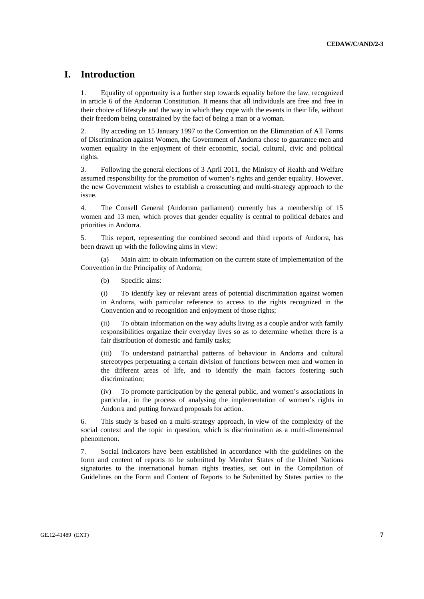# **I. Introduction**

1. Equality of opportunity is a further step towards equality before the law, recognized in article 6 of the Andorran Constitution. It means that all individuals are free and free in their choice of lifestyle and the way in which they cope with the events in their life, without their freedom being constrained by the fact of being a man or a woman.

2. By acceding on 15 January 1997 to the Convention on the Elimination of All Forms of Discrimination against Women, the Government of Andorra chose to guarantee men and women equality in the enjoyment of their economic, social, cultural, civic and political rights.

3. Following the general elections of 3 April 2011, the Ministry of Health and Welfare assumed responsibility for the promotion of women's rights and gender equality. However, the new Government wishes to establish a crosscutting and multi-strategy approach to the issue.

4. The Consell General (Andorran parliament) currently has a membership of 15 women and 13 men, which proves that gender equality is central to political debates and priorities in Andorra.

5. This report, representing the combined second and third reports of Andorra, has been drawn up with the following aims in view:

 (a) Main aim: to obtain information on the current state of implementation of the Convention in the Principality of Andorra;

(b) Specific aims:

(i) To identify key or relevant areas of potential discrimination against women in Andorra, with particular reference to access to the rights recognized in the Convention and to recognition and enjoyment of those rights;

(ii) To obtain information on the way adults living as a couple and/or with family responsibilities organize their everyday lives so as to determine whether there is a fair distribution of domestic and family tasks;

(iii) To understand patriarchal patterns of behaviour in Andorra and cultural stereotypes perpetuating a certain division of functions between men and women in the different areas of life, and to identify the main factors fostering such discrimination;

(iv) To promote participation by the general public, and women's associations in particular, in the process of analysing the implementation of women's rights in Andorra and putting forward proposals for action.

6. This study is based on a multi-strategy approach, in view of the complexity of the social context and the topic in question, which is discrimination as a multi-dimensional phenomenon.

7. Social indicators have been established in accordance with the guidelines on the form and content of reports to be submitted by Member States of the United Nations signatories to the international human rights treaties, set out in the Compilation of Guidelines on the Form and Content of Reports to be Submitted by States parties to the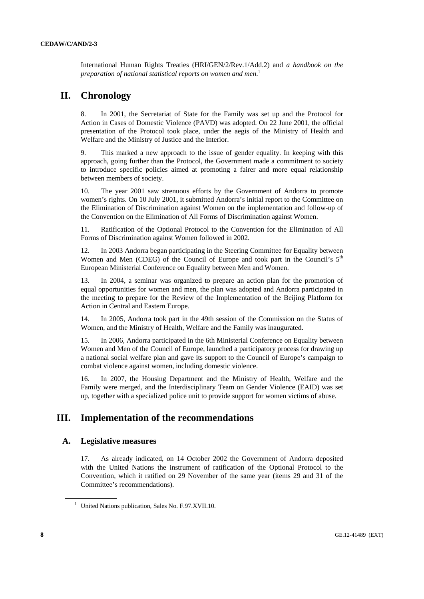International Human Rights Treaties (HRI/GEN/2/Rev.1/Add.2) and *a handbook on the preparation of national statistical reports on women and men*. 1

# **II. Chronology**

8. In 2001, the Secretariat of State for the Family was set up and the Protocol for Action in Cases of Domestic Violence (PAVD) was adopted. On 22 June 2001, the official presentation of the Protocol took place, under the aegis of the Ministry of Health and Welfare and the Ministry of Justice and the Interior.

9. This marked a new approach to the issue of gender equality. In keeping with this approach, going further than the Protocol, the Government made a commitment to society to introduce specific policies aimed at promoting a fairer and more equal relationship between members of society.

10. The year 2001 saw strenuous efforts by the Government of Andorra to promote women's rights. On 10 July 2001, it submitted Andorra's initial report to the Committee on the Elimination of Discrimination against Women on the implementation and follow-up of the Convention on the Elimination of All Forms of Discrimination against Women.

11. Ratification of the Optional Protocol to the Convention for the Elimination of All Forms of Discrimination against Women followed in 2002.

12. In 2003 Andorra began participating in the Steering Committee for Equality between Women and Men (CDEG) of the Council of Europe and took part in the Council's  $5<sup>th</sup>$ European Ministerial Conference on Equality between Men and Women.

13. In 2004, a seminar was organized to prepare an action plan for the promotion of equal opportunities for women and men, the plan was adopted and Andorra participated in the meeting to prepare for the Review of the Implementation of the Beijing Platform for Action in Central and Eastern Europe.

14. In 2005, Andorra took part in the 49th session of the Commission on the Status of Women, and the Ministry of Health, Welfare and the Family was inaugurated.

15. In 2006, Andorra participated in the 6th Ministerial Conference on Equality between Women and Men of the Council of Europe, launched a participatory process for drawing up a national social welfare plan and gave its support to the Council of Europe's campaign to combat violence against women, including domestic violence.

16. In 2007, the Housing Department and the Ministry of Health, Welfare and the Family were merged, and the Interdisciplinary Team on Gender Violence (EAID) was set up, together with a specialized police unit to provide support for women victims of abuse.

# **III. Implementation of the recommendations**

## **A. Legislative measures**

17. As already indicated, on 14 October 2002 the Government of Andorra deposited with the United Nations the instrument of ratification of the Optional Protocol to the Convention, which it ratified on 29 November of the same year (items 29 and 31 of the Committee's recommendations).

<sup>&</sup>lt;sup>1</sup> United Nations publication, Sales No. F.97.XVII.10.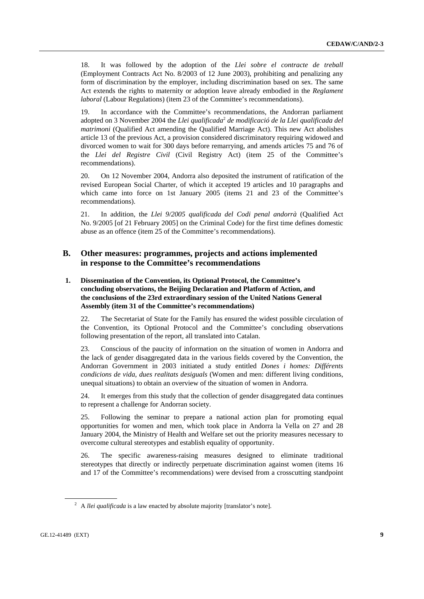18. It was followed by the adoption of the *Llei sobre el contracte de treball*  (Employment Contracts Act No. 8/2003 of 12 June 2003), prohibiting and penalizing any form of discrimination by the employer, including discrimination based on sex. The same Act extends the rights to maternity or adoption leave already embodied in the *Reglament laboral* (Labour Regulations) (item 23 of the Committee's recommendations).

In accordance with the Committee's recommendations, the Andorran parliament adopted on 3 November 2004 the *Llei qualificada<sup>2</sup> de modificació de la Llei qualificada del matrimoni* (Qualified Act amending the Qualified Marriage Act). This new Act abolishes article 13 of the previous Act, a provision considered discriminatory requiring widowed and divorced women to wait for 300 days before remarrying, and amends articles 75 and 76 of the *Llei del Registre Civil* (Civil Registry Act) (item 25 of the Committee's recommendations).

20. On 12 November 2004, Andorra also deposited the instrument of ratification of the revised European Social Charter, of which it accepted 19 articles and 10 paragraphs and which came into force on 1st January 2005 (items 21 and 23 of the Committee's recommendations).

21. In addition, the *Llei 9/2005 qualificada del Codi penal andorrà* (Qualified Act No. 9/2005 [of 21 February 2005] on the Criminal Code) for the first time defines domestic abuse as an offence (item 25 of the Committee's recommendations).

## **B. Other measures: programmes, projects and actions implemented in response to the Committee's recommendations**

## **1. Dissemination of the Convention, its Optional Protocol, the Committee's concluding observations, the Beijing Declaration and Platform of Action, and the conclusions of the 23rd extraordinary session of the United Nations General Assembly (item 31 of the Committee's recommendations)**

22. The Secretariat of State for the Family has ensured the widest possible circulation of the Convention, its Optional Protocol and the Committee's concluding observations following presentation of the report, all translated into Catalan.

23. Conscious of the paucity of information on the situation of women in Andorra and the lack of gender disaggregated data in the various fields covered by the Convention, the Andorran Government in 2003 initiated a study entitled *Dones i homes: Différents condicions de vida, dues realitats desiguals* (Women and men: different living conditions, unequal situations) to obtain an overview of the situation of women in Andorra.

24. It emerges from this study that the collection of gender disaggregated data continues to represent a challenge for Andorran society.

25. Following the seminar to prepare a national action plan for promoting equal opportunities for women and men, which took place in Andorra la Vella on 27 and 28 January 2004, the Ministry of Health and Welfare set out the priority measures necessary to overcome cultural stereotypes and establish equality of opportunity.

26. The specific awareness-raising measures designed to eliminate traditional stereotypes that directly or indirectly perpetuate discrimination against women (items 16 and 17 of the Committee's recommendations) were devised from a crosscutting standpoint

<sup>&</sup>lt;sup>2</sup> A *llei qualificada* is a law enacted by absolute majority [translator's note].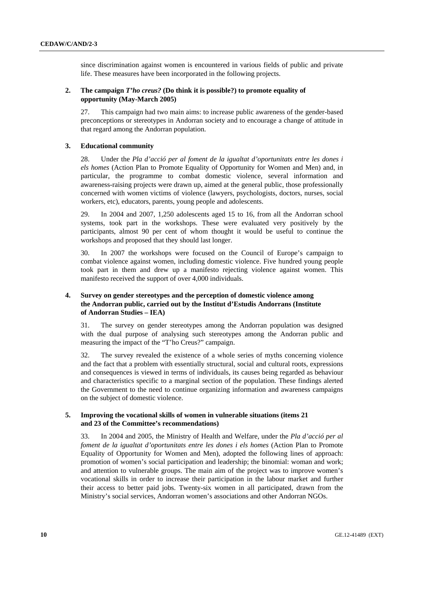since discrimination against women is encountered in various fields of public and private life. These measures have been incorporated in the following projects.

#### **2. The campaign** *T'ho creus?* **(Do think it is possible?) to promote equality of opportunity (May-March 2005)**

27. This campaign had two main aims: to increase public awareness of the gender-based preconceptions or stereotypes in Andorran society and to encourage a change of attitude in that regard among the Andorran population.

#### **3. Educational community**

28. Under the *Pla d'acció per al foment de la igualtat d'oportunitats entre les dones i els homes* (Action Plan to Promote Equality of Opportunity for Women and Men) and, in particular, the programme to combat domestic violence, several information and awareness-raising projects were drawn up, aimed at the general public, those professionally concerned with women victims of violence (lawyers, psychologists, doctors, nurses, social workers, etc), educators, parents, young people and adolescents.

29. In 2004 and 2007, 1,250 adolescents aged 15 to 16, from all the Andorran school systems, took part in the workshops. These were evaluated very positively by the participants, almost 90 per cent of whom thought it would be useful to continue the workshops and proposed that they should last longer.

30. In 2007 the workshops were focused on the Council of Europe's campaign to combat violence against women, including domestic violence. Five hundred young people took part in them and drew up a manifesto rejecting violence against women. This manifesto received the support of over 4,000 individuals.

## **4. Survey on gender stereotypes and the perception of domestic violence among the Andorran public, carried out by the Institut d'Estudis Andorrans (Institute of Andorran Studies – IEA)**

31. The survey on gender stereotypes among the Andorran population was designed with the dual purpose of analysing such stereotypes among the Andorran public and measuring the impact of the "T'ho Creus?" campaign.

32. The survey revealed the existence of a whole series of myths concerning violence and the fact that a problem with essentially structural, social and cultural roots, expressions and consequences is viewed in terms of individuals, its causes being regarded as behaviour and characteristics specific to a marginal section of the population. These findings alerted the Government to the need to continue organizing information and awareness campaigns on the subject of domestic violence.

#### **5. Improving the vocational skills of women in vulnerable situations (items 21 and 23 of the Committee's recommendations)**

33. In 2004 and 2005, the Ministry of Health and Welfare, under the *Pla d'acció per al foment de la igualtat d'oportunitats entre les dones i els homes* (Action Plan to Promote Equality of Opportunity for Women and Men), adopted the following lines of approach: promotion of women's social participation and leadership; the binomial: woman and work; and attention to vulnerable groups. The main aim of the project was to improve women's vocational skills in order to increase their participation in the labour market and further their access to better paid jobs. Twenty-six women in all participated, drawn from the Ministry's social services, Andorran women's associations and other Andorran NGOs.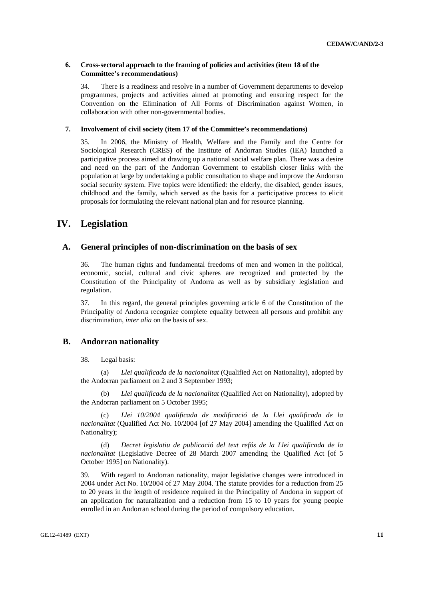#### **6. Cross-sectoral approach to the framing of policies and activities (item 18 of the Committee's recommendations)**

34. There is a readiness and resolve in a number of Government departments to develop programmes, projects and activities aimed at promoting and ensuring respect for the Convention on the Elimination of All Forms of Discrimination against Women, in collaboration with other non-governmental bodies.

#### **7. Involvement of civil society (item 17 of the Committee's recommendations)**

35. In 2006, the Ministry of Health, Welfare and the Family and the Centre for Sociological Research (CRES) of the Institute of Andorran Studies (IEA) launched a participative process aimed at drawing up a national social welfare plan. There was a desire and need on the part of the Andorran Government to establish closer links with the population at large by undertaking a public consultation to shape and improve the Andorran social security system. Five topics were identified: the elderly, the disabled, gender issues, childhood and the family, which served as the basis for a participative process to elicit proposals for formulating the relevant national plan and for resource planning.

# **IV. Legislation**

#### **A. General principles of non-discrimination on the basis of sex**

36. The human rights and fundamental freedoms of men and women in the political, economic, social, cultural and civic spheres are recognized and protected by the Constitution of the Principality of Andorra as well as by subsidiary legislation and regulation.

37. In this regard, the general principles governing article 6 of the Constitution of the Principality of Andorra recognize complete equality between all persons and prohibit any discrimination, *inter alia* on the basis of sex.

## **B. Andorran nationality**

#### 38. Legal basis:

 (a) *Llei qualificada de la nacionalitat* (Qualified Act on Nationality), adopted by the Andorran parliament on 2 and 3 September 1993;

 (b) *Llei qualificada de la nacionalitat* (Qualified Act on Nationality), adopted by the Andorran parliament on 5 October 1995;

 (c) *Llei 10/2004 qualificada de modificació de la Llei qualificada de la nacionalitat* (Qualified Act No. 10/2004 [of 27 May 2004] amending the Qualified Act on Nationality);

 (d) *Decret legislatiu de publicació del text refós de la Llei qualificada de la nacionalitat* (Legislative Decree of 28 March 2007 amending the Qualified Act [of 5 October 1995] on Nationality).

39. With regard to Andorran nationality, major legislative changes were introduced in 2004 under Act No. 10/2004 of 27 May 2004. The statute provides for a reduction from 25 to 20 years in the length of residence required in the Principality of Andorra in support of an application for naturalization and a reduction from 15 to 10 years for young people enrolled in an Andorran school during the period of compulsory education.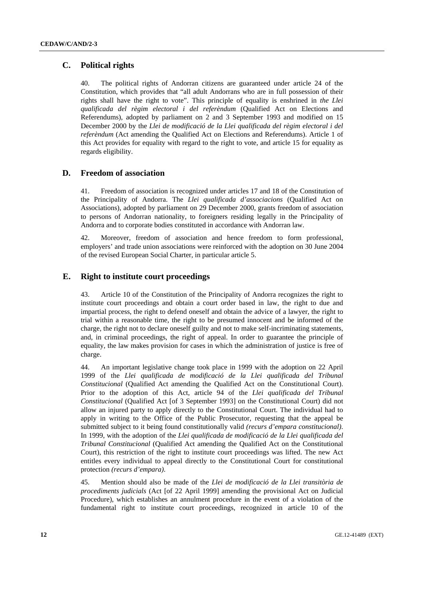## **C. Political rights**

40. The political rights of Andorran citizens are guaranteed under article 24 of the Constitution, which provides that "all adult Andorrans who are in full possession of their rights shall have the right to vote". This principle of equality is enshrined in *the Llei qualificada del règim electoral i del referèndum* (Qualified Act on Elections and Referendums), adopted by parliament on 2 and 3 September 1993 and modified on 15 December 2000 by the *Llei de modificació de la Llei qualificada del règim electoral i del referèndum* (Act amending the Qualified Act on Elections and Referendums). Article 1 of this Act provides for equality with regard to the right to vote, and article 15 for equality as regards eligibility.

## **D. Freedom of association**

41. Freedom of association is recognized under articles 17 and 18 of the Constitution of the Principality of Andorra. The *Llei qualificada d'associacions* (Qualified Act on Associations), adopted by parliament on 29 December 2000, grants freedom of association to persons of Andorran nationality, to foreigners residing legally in the Principality of Andorra and to corporate bodies constituted in accordance with Andorran law.

42. Moreover, freedom of association and hence freedom to form professional, employers' and trade union associations were reinforced with the adoption on 30 June 2004 of the revised European Social Charter, in particular article 5.

## **E. Right to institute court proceedings**

43. Article 10 of the Constitution of the Principality of Andorra recognizes the right to institute court proceedings and obtain a court order based in law, the right to due and impartial process, the right to defend oneself and obtain the advice of a lawyer, the right to trial within a reasonable time, the right to be presumed innocent and be informed of the charge, the right not to declare oneself guilty and not to make self-incriminating statements, and, in criminal proceedings, the right of appeal. In order to guarantee the principle of equality, the law makes provision for cases in which the administration of justice is free of charge.

44. An important legislative change took place in 1999 with the adoption on 22 April 1999 of the *Llei qualificada de modificació de la Llei qualificada del Tribunal Constitucional* (Qualified Act amending the Qualified Act on the Constitutional Court). Prior to the adoption of this Act, article 94 of the *Llei qualificada del Tribunal Constitucional* (Qualified Act [of 3 September 1993] on the Constitutional Court) did not allow an injured party to apply directly to the Constitutional Court. The individual had to apply in writing to the Office of the Public Prosecutor, requesting that the appeal be submitted subject to it being found constitutionally valid *(recurs d'empara constitucional)*. In 1999, with the adoption of the *Llei qualificada de modificació de la Llei qualificada del Tribunal Constitucional* (Qualified Act amending the Qualified Act on the Constitutional Court), this restriction of the right to institute court proceedings was lifted. The new Act entitles every individual to appeal directly to the Constitutional Court for constitutional protection *(recurs d'empara)*.

45. Mention should also be made of the *Llei de modificació de la Llei transitòria de procediments judicials* (Act [of 22 April 1999] amending the provisional Act on Judicial Procedure), which establishes an annulment procedure in the event of a violation of the fundamental right to institute court proceedings, recognized in article 10 of the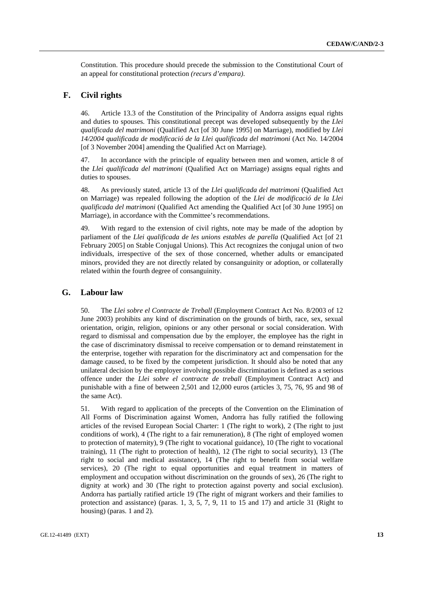Constitution. This procedure should precede the submission to the Constitutional Court of an appeal for constitutional protection *(recurs d'empara)*.

## **F. Civil rights**

46. Article 13.3 of the Constitution of the Principality of Andorra assigns equal rights and duties to spouses. This constitutional precept was developed subsequently by the *Llei qualificada del matrimoni* (Qualified Act [of 30 June 1995] on Marriage), modified by *Llei 14/2004 qualificada de modificació de la Llei qualificada del matrimoni* (Act No. 14/2004 [of 3 November 2004] amending the Qualified Act on Marriage).

47. In accordance with the principle of equality between men and women, article 8 of the *Llei qualificada del matrimoni* (Qualified Act on Marriage) assigns equal rights and duties to spouses.

48. As previously stated, article 13 of the *Llei qualificada del matrimoni* (Qualified Act on Marriage) was repealed following the adoption of the *Llei de modificació de la Llei qualificada del matrimoni* (Qualified Act amending the Qualified Act [of 30 June 1995] on Marriage), in accordance with the Committee's recommendations.

49. With regard to the extension of civil rights, note may be made of the adoption by parliament of the *Llei qualificada de les unions estables de parella* (Qualified Act [of 21 February 2005] on Stable Conjugal Unions). This Act recognizes the conjugal union of two individuals, irrespective of the sex of those concerned, whether adults or emancipated minors, provided they are not directly related by consanguinity or adoption, or collaterally related within the fourth degree of consanguinity.

## **G. Labour law**

50. The *Llei sobre el Contracte de Treball* (Employment Contract Act No. 8/2003 of 12 June 2003) prohibits any kind of discrimination on the grounds of birth, race, sex, sexual orientation, origin, religion, opinions or any other personal or social consideration. With regard to dismissal and compensation due by the employer, the employee has the right in the case of discriminatory dismissal to receive compensation or to demand reinstatement in the enterprise, together with reparation for the discriminatory act and compensation for the damage caused, to be fixed by the competent jurisdiction. It should also be noted that any unilateral decision by the employer involving possible discrimination is defined as a serious offence under the *Llei sobre el contracte de treball* (Employment Contract Act) and punishable with a fine of between 2,501 and 12,000 euros (articles 3, 75, 76, 95 and 98 of the same Act).

51. With regard to application of the precepts of the Convention on the Elimination of All Forms of Discrimination against Women, Andorra has fully ratified the following articles of the revised European Social Charter: 1 (The right to work), 2 (The right to just conditions of work), 4 (The right to a fair remuneration), 8 (The right of employed women to protection of maternity), 9 (The right to vocational guidance), 10 (The right to vocational training), 11 (The right to protection of health), 12 (The right to social security), 13 (The right to social and medical assistance), 14 (The right to benefit from social welfare services), 20 (The right to equal opportunities and equal treatment in matters of employment and occupation without discrimination on the grounds of sex), 26 (The right to dignity at work) and 30 (The right to protection against poverty and social exclusion). Andorra has partially ratified article 19 (The right of migrant workers and their families to protection and assistance) (paras. 1, 3, 5, 7, 9, 11 to 15 and 17) and article 31 (Right to housing) (paras. 1 and 2).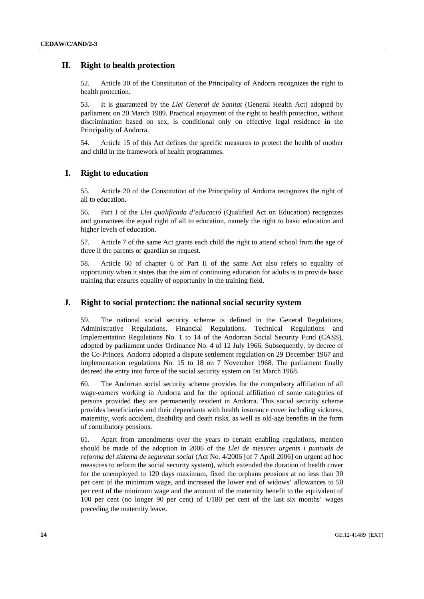## **H. Right to health protection**

52. Article 30 of the Constitution of the Principality of Andorra recognizes the right to health protection.

53. It is guaranteed by the *Llei General de Sanitat* (General Health Act) adopted by parliament on 20 March 1989. Practical enjoyment of the right to health protection, without discrimination based on sex, is conditional only on effective legal residence in the Principality of Andorra.

54. Article 15 of this Act defines the specific measures to protect the health of mother and child in the framework of health programmes.

## **I. Right to education**

55. Article 20 of the Constitution of the Principality of Andorra recognizes the right of all to education.

56. Part I of the *Llei qualificada d'educació* (Qualified Act on Education) recognizes and guarantees the equal right of all to education, namely the right to basic education and higher levels of education.

57. Article 7 of the same Act grants each child the right to attend school from the age of three if the parents or guardian so request.

58. Article 60 of chapter 6 of Part II of the same Act also refers to equality of opportunity when it states that the aim of continuing education for adults is to provide basic training that ensures equality of opportunity in the training field.

## **J. Right to social protection: the national social security system**

59. The national social security scheme is defined in the General Regulations, Administrative Regulations, Financial Regulations, Technical Regulations and Implementation Regulations No. 1 to 14 of the Andorran Social Security Fund (CASS), adopted by parliament under Ordinance No. 4 of 12 July 1966. Subsequently, by decree of the Co-Princes, Andorra adopted a dispute settlement regulation on 29 December 1967 and implementation regulations No. 15 to 18 on 7 November 1968. The parliament finally decreed the entry into force of the social security system on 1st March 1968.

60. The Andorran social security scheme provides for the compulsory affiliation of all wage-earners working in Andorra and for the optional affiliation of some categories of persons provided they are permanently resident in Andorra. This social security scheme provides beneficiaries and their dependants with health insurance cover including sickness, maternity, work accident, disability and death risks, as well as old-age benefits in the form of contributory pensions.

61. Apart from amendments over the years to certain enabling regulations, mention should be made of the adoption in 2006 of the *Llei de mesures urgents i puntuals de reforma del sistema de seguretat social* (Act No. 4/2006 [of 7 April 2006] on urgent ad hoc measures to reform the social security system), which extended the duration of health cover for the unemployed to 120 days maximum, fixed the orphans pensions at no less than 30 per cent of the minimum wage, and increased the lower end of widows' allowances to 50 per cent of the minimum wage and the amount of the maternity benefit to the equivalent of 100 per cent (no longer 90 per cent) of 1/180 per cent of the last six months' wages preceding the maternity leave.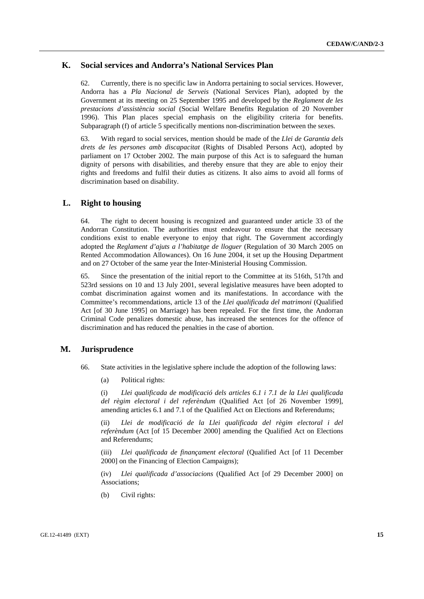## **K. Social services and Andorra's National Services Plan**

62. Currently, there is no specific law in Andorra pertaining to social services. However, Andorra has a *Pla Nacional de Serveis* (National Services Plan), adopted by the Government at its meeting on 25 September 1995 and developed by the *Reglament de les prestacions d'assistència social* (Social Welfare Benefits Regulation of 20 November 1996). This Plan places special emphasis on the eligibility criteria for benefits. Subparagraph (f) of article 5 specifically mentions non-discrimination between the sexes.

63. With regard to social services, mention should be made of the *Llei de Garantia dels drets de les persones amb discapacitat* (Rights of Disabled Persons Act), adopted by parliament on 17 October 2002. The main purpose of this Act is to safeguard the human dignity of persons with disabilities, and thereby ensure that they are able to enjoy their rights and freedoms and fulfil their duties as citizens. It also aims to avoid all forms of discrimination based on disability.

## **L. Right to housing**

64. The right to decent housing is recognized and guaranteed under article 33 of the Andorran Constitution. The authorities must endeavour to ensure that the necessary conditions exist to enable everyone to enjoy that right. The Government accordingly adopted the *Reglament d'ajuts a l'habitatge de lloguer* (Regulation of 30 March 2005 on Rented Accommodation Allowances). On 16 June 2004, it set up the Housing Department and on 27 October of the same year the Inter-Ministerial Housing Commission.

65. Since the presentation of the initial report to the Committee at its 516th, 517th and 523rd sessions on 10 and 13 July 2001, several legislative measures have been adopted to combat discrimination against women and its manifestations. In accordance with the Committee's recommendations, article 13 of the *Llei qualificada del matrimoni* (Qualified Act [of 30 June 1995] on Marriage) has been repealed. For the first time, the Andorran Criminal Code penalizes domestic abuse, has increased the sentences for the offence of discrimination and has reduced the penalties in the case of abortion.

#### **M. Jurisprudence**

- 66. State activities in the legislative sphere include the adoption of the following laws:
	- (a) Political rights:

(i) *Llei qualificada de modificació dels articles 6.1 i 7.1 de la Llei qualificada del règim electoral i del referèndum* (Qualified Act [of 26 November 1999], amending articles 6.1 and 7.1 of the Qualified Act on Elections and Referendums;

(ii) *Llei de modificació de la Llei qualificada del règim electoral i del referèndum* (Act [of 15 December 2000] amending the Qualified Act on Elections and Referendums;

(iii) *Llei qualificada de finançament electoral* (Qualified Act [of 11 December 2000] on the Financing of Election Campaigns);

(iv) *Llei qualificada d'associacions* (Qualified Act [of 29 December 2000] on Associations;

(b) Civil rights: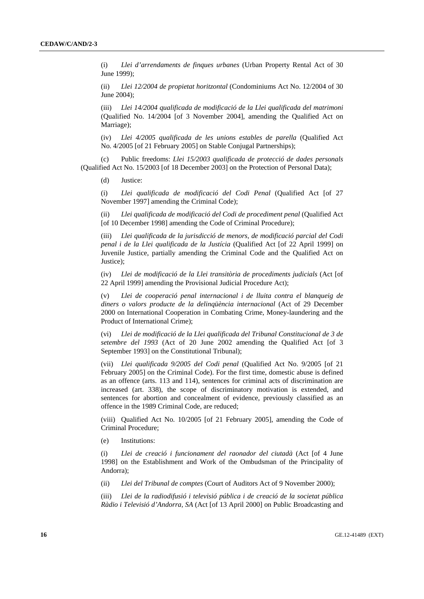(i) *Llei d'arrendaments de finques urbanes* (Urban Property Rental Act of 30 June 1999);

(ii) *Llei 12/2004 de propietat horitzontal* (Condominiums Act No. 12/2004 of 30 June 2004);

(iii) *Llei 14/2004 qualificada de modificació de la Llei qualificada del matrimoni* (Qualified No. 14/2004 [of 3 November 2004], amending the Qualified Act on Marriage);

(iv) *Llei 4/2005 qualificada de les unions estables de parella* (Qualified Act No. 4/2005 [of 21 February 2005] on Stable Conjugal Partnerships);

 (c) Public freedoms: *Llei 15/2003 qualificada de protecció de dades personals* (Qualified Act No. 15/2003 [of 18 December 2003] on the Protection of Personal Data);

(d) Justice:

(i) *Llei qualificada de modificació del Codi Penal* (Qualified Act [of 27 November 1997] amending the Criminal Code);

(ii) *Llei qualificada de modificació del Codi de procediment penal* (Qualified Act [of 10 December 1998] amending the Code of Criminal Procedure);

(iii) *Llei qualificada de la jurisdicció de menors, de modificació parcial del Codi penal i de la Llei qualificada de la Justícia* (Qualified Act [of 22 April 1999] on Juvenile Justice, partially amending the Criminal Code and the Qualified Act on Justice);

(iv) *Llei de modificació de la Llei transitòria de procediments judicials* (Act [of 22 April 1999] amending the Provisional Judicial Procedure Act);

(v) *Llei de cooperació penal internacional i de lluita contra el blanqueig de diners o valors producte de la delinqüència internacional* (Act of 29 December 2000 on International Cooperation in Combating Crime, Money-laundering and the Product of International Crime);

(vi) *Llei de modificació de la Llei qualificada del Tribunal Constitucional de 3 de setembre del 1993* (Act of 20 June 2002 amending the Qualified Act [of 3 September 1993] on the Constitutional Tribunal);

(vii) *Llei qualificada 9/2005 del Codi penal* (Qualified Act No. 9/2005 [of 21 February 2005] on the Criminal Code). For the first time, domestic abuse is defined as an offence (arts. 113 and 114), sentences for criminal acts of discrimination are increased (art. 338), the scope of discriminatory motivation is extended, and sentences for abortion and concealment of evidence, previously classified as an offence in the 1989 Criminal Code, are reduced;

(viii) Qualified Act No. 10/2005 [of 21 February 2005], amending the Code of Criminal Procedure;

(e) Institutions:

(i) *Llei de creació i funcionament del raonador del ciutadà* (Act [of 4 June 1998] on the Establishment and Work of the Ombudsman of the Principality of Andorra);

(ii) *Llei del Tribunal de comptes* (Court of Auditors Act of 9 November 2000);

(iii) *Llei de la radiodifusió i televisió pública i de creació de la societat pública Ràdio i Televisió d'Andorra, SA* (Act [of 13 April 2000] on Public Broadcasting and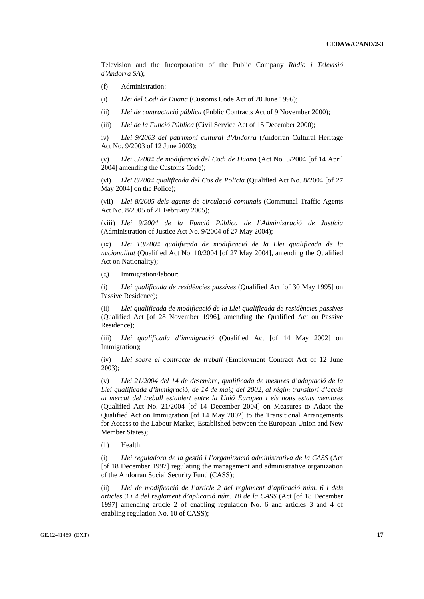Television and the Incorporation of the Public Company *Ràdio i Televisió d'Andorra SA*);

- (f) Administration:
- (i) *Llei del Codi de Duana* (Customs Code Act of 20 June 1996);
- (ii) *Llei de contractació pública* (Public Contracts Act of 9 November 2000);
- (iii) *Llei de la Funció Pública* (Civil Service Act of 15 December 2000);

iv) *Llei 9/2003 del patrimoni cultural d'Andorra* (Andorran Cultural Heritage Act No. 9/2003 of 12 June 2003);

(v) *Llei 5/2004 de modificació del Codi de Duana* (Act No. 5/2004 [of 14 April 2004] amending the Customs Code);

(vi) *Llei 8/2004 qualificada del Cos de Policia* (Qualified Act No. 8/2004 [of 27 May 2004] on the Police);

(vii) *Llei 8/2005 dels agents de circulació comunals* (Communal Traffic Agents Act No. 8/2005 of 21 February 2005);

(viii) *Llei 9/2004 de la Funció Pública de l'Administració de Justícia* (Administration of Justice Act No. 9/2004 of 27 May 2004);

(ix) *Llei 10/2004 qualificada de modificació de la Llei qualificada de la nacionalitat* (Qualified Act No. 10/2004 [of 27 May 2004], amending the Qualified Act on Nationality);

(g) Immigration/labour:

(i) *Llei qualificada de residències passives* (Qualified Act [of 30 May 1995] on Passive Residence);

(ii) *Llei qualificada de modificació de la Llei qualificada de residències passives* (Qualified Act [of 28 November 1996], amending the Qualified Act on Passive Residence);

(iii) *Llei qualificada d'immigració* (Qualified Act [of 14 May 2002] on Immigration);

(iv) *Llei sobre el contracte de treball* (Employment Contract Act of 12 June 2003);

(v) *Llei 21/2004 del 14 de desembre, qualificada de mesures d'adaptació de la Llei qualificada d'immigració, de 14 de maig del 2002, al règim transitori d'accés al mercat del treball establert entre la Unió Europea i els nous estats membres* (Qualified Act No. 21/2004 [of 14 December 2004] on Measures to Adapt the Qualified Act on Immigration [of 14 May 2002] to the Transitional Arrangements for Access to the Labour Market, Established between the European Union and New Member States);

(h) Health:

(i) *Llei reguladora de la gestió i l'organització administrativa de la CASS* (Act [of 18 December 1997] regulating the management and administrative organization of the Andorran Social Security Fund (CASS);

(ii) *Llei de modificació de l'article 2 del reglament d'aplicació núm. 6 i dels articles 3 i 4 del reglament d'aplicació núm. 10 de la CASS* (Act [of 18 December 1997] amending article 2 of enabling regulation No. 6 and articles 3 and 4 of enabling regulation No. 10 of CASS);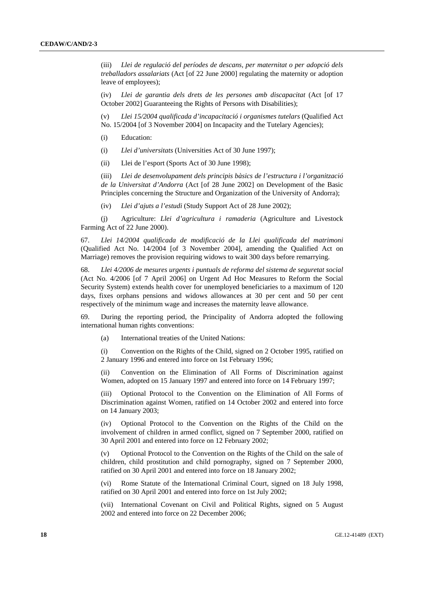(iii) *Llei de regulació del períodes de descans, per maternitat o per adopció dels treballadors assalariats* (Act [of 22 June 2000] regulating the maternity or adoption leave of employees);

(iv) *Llei de garantia dels drets de les persones amb discapacitat* (Act [of 17 October 2002] Guaranteeing the Rights of Persons with Disabilities);

(v) *Llei 15/2004 qualificada d'incapacitació i organismes tutelars* (Qualified Act No. 15/2004 [of 3 November 2004] on Incapacity and the Tutelary Agencies);

- (i) Education:
- (i) *Llei d'universitats* (Universities Act of 30 June 1997);
- (ii) Llei de l'esport (Sports Act of 30 June 1998);

(iii) *Llei de desenvolupament dels principis bàsics de l'estructura i l'organització de la Universitat d'Andorra* (Act [of 28 June 2002] on Development of the Basic Principles concerning the Structure and Organization of the University of Andorra);

(iv) *Llei d'ajuts a l'estudi* (Study Support Act of 28 June 2002);

 (j) Agriculture: *Llei d'agricultura i ramaderia* (Agriculture and Livestock Farming Act of 22 June 2000).

67. *Llei 14/2004 qualificada de modificació de la Llei qualificada del matrimoni* (Qualified Act No. 14/2004 [of 3 November 2004], amending the Qualified Act on Marriage) removes the provision requiring widows to wait 300 days before remarrying.

68. *Llei 4/2006 de mesures urgents i puntuals de reforma del sistema de seguretat social* (Act No. 4/2006 [of 7 April 2006] on Urgent Ad Hoc Measures to Reform the Social Security System) extends health cover for unemployed beneficiaries to a maximum of 120 days, fixes orphans pensions and widows allowances at 30 per cent and 50 per cent respectively of the minimum wage and increases the maternity leave allowance.

69. During the reporting period, the Principality of Andorra adopted the following international human rights conventions:

(a) International treaties of the United Nations:

(i) Convention on the Rights of the Child, signed on 2 October 1995, ratified on 2 January 1996 and entered into force on 1st February 1996;

(ii) Convention on the Elimination of All Forms of Discrimination against Women, adopted on 15 January 1997 and entered into force on 14 February 1997;

(iii) Optional Protocol to the Convention on the Elimination of All Forms of Discrimination against Women, ratified on 14 October 2002 and entered into force on 14 January 2003;

(iv) Optional Protocol to the Convention on the Rights of the Child on the involvement of children in armed conflict, signed on 7 September 2000, ratified on 30 April 2001 and entered into force on 12 February 2002;

(v) Optional Protocol to the Convention on the Rights of the Child on the sale of children, child prostitution and child pornography, signed on 7 September 2000, ratified on 30 April 2001 and entered into force on 18 January 2002;

(vi) Rome Statute of the International Criminal Court, signed on 18 July 1998, ratified on 30 April 2001 and entered into force on 1st July 2002;

(vii) International Covenant on Civil and Political Rights, signed on 5 August 2002 and entered into force on 22 December 2006;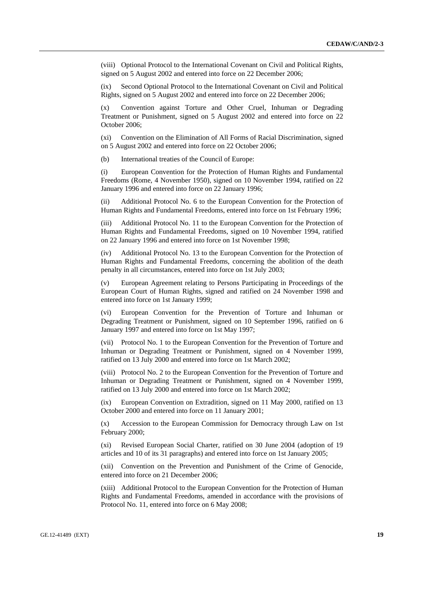(viii) Optional Protocol to the International Covenant on Civil and Political Rights, signed on 5 August 2002 and entered into force on 22 December 2006;

(ix) Second Optional Protocol to the International Covenant on Civil and Political Rights, signed on 5 August 2002 and entered into force on 22 December 2006;

(x) Convention against Torture and Other Cruel, Inhuman or Degrading Treatment or Punishment, signed on 5 August 2002 and entered into force on 22 October 2006;

(xi) Convention on the Elimination of All Forms of Racial Discrimination, signed on 5 August 2002 and entered into force on 22 October 2006;

(b) International treaties of the Council of Europe:

(i) European Convention for the Protection of Human Rights and Fundamental Freedoms (Rome, 4 November 1950), signed on 10 November 1994, ratified on 22 January 1996 and entered into force on 22 January 1996;

(ii) Additional Protocol No. 6 to the European Convention for the Protection of Human Rights and Fundamental Freedoms, entered into force on 1st February 1996;

(iii) Additional Protocol No. 11 to the European Convention for the Protection of Human Rights and Fundamental Freedoms, signed on 10 November 1994, ratified on 22 January 1996 and entered into force on 1st November 1998;

Additional Protocol No. 13 to the European Convention for the Protection of Human Rights and Fundamental Freedoms, concerning the abolition of the death penalty in all circumstances, entered into force on 1st July 2003;

European Agreement relating to Persons Participating in Proceedings of the European Court of Human Rights, signed and ratified on 24 November 1998 and entered into force on 1st January 1999;

(vi) European Convention for the Prevention of Torture and Inhuman or Degrading Treatment or Punishment, signed on 10 September 1996, ratified on 6 January 1997 and entered into force on 1st May 1997;

(vii) Protocol No. 1 to the European Convention for the Prevention of Torture and Inhuman or Degrading Treatment or Punishment, signed on 4 November 1999, ratified on 13 July 2000 and entered into force on 1st March 2002;

(viii) Protocol No. 2 to the European Convention for the Prevention of Torture and Inhuman or Degrading Treatment or Punishment, signed on 4 November 1999, ratified on 13 July 2000 and entered into force on 1st March 2002;

(ix) European Convention on Extradition, signed on 11 May 2000, ratified on 13 October 2000 and entered into force on 11 January 2001;

(x) Accession to the European Commission for Democracy through Law on 1st February 2000;

(xi) Revised European Social Charter, ratified on 30 June 2004 (adoption of 19 articles and 10 of its 31 paragraphs) and entered into force on 1st January 2005;

(xii) Convention on the Prevention and Punishment of the Crime of Genocide, entered into force on 21 December 2006;

(xiii) Additional Protocol to the European Convention for the Protection of Human Rights and Fundamental Freedoms, amended in accordance with the provisions of Protocol No. 11, entered into force on 6 May 2008;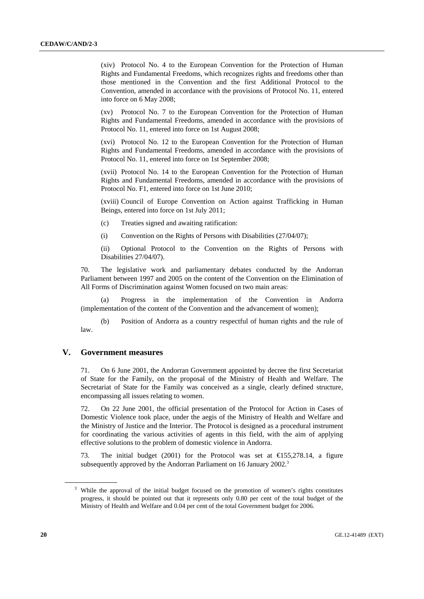(xiv) Protocol No. 4 to the European Convention for the Protection of Human Rights and Fundamental Freedoms, which recognizes rights and freedoms other than those mentioned in the Convention and the first Additional Protocol to the Convention, amended in accordance with the provisions of Protocol No. 11, entered into force on 6 May 2008;

(xv) Protocol No. 7 to the European Convention for the Protection of Human Rights and Fundamental Freedoms, amended in accordance with the provisions of Protocol No. 11, entered into force on 1st August 2008;

(xvi) Protocol No. 12 to the European Convention for the Protection of Human Rights and Fundamental Freedoms, amended in accordance with the provisions of Protocol No. 11, entered into force on 1st September 2008;

(xvii) Protocol No. 14 to the European Convention for the Protection of Human Rights and Fundamental Freedoms, amended in accordance with the provisions of Protocol No. F1, entered into force on 1st June 2010;

(xviii) Council of Europe Convention on Action against Trafficking in Human Beings, entered into force on 1st July 2011;

- (c) Treaties signed and awaiting ratification:
- (i) Convention on the Rights of Persons with Disabilities (27/04/07);

(ii) Optional Protocol to the Convention on the Rights of Persons with Disabilities 27/04/07).

70. The legislative work and parliamentary debates conducted by the Andorran Parliament between 1997 and 2005 on the content of the Convention on the Elimination of All Forms of Discrimination against Women focused on two main areas:

 (a) Progress in the implementation of the Convention in Andorra (implementation of the content of the Convention and the advancement of women);

 (b) Position of Andorra as a country respectful of human rights and the rule of law.

## **V. Government measures**

71. On 6 June 2001, the Andorran Government appointed by decree the first Secretariat of State for the Family, on the proposal of the Ministry of Health and Welfare. The Secretariat of State for the Family was conceived as a single, clearly defined structure, encompassing all issues relating to women.

72. On 22 June 2001, the official presentation of the Protocol for Action in Cases of Domestic Violence took place, under the aegis of the Ministry of Health and Welfare and the Ministry of Justice and the Interior. The Protocol is designed as a procedural instrument for coordinating the various activities of agents in this field, with the aim of applying effective solutions to the problem of domestic violence in Andorra.

73. The initial budget (2001) for the Protocol was set at  $\bigoplus$  55,278.14, a figure subsequently approved by the Andorran Parliament on 16 January 2002.<sup>3</sup>

<sup>&</sup>lt;sup>3</sup> While the approval of the initial budget focused on the promotion of women's rights constitutes progress, it should be pointed out that it represents only 0.80 per cent of the total budget of the Ministry of Health and Welfare and 0.04 per cent of the total Government budget for 2006.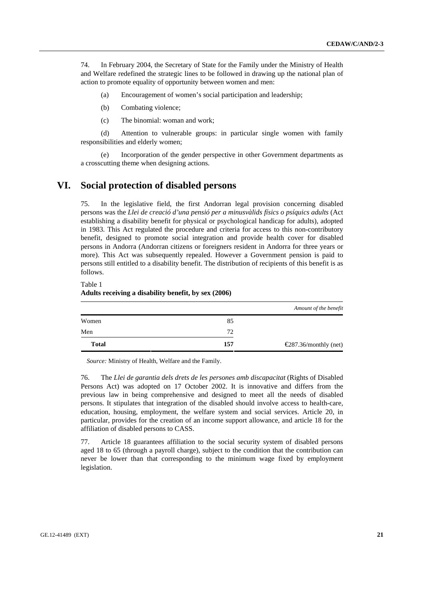74. In February 2004, the Secretary of State for the Family under the Ministry of Health and Welfare redefined the strategic lines to be followed in drawing up the national plan of action to promote equality of opportunity between women and men:

- (a) Encouragement of women's social participation and leadership;
- (b) Combating violence;
- (c) The binomial: woman and work;

 (d) Attention to vulnerable groups: in particular single women with family responsibilities and elderly women;

 (e) Incorporation of the gender perspective in other Government departments as a crosscutting theme when designing actions.

# **VI. Social protection of disabled persons**

75. In the legislative field, the first Andorran legal provision concerning disabled persons was the *Llei de creació d'una pensió per a minusvàlids físics o psíquics adults* (Act establishing a disability benefit for physical or psychological handicap for adults), adopted in 1983. This Act regulated the procedure and criteria for access to this non-contributory benefit, designed to promote social integration and provide health cover for disabled persons in Andorra (Andorran citizens or foreigners resident in Andorra for three years or more). This Act was subsequently repealed. However a Government pension is paid to persons still entitled to a disability benefit. The distribution of recipients of this benefit is as follows.

Table 1

#### **Adults receiving a disability benefit, by sex (2006)**

|              |     | Amount of the benefit                         |
|--------------|-----|-----------------------------------------------|
| Women        | 85  |                                               |
| Men          | 72  |                                               |
| <b>Total</b> | 157 | $\textcircled{\textbf{287}}.36/monthly$ (net) |

*Source:* Ministry of Health, Welfare and the Family.

76. The *Llei de garantia dels drets de les persones amb discapacitat* (Rights of Disabled Persons Act) was adopted on 17 October 2002. It is innovative and differs from the previous law in being comprehensive and designed to meet all the needs of disabled persons. It stipulates that integration of the disabled should involve access to health-care, education, housing, employment, the welfare system and social services. Article 20, in particular, provides for the creation of an income support allowance, and article 18 for the affiliation of disabled persons to CASS.

77. Article 18 guarantees affiliation to the social security system of disabled persons aged 18 to 65 (through a payroll charge), subject to the condition that the contribution can never be lower than that corresponding to the minimum wage fixed by employment legislation.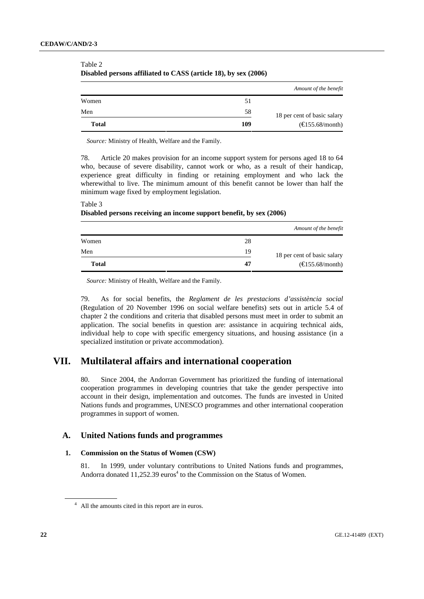|              |     | Amount of the benefit       |
|--------------|-----|-----------------------------|
| Women        | 51  |                             |
| Men          | 58  | 18 per cent of basic salary |
| <b>Total</b> | 109 | $(\text{E}155.68/month)$    |

Table 2 **Disabled persons affiliated to CASS (article 18), by sex (2006)** 

*Source:* Ministry of Health, Welfare and the Family.

78. Article 20 makes provision for an income support system for persons aged 18 to 64 who, because of severe disability, cannot work or who, as a result of their handicap, experience great difficulty in finding or retaining employment and who lack the wherewithal to live. The minimum amount of this benefit cannot be lower than half the minimum wage fixed by employment legislation.

#### Table 3 **Disabled persons receiving an income support benefit, by sex (2006)**

|              |    | Amount of the benefit       |
|--------------|----|-----------------------------|
| Women        | 28 |                             |
| Men          | 19 | 18 per cent of basic salary |
| <b>Total</b> | 47 | $(\text{\e}155.68/month)$   |

*Source:* Ministry of Health, Welfare and the Family.

79. As for social benefits, the *Reglament de les prestacions d'assistència social* (Regulation of 20 November 1996 on social welfare benefits) sets out in article 5.4 of chapter 2 the conditions and criteria that disabled persons must meet in order to submit an application. The social benefits in question are: assistance in acquiring technical aids, individual help to cope with specific emergency situations, and housing assistance (in a specialized institution or private accommodation).

# **VII. Multilateral affairs and international cooperation**

80. Since 2004, the Andorran Government has prioritized the funding of international cooperation programmes in developing countries that take the gender perspective into account in their design, implementation and outcomes. The funds are invested in United Nations funds and programmes, UNESCO programmes and other international cooperation programmes in support of women.

## **A. United Nations funds and programmes**

## **1. Commission on the Status of Women (CSW)**

81. In 1999, under voluntary contributions to United Nations funds and programmes, Andorra donated  $11,252.39$  euros<sup>4</sup> to the Commission on the Status of Women.

<sup>&</sup>lt;sup>4</sup> All the amounts cited in this report are in euros.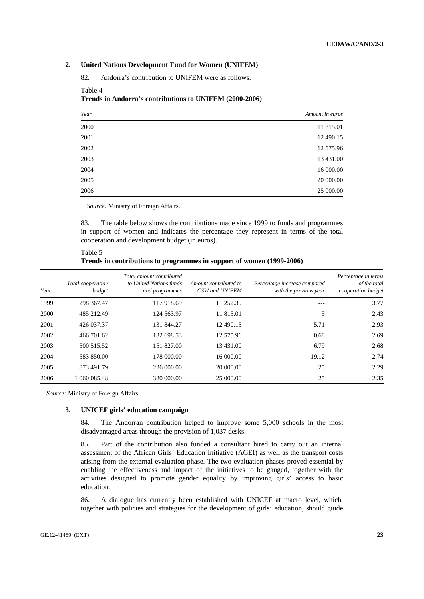#### **2. United Nations Development Fund for Women (UNIFEM)**

82. Andorra's contribution to UNIFEM were as follows.

| Year | Amount in euros |
|------|-----------------|
| 2000 | 11 815.01       |
| 2001 | 12 490.15       |
| 2002 | 12 575.96       |
| 2003 | 13 431.00       |
| 2004 | 16 000.00       |
| 2005 | 20 000.00       |
| 2006 | 25 000.00       |

#### **Trends in Andorra's contributions to UNIFEM (2000-2006)**

*Source:* Ministry of Foreign Affairs.

83. The table below shows the contributions made since 1999 to funds and programmes in support of women and indicates the percentage they represent in terms of the total cooperation and development budget (in euros).

| Table 5                                                               |  |
|-----------------------------------------------------------------------|--|
| Trends in contributions to programmes in support of women (1999-2006) |  |

| Year | Total cooperation<br>budget | Total amount contributed<br>to United Nations funds<br>and programmes | Amount contributed to<br>CSW and UNIFEM | Percentage increase compared<br>with the previous year | Percentage in terms<br>of the total<br>cooperation budget |
|------|-----------------------------|-----------------------------------------------------------------------|-----------------------------------------|--------------------------------------------------------|-----------------------------------------------------------|
| 1999 | 298 367.47                  | 117 918.69                                                            | 11 252.39                               |                                                        | 3.77                                                      |
| 2000 | 485 212.49                  | 124 563.97                                                            | 11 815.01                               | 5                                                      | 2.43                                                      |
| 2001 | 426 037.37                  | 131 844.27                                                            | 12 490.15                               | 5.71                                                   | 2.93                                                      |
| 2002 | 466 701.62                  | 132 698.53                                                            | 12 575.96                               | 0.68                                                   | 2.69                                                      |
| 2003 | 500 515.52                  | 151 827.00                                                            | 13 431.00                               | 6.79                                                   | 2.68                                                      |
| 2004 | 583 850.00                  | 178 000.00                                                            | 16 000.00                               | 19.12                                                  | 2.74                                                      |
| 2005 | 873 491.79                  | 226 000,00                                                            | 20 000,00                               | 25                                                     | 2.29                                                      |
| 2006 | 1 060 085.48                | 320 000.00                                                            | 25 000.00                               | 25                                                     | 2.35                                                      |

*Source:* Ministry of Foreign Affairs.

Table 4

#### **3. UNICEF girls' education campaign**

84. The Andorran contribution helped to improve some 5,000 schools in the most disadvantaged areas through the provision of 1,037 desks.

85. Part of the contribution also funded a consultant hired to carry out an internal assessment of the African Girls' Education Initiative (AGEI) as well as the transport costs arising from the external evaluation phase. The two evaluation phases proved essential by enabling the effectiveness and impact of the initiatives to be gauged, together with the activities designed to promote gender equality by improving girls' access to basic education.

86. A dialogue has currently been established with UNICEF at macro level, which, together with policies and strategies for the development of girls' education, should guide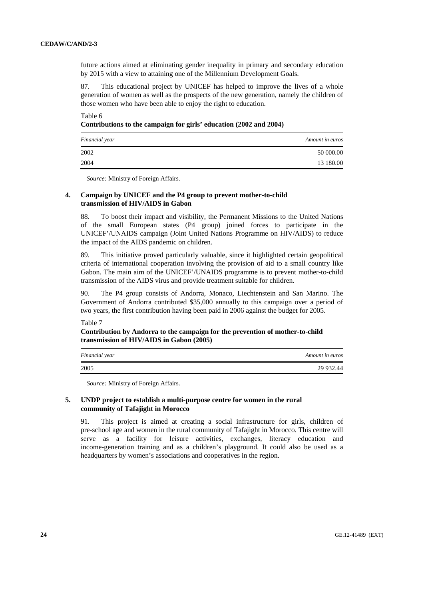future actions aimed at eliminating gender inequality in primary and secondary education by 2015 with a view to attaining one of the Millennium Development Goals.

87. This educational project by UNICEF has helped to improve the lives of a whole generation of women as well as the prospects of the new generation, namely the children of those women who have been able to enjoy the right to education.

## Table 6 **Contributions to the campaign for girls' education (2002 and 2004)**

| Financial year | Amount in euros |
|----------------|-----------------|
| 2002           | 50 000.00       |
| 2004           | 13 180.00       |

*Source:* Ministry of Foreign Affairs.

#### **4. Campaign by UNICEF and the P4 group to prevent mother-to-child transmission of HIV/AIDS in Gabon**

88. To boost their impact and visibility, the Permanent Missions to the United Nations of the small European states (P4 group) joined forces to participate in the UNICEF'/UNAIDS campaign (Joint United Nations Programme on HIV/AIDS) to reduce the impact of the AIDS pandemic on children.

89. This initiative proved particularly valuable, since it highlighted certain geopolitical criteria of international cooperation involving the provision of aid to a small country like Gabon. The main aim of the UNICEF'/UNAIDS programme is to prevent mother-to-child transmission of the AIDS virus and provide treatment suitable for children.

90. The P4 group consists of Andorra, Monaco, Liechtenstein and San Marino. The Government of Andorra contributed \$35,000 annually to this campaign over a period of two years, the first contribution having been paid in 2006 against the budget for 2005.

Table 7

## **Contribution by Andorra to the campaign for the prevention of mother-to-child transmission of HIV/AIDS in Gabon (2005)**

| Financial year | Amount in euros |
|----------------|-----------------|
| 2005           | 29 932.44       |

*Source:* Ministry of Foreign Affairs.

#### **5. UNDP project to establish a multi-purpose centre for women in the rural community of Tafajight in Morocco**

91. This project is aimed at creating a social infrastructure for girls, children of pre-school age and women in the rural community of Tafajight in Morocco. This centre will serve as a facility for leisure activities, exchanges, literacy education and income-generation training and as a children's playground. It could also be used as a headquarters by women's associations and cooperatives in the region.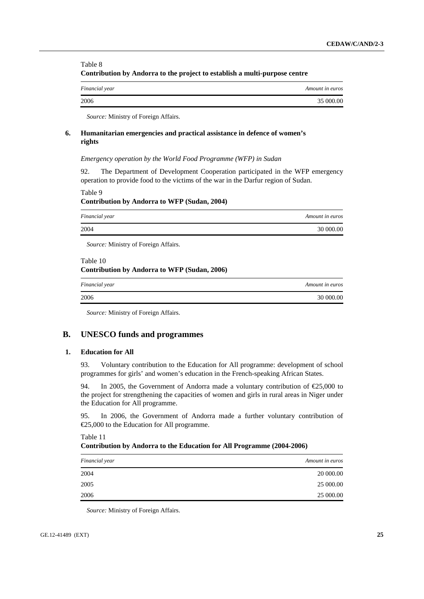#### Table 8 **Contribution by Andorra to the project to establish a multi-purpose centre**

| Financial year | Amount in euros |
|----------------|-----------------|
| 2006           | 35 000,00       |

*Source:* Ministry of Foreign Affairs.

#### **6. Humanitarian emergencies and practical assistance in defence of women's rights**

#### *Emergency operation by the World Food Programme (WFP) in Sudan*

92. The Department of Development Cooperation participated in the WFP emergency operation to provide food to the victims of the war in the Darfur region of Sudan.

Table 9 **Contribution by Andorra to WFP (Sudan, 2004)** 

| Financial year | Amount in euros |
|----------------|-----------------|
| 2004           | 30 000,00       |
|                |                 |

*Source:* Ministry of Foreign Affairs.

#### Table 10

#### **Contribution by Andorra to WFP (Sudan, 2006)**

| Financial year | Amount in euros |
|----------------|-----------------|
| 2006           | 30 000.00       |

*Source:* Ministry of Foreign Affairs.

## **B. UNESCO funds and programmes**

#### **1. Education for All**

93. Voluntary contribution to the Education for All programme: development of school programmes for girls' and women's education in the French-speaking African States.

94. In 2005, the Government of Andorra made a voluntary contribution of  $\epsilon$ 25,000 to the project for strengthening the capacities of women and girls in rural areas in Niger under the Education for All programme.

95. In 2006, the Government of Andorra made a further voluntary contribution of €25,000 to the Education for All programme.

Table 11

#### **Contribution by Andorra to the Education for All Programme (2004-2006)**

| Financial year | Amount in euros |
|----------------|-----------------|
| 2004           | 20 000.00       |
| 2005           | 25 000.00       |
| 2006           | 25 000.00       |
|                |                 |

*Source:* Ministry of Foreign Affairs.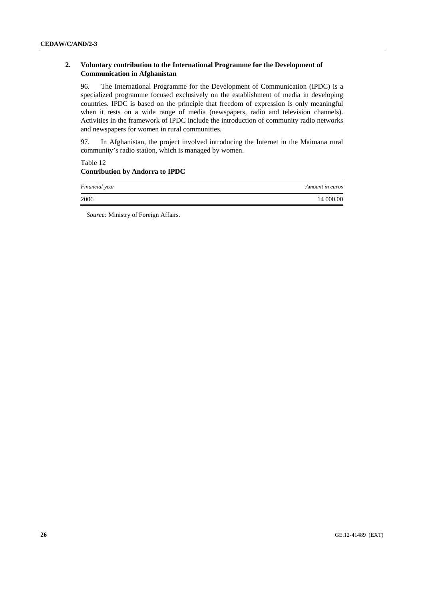## **2. Voluntary contribution to the International Programme for the Development of Communication in Afghanistan**

96. The International Programme for the Development of Communication (IPDC) is a specialized programme focused exclusively on the establishment of media in developing countries. IPDC is based on the principle that freedom of expression is only meaningful when it rests on a wide range of media (newspapers, radio and television channels). Activities in the framework of IPDC include the introduction of community radio networks and newspapers for women in rural communities.

97. In Afghanistan, the project involved introducing the Internet in the Maimana rural community's radio station, which is managed by women.

## Table 12 **Contribution by Andorra to IPDC**

| Financial year | Amount in euros |
|----------------|-----------------|
| 2006           | 14 000.00       |

*Source:* Ministry of Foreign Affairs.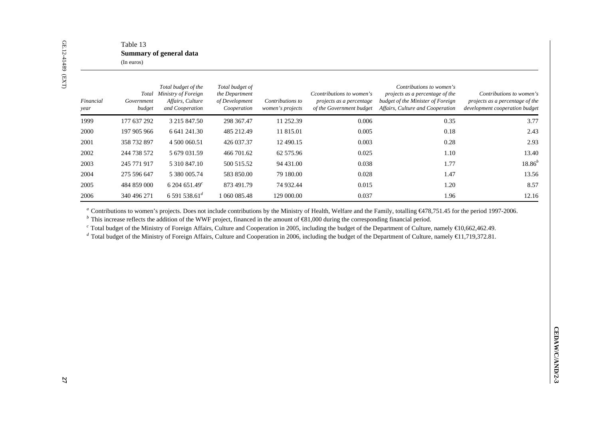| Financial<br>year | Government<br>budget | Total budget of the<br>Total Ministry of Foreign<br>Affairs, Culture<br>and Cooperation | Total budget of<br>the Department<br>of Development<br>Cooperation | Contributions to<br>women's projects | Ccontributions to women's<br>projects as a percentage<br>of the Government budget                                                                                    | Contributions to women's<br>projects as a percentage of the<br>budget of the Minister of Foreign<br>Affairs, Culture and Cooperation                                                                                                                                                                                                                                                                                                                                                                                                     | Contributions to women's<br>projects as a percentage of the<br>development cooperation budget |
|-------------------|----------------------|-----------------------------------------------------------------------------------------|--------------------------------------------------------------------|--------------------------------------|----------------------------------------------------------------------------------------------------------------------------------------------------------------------|------------------------------------------------------------------------------------------------------------------------------------------------------------------------------------------------------------------------------------------------------------------------------------------------------------------------------------------------------------------------------------------------------------------------------------------------------------------------------------------------------------------------------------------|-----------------------------------------------------------------------------------------------|
| 1999              | 177 637 292          | 3 215 847.50                                                                            | 298 367.47                                                         | 11 252.39                            | 0.006                                                                                                                                                                | 0.35                                                                                                                                                                                                                                                                                                                                                                                                                                                                                                                                     | 3.77                                                                                          |
| 2000              | 197 905 966          | 6 641 241.30                                                                            | 485 212.49                                                         | 11 815.01                            | 0.005                                                                                                                                                                | 0.18                                                                                                                                                                                                                                                                                                                                                                                                                                                                                                                                     | 2.43                                                                                          |
| 2001              | 358 732 897          | 4 500 060.51                                                                            | 426 037.37                                                         | 12 490.15                            | 0.003                                                                                                                                                                | $0.28\,$                                                                                                                                                                                                                                                                                                                                                                                                                                                                                                                                 | 2.93                                                                                          |
| 2002              | 244 738 572          | 5 679 031.59                                                                            | 466 701.62                                                         | 62 575.96                            | 0.025                                                                                                                                                                | 1.10                                                                                                                                                                                                                                                                                                                                                                                                                                                                                                                                     | 13.40                                                                                         |
| 2003              | 245 771 917          | 5 310 847.10                                                                            | 500 515.52                                                         | 94 431.00                            | 0.038                                                                                                                                                                | 1.77                                                                                                                                                                                                                                                                                                                                                                                                                                                                                                                                     | $18.86^{b}$                                                                                   |
| 2004              | 275 596 647          | 5 380 005.74                                                                            | 583 850.00                                                         | 79 180.00                            | 0.028                                                                                                                                                                | 1.47                                                                                                                                                                                                                                                                                                                                                                                                                                                                                                                                     | 13.56                                                                                         |
|                   | 484 859 000          | 6 204 651.49 $^c$                                                                       | 873 491.79                                                         | 74 932.44                            | 0.015                                                                                                                                                                | 1.20                                                                                                                                                                                                                                                                                                                                                                                                                                                                                                                                     | 8.57                                                                                          |
| 2005              |                      |                                                                                         |                                                                    |                                      |                                                                                                                                                                      |                                                                                                                                                                                                                                                                                                                                                                                                                                                                                                                                          |                                                                                               |
|                   | 340 496 271          | 6 591 538.61 $^{d}$                                                                     | 1 060 085.48                                                       | 129 000.00                           | 0.037<br><sup>b</sup> This increase reflects the addition of the WWF project, financed in the amount of $\bigoplus$ 1,000 during the corresponding financial period. | 1.96<br>" Contributions to women's projects. Does not include contributions by the Ministry of Health, Welfare and the Family, totalling $C/751.45$ for the period 1997-2006.<br>$\textdegree$ Total budget of the Ministry of Foreign Affairs, Culture and Cooperation in 2005, including the budget of the Department of Culture, namely $\text{C}0,662,462.49$ .<br>d Total budget of the Ministry of Foreign Affairs, Culture and Cooperation in 2006, including the budget of the Department of Culture, namely $\in$ 1,719,372.81. | 12.16                                                                                         |
| 2006              |                      |                                                                                         |                                                                    |                                      |                                                                                                                                                                      |                                                                                                                                                                                                                                                                                                                                                                                                                                                                                                                                          |                                                                                               |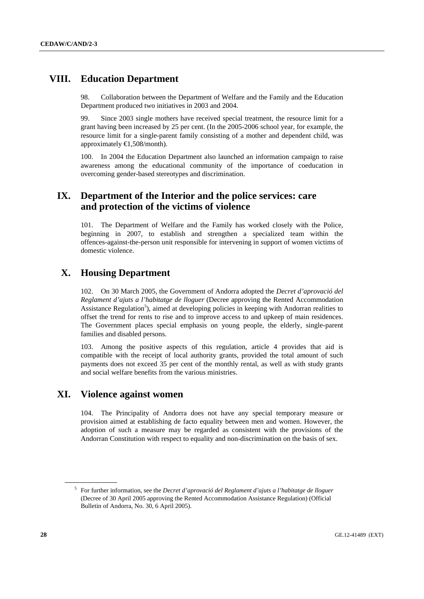# **VIII. Education Department**

98. Collaboration between the Department of Welfare and the Family and the Education Department produced two initiatives in 2003 and 2004.

99. Since 2003 single mothers have received special treatment, the resource limit for a grant having been increased by 25 per cent. (In the 2005-2006 school year, for example, the resource limit for a single-parent family consisting of a mother and dependent child, was approximately €1,508/month).

100. In 2004 the Education Department also launched an information campaign to raise awareness among the educational community of the importance of coeducation in overcoming gender-based stereotypes and discrimination.

# **IX. Department of the Interior and the police services: care and protection of the victims of violence**

101. The Department of Welfare and the Family has worked closely with the Police, beginning in 2007, to establish and strengthen a specialized team within the offences-against-the-person unit responsible for intervening in support of women victims of domestic violence.

# **X. Housing Department**

102. On 30 March 2005, the Government of Andorra adopted the *Decret d'aprovació del Reglament d'ajuts a l'habitatge de lloguer* (Decree approving the Rented Accommodation Assistance Regulation<sup>5</sup>), aimed at developing policies in keeping with Andorran realities to offset the trend for rents to rise and to improve access to and upkeep of main residences. The Government places special emphasis on young people, the elderly, single-parent families and disabled persons.

103. Among the positive aspects of this regulation, article 4 provides that aid is compatible with the receipt of local authority grants, provided the total amount of such payments does not exceed 35 per cent of the monthly rental, as well as with study grants and social welfare benefits from the various ministries.

# **XI. Violence against women**

104. The Principality of Andorra does not have any special temporary measure or provision aimed at establishing de facto equality between men and women. However, the adoption of such a measure may be regarded as consistent with the provisions of the Andorran Constitution with respect to equality and non-discrimination on the basis of sex.

<sup>5</sup> For further information, see the *Decret d'aprovació del Reglament d'ajuts a l'habitatge de lloguer*  (Decree of 30 April 2005 approving the Rented Accommodation Assistance Regulation) (Official Bulletin of Andorra, No. 30, 6 April 2005).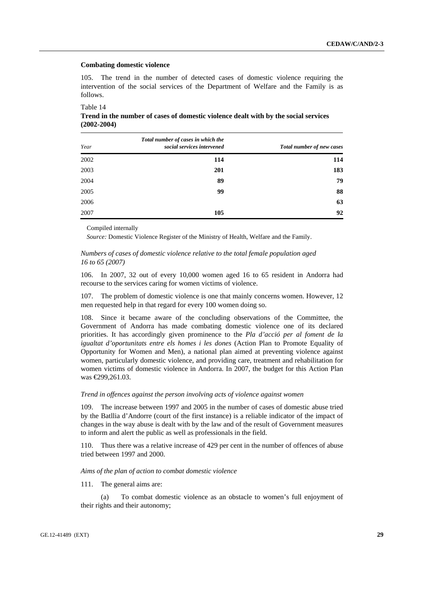#### **Combating domestic violence**

105. The trend in the number of detected cases of domestic violence requiring the intervention of the social services of the Department of Welfare and the Family is as follows.

Table 14

**Trend in the number of cases of domestic violence dealt with by the social services (2002-2004)** 

| Year | Total number of cases in which the<br>social services intervened | Total number of new cases |
|------|------------------------------------------------------------------|---------------------------|
| 2002 | 114                                                              | 114                       |
| 2003 | 201                                                              | 183                       |
| 2004 | 89                                                               | 79                        |
| 2005 | 99                                                               | 88                        |
| 2006 |                                                                  | 63                        |
| 2007 | 105                                                              | 92                        |

Compiled internally

*Source:* Domestic Violence Register of the Ministry of Health, Welfare and the Family.

#### *Numbers of cases of domestic violence relative to the total female population aged 16 to 65 (2007)*

106. In 2007, 32 out of every 10,000 women aged 16 to 65 resident in Andorra had recourse to the services caring for women victims of violence.

107. The problem of domestic violence is one that mainly concerns women. However, 12 men requested help in that regard for every 100 women doing so.

108. Since it became aware of the concluding observations of the Committee, the Government of Andorra has made combating domestic violence one of its declared priorities. It has accordingly given prominence to the *Pla d'acció per al foment de la igualtat d'oportunitats entre els homes i les dones* (Action Plan to Promote Equality of Opportunity for Women and Men), a national plan aimed at preventing violence against women, particularly domestic violence, and providing care, treatment and rehabilitation for women victims of domestic violence in Andorra. In 2007, the budget for this Action Plan was €299,261.03.

#### *Trend in offences against the person involving acts of violence against women*

The increase between 1997 and 2005 in the number of cases of domestic abuse tried by the Batllia d'Andorre (court of the first instance) is a reliable indicator of the impact of changes in the way abuse is dealt with by the law and of the result of Government measures to inform and alert the public as well as professionals in the field.

110. Thus there was a relative increase of 429 per cent in the number of offences of abuse tried between 1997 and 2000.

#### *Aims of the plan of action to combat domestic violence*

111. The general aims are:

 (a) To combat domestic violence as an obstacle to women's full enjoyment of their rights and their autonomy;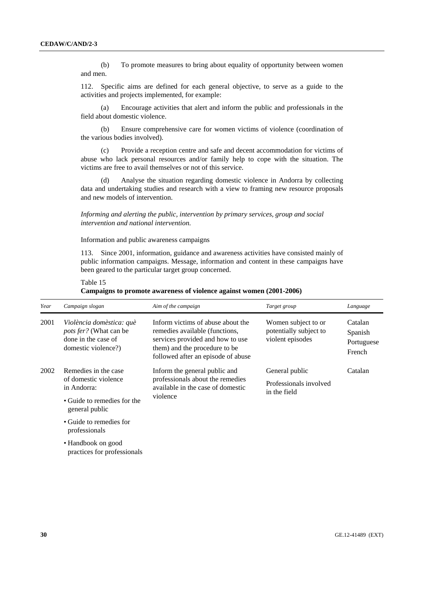(b) To promote measures to bring about equality of opportunity between women and men.

112. Specific aims are defined for each general objective, to serve as a guide to the activities and projects implemented, for example:

 (a) Encourage activities that alert and inform the public and professionals in the field about domestic violence.

 (b) Ensure comprehensive care for women victims of violence (coordination of the various bodies involved).

 (c) Provide a reception centre and safe and decent accommodation for victims of abuse who lack personal resources and/or family help to cope with the situation. The victims are free to avail themselves or not of this service.

 (d) Analyse the situation regarding domestic violence in Andorra by collecting data and undertaking studies and research with a view to framing new resource proposals and new models of intervention.

 *Informing and alerting the public, intervention by primary services, group and social intervention and national intervention.* 

Information and public awareness campaigns

113. Since 2001, information, guidance and awareness activities have consisted mainly of public information campaigns. Message, information and content in these campaigns have been geared to the particular target group concerned.

Table 15 **Campaigns to promote awareness of violence against women (2001-2006)** 

| Year | Campaign slogan                                                                                              | Aim of the campaign                                                                                                                                                            | Target group                                                      | Language                                   |
|------|--------------------------------------------------------------------------------------------------------------|--------------------------------------------------------------------------------------------------------------------------------------------------------------------------------|-------------------------------------------------------------------|--------------------------------------------|
| 2001 | Violència domèstica: què<br><i>pots fer?</i> (What can be<br>done in the case of<br>domestic violence?)      | Inform victims of abuse about the<br>remedies available (functions,<br>services provided and how to use<br>them) and the procedure to be<br>followed after an episode of abuse | Women subject to or<br>potentially subject to<br>violent episodes | Catalan<br>Spanish<br>Portuguese<br>French |
| 2002 | Remedies in the case<br>of domestic violence<br>in Andorra:<br>• Guide to remedies for the<br>general public | Inform the general public and<br>professionals about the remedies<br>available in the case of domestic<br>violence                                                             | General public<br>Professionals involved<br>in the field          | Catalan                                    |
|      | • Guide to remedies for<br>professionals                                                                     |                                                                                                                                                                                |                                                                   |                                            |

• Handbook on good practices for professionals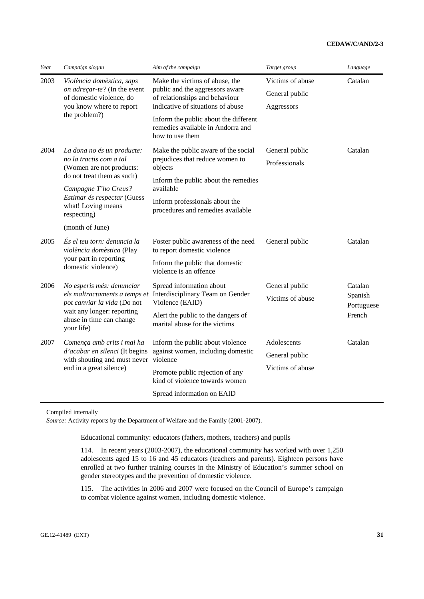| Year | Campaign slogan                                                                                                   | Aim of the campaign                                                                                                                      | Target group                                     | Language           |
|------|-------------------------------------------------------------------------------------------------------------------|------------------------------------------------------------------------------------------------------------------------------------------|--------------------------------------------------|--------------------|
| 2003 | Violència domèstica, saps<br>on adreçar-te? (In the event<br>of domestic violence, do<br>you know where to report | Make the victims of abuse, the<br>public and the aggressors aware<br>of relationships and behaviour<br>indicative of situations of abuse | Victims of abuse<br>General public<br>Aggressors | Catalan            |
|      | the problem?)                                                                                                     | Inform the public about the different<br>remedies available in Andorra and<br>how to use them                                            |                                                  |                    |
| 2004 | La dona no és un producte:<br>no la tractis com a tal<br>(Women are not products:                                 | Make the public aware of the social<br>prejudices that reduce women to<br>objects                                                        | General public<br>Professionals                  | Catalan            |
|      | do not treat them as such)<br>Campagne T'ho Creus?                                                                | Inform the public about the remedies<br>available                                                                                        |                                                  |                    |
|      | Estimar és respectar (Guess<br>what! Loving means<br>respecting)                                                  | Inform professionals about the<br>procedures and remedies available                                                                      |                                                  |                    |
|      | (month of June)                                                                                                   |                                                                                                                                          |                                                  |                    |
| 2005 | És el teu torn: denuncia la<br>violència domèstica (Play                                                          | Foster public awareness of the need<br>to report domestic violence                                                                       | General public                                   | Catalan            |
|      | your part in reporting<br>domestic violence)                                                                      | Inform the public that domestic<br>violence is an offence                                                                                |                                                  |                    |
| 2006 | No esperis més: denunciar<br>els maltractaments a temps et                                                        | Spread information about<br>Interdisciplinary Team on Gender                                                                             | General public                                   | Catalan<br>Spanish |
|      | pot canviar la vida (Do not                                                                                       | Violence (EAID)                                                                                                                          | Victims of abuse                                 | Portuguese         |
|      | wait any longer: reporting<br>abuse in time can change<br>your life)                                              | Alert the public to the dangers of<br>marital abuse for the victims                                                                      |                                                  | French             |
| 2007 | Comença amb crits i mai ha                                                                                        | Inform the public about violence                                                                                                         | Adolescents                                      | Catalan            |
|      | d'acabar en silenci (It begins<br>with shouting and must never                                                    | against women, including domestic<br>violence                                                                                            | General public                                   |                    |
|      | end in a great silence)                                                                                           | Promote public rejection of any<br>kind of violence towards women                                                                        | Victims of abuse                                 |                    |
|      |                                                                                                                   | Spread information on EAID                                                                                                               |                                                  |                    |

Compiled internally

*Source:* Activity reports by the Department of Welfare and the Family (2001-2007).

Educational community: educators (fathers, mothers, teachers) and pupils

114. In recent years (2003-2007), the educational community has worked with over 1,250 adolescents aged 15 to 16 and 45 educators (teachers and parents). Eighteen persons have enrolled at two further training courses in the Ministry of Education's summer school on gender stereotypes and the prevention of domestic violence.

115. The activities in 2006 and 2007 were focused on the Council of Europe's campaign to combat violence against women, including domestic violence.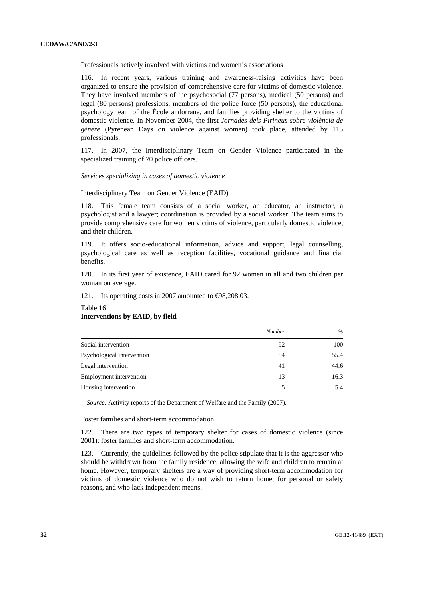Professionals actively involved with victims and women's associations

116. In recent years, various training and awareness-raising activities have been organized to ensure the provision of comprehensive care for victims of domestic violence. They have involved members of the psychosocial (77 persons), medical (50 persons) and legal (80 persons) professions, members of the police force (50 persons), the educational psychology team of the École andorrane, and families providing shelter to the victims of domestic violence. In November 2004, the first *Jornades dels Pirineus sobre violència de gènere* (Pyrenean Days on violence against women) took place, attended by 115 professionals.

117. In 2007, the Interdisciplinary Team on Gender Violence participated in the specialized training of 70 police officers.

#### *Services specializing in cases of domestic violence*

Interdisciplinary Team on Gender Violence (EAID)

118. This female team consists of a social worker, an educator, an instructor, a psychologist and a lawyer; coordination is provided by a social worker. The team aims to provide comprehensive care for women victims of violence, particularly domestic violence, and their children.

119. It offers socio-educational information, advice and support, legal counselling, psychological care as well as reception facilities, vocational guidance and financial benefits.

120. In its first year of existence, EAID cared for 92 women in all and two children per woman on average.

121. Its operating costs in 2007 amounted to €98,208.03.

|                            | Number | $\%$ |
|----------------------------|--------|------|
| Social intervention        | 92     | 100  |
| Psychological intervention | 54     | 55.4 |
| Legal intervention         | 41     | 44.6 |
| Employment intervention    | 13     | 16.3 |
| Housing intervention       | 5      | 5.4  |

# **Interventions by EAID, by field**

Table 16

*Source:* Activity reports of the Department of Welfare and the Family (2007).

Foster families and short-term accommodation

122. There are two types of temporary shelter for cases of domestic violence (since 2001): foster families and short-term accommodation.

123. Currently, the guidelines followed by the police stipulate that it is the aggressor who should be withdrawn from the family residence, allowing the wife and children to remain at home. However, temporary shelters are a way of providing short-term accommodation for victims of domestic violence who do not wish to return home, for personal or safety reasons, and who lack independent means.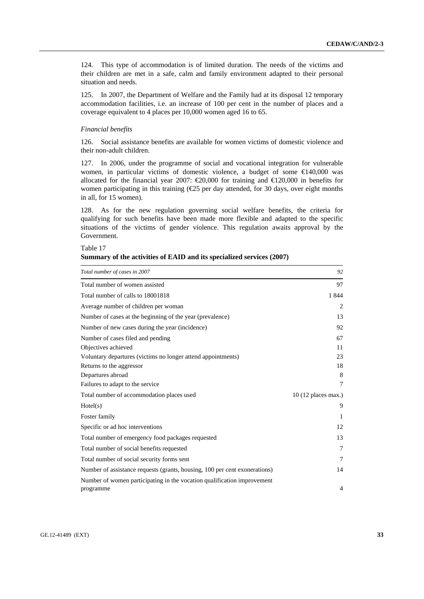124. This type of accommodation is of limited duration. The needs of the victims and their children are met in a safe, calm and family environment adapted to their personal situation and needs.

125. In 2007, the Department of Welfare and the Family had at its disposal 12 temporary accommodation facilities, i.e. an increase of 100 per cent in the number of places and a coverage equivalent to 4 places per 10,000 women aged 16 to 65.

## *Financial benefits*

126. Social assistance benefits are available for women victims of domestic violence and their non-adult children.

127. In 2006, under the programme of social and vocational integration for vulnerable women, in particular victims of domestic violence, a budget of some  $\in$  40,000 was allocated for the financial year 2007:  $\epsilon$ 20,000 for training and  $\epsilon$ 120,000 in benefits for women participating in this training  $(\mathcal{L}5$  per day attended, for 30 days, over eight months in all, for 15 women).

128. As for the new regulation governing social welfare benefits, the criteria for qualifying for such benefits have been made more flexible and adapted to the specific situations of the victims of gender violence. This regulation awaits approval by the Government.

Table 17

| Summary of the activities of EAID and its specialized services (2007) |  |  |  |  |  |  |  |  |
|-----------------------------------------------------------------------|--|--|--|--|--|--|--|--|
|-----------------------------------------------------------------------|--|--|--|--|--|--|--|--|

| Total number of cases in 2007                                              | 92                   |
|----------------------------------------------------------------------------|----------------------|
| Total number of women assisted                                             | 97                   |
| Total number of calls to 18001818                                          | 1844                 |
| Average number of children per woman                                       | 2                    |
| Number of cases at the beginning of the year (prevalence)                  | 13                   |
| Number of new cases during the year (incidence)                            | 92                   |
| Number of cases filed and pending                                          | 67                   |
| Objectives achieved                                                        | 11                   |
| Voluntary departures (victims no longer attend appointments)               | 23                   |
| Returns to the aggressor                                                   | 18                   |
| Departures abroad                                                          | 8                    |
| Failures to adapt to the service                                           | $\tau$               |
| Total number of accommodation places used                                  | $10(12$ places max.) |
| Hotel(s)                                                                   | 9                    |
| Foster family                                                              | 1                    |
| Specific or ad hoc interventions                                           | 12                   |
| Total number of emergency food packages requested                          | 13                   |
| Total number of social benefits requested                                  | 7                    |
| Total number of social security forms sent                                 | 7                    |
| Number of assistance requests (grants, housing, 100 per cent exonerations) | 14                   |
| Number of women participating in the vocation qualification improvement    |                      |
| programme                                                                  | 4                    |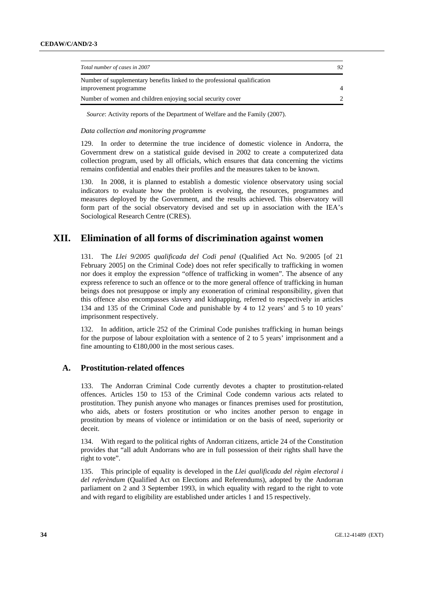| Total number of cases in 2007                                                                      | 92             |
|----------------------------------------------------------------------------------------------------|----------------|
| Number of supplementary benefits linked to the professional qualification<br>improvement programme | $\overline{4}$ |
| Number of women and children enjoying social security cover                                        |                |

*Source*: Activity reports of the Department of Welfare and the Family (2007).

#### *Data collection and monitoring programme*

129. In order to determine the true incidence of domestic violence in Andorra, the Government drew on a statistical guide devised in 2002 to create a computerized data collection program, used by all officials, which ensures that data concerning the victims remains confidential and enables their profiles and the measures taken to be known.

130. In 2008, it is planned to establish a domestic violence observatory using social indicators to evaluate how the problem is evolving, the resources, programmes and measures deployed by the Government, and the results achieved. This observatory will form part of the social observatory devised and set up in association with the IEA's Sociological Research Centre (CRES).

# **XII. Elimination of all forms of discrimination against women**

131. The *Llei 9/2005 qualificada del Codi penal* (Qualified Act No. 9/2005 [of 21 February 2005] on the Criminal Code) does not refer specifically to trafficking in women nor does it employ the expression "offence of trafficking in women". The absence of any express reference to such an offence or to the more general offence of trafficking in human beings does not presuppose or imply any exoneration of criminal responsibility, given that this offence also encompasses slavery and kidnapping, referred to respectively in articles 134 and 135 of the Criminal Code and punishable by 4 to 12 years' and 5 to 10 years' imprisonment respectively.

132. In addition, article 252 of the Criminal Code punishes trafficking in human beings for the purpose of labour exploitation with a sentence of 2 to 5 years' imprisonment and a fine amounting to  $\in$ 180,000 in the most serious cases.

## **A. Prostitution-related offences**

133. The Andorran Criminal Code currently devotes a chapter to prostitution-related offences. Articles 150 to 153 of the Criminal Code condemn various acts related to prostitution. They punish anyone who manages or finances premises used for prostitution, who aids, abets or fosters prostitution or who incites another person to engage in prostitution by means of violence or intimidation or on the basis of need, superiority or deceit.

134. With regard to the political rights of Andorran citizens, article 24 of the Constitution provides that "all adult Andorrans who are in full possession of their rights shall have the right to vote".

135. This principle of equality is developed in the *Llei qualificada del règim electoral i del referèndum* (Qualified Act on Elections and Referendums), adopted by the Andorran parliament on 2 and 3 September 1993, in which equality with regard to the right to vote and with regard to eligibility are established under articles 1 and 15 respectively.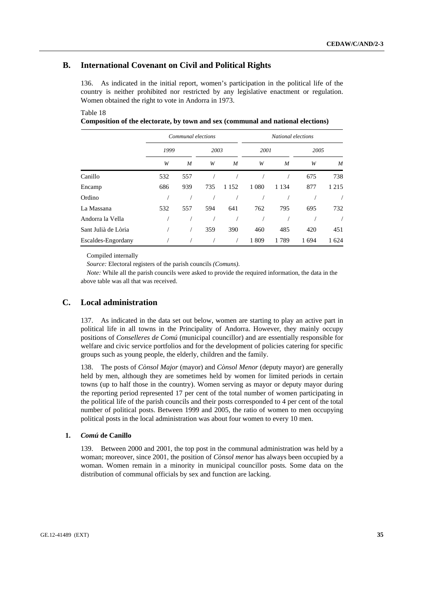## **B. International Covenant on Civil and Political Rights**

136. As indicated in the initial report, women's participation in the political life of the country is neither prohibited nor restricted by any legislative enactment or regulation. Women obtained the right to vote in Andorra in 1973.

#### Table 18

**Composition of the electorate, by town and sex (communal and national elections)** 

|                     |      | Communal elections |      |         | National elections |         |      |         |  |  |  |
|---------------------|------|--------------------|------|---------|--------------------|---------|------|---------|--|--|--|
|                     | 1999 |                    | 2003 |         | 2001               |         | 2005 |         |  |  |  |
|                     | W    | M                  | W    | M       | W                  | M       | W    | M       |  |  |  |
| Canillo             | 532  | 557                |      |         |                    |         | 675  | 738     |  |  |  |
| Encamp              | 686  | 939                | 735  | 1 1 5 2 | 1 0 8 0            | 1 1 3 4 | 877  | 1 2 1 5 |  |  |  |
| Ordino              |      |                    |      |         |                    |         |      |         |  |  |  |
| La Massana          | 532  | 557                | 594  | 641     | 762                | 795     | 695  | 732     |  |  |  |
| Andorra la Vella    |      |                    |      |         |                    |         |      |         |  |  |  |
| Sant Julià de Lòria |      |                    | 359  | 390     | 460                | 485     | 420  | 451     |  |  |  |
| Escaldes-Engordany  |      |                    |      |         | 1809               | 1789    | 1694 | 1 624   |  |  |  |

Compiled internally

*Source:* Electoral registers of the parish councils *(Comuns)*.

*Note:* While all the parish councils were asked to provide the required information, the data in the above table was all that was received.

## **C. Local administration**

137. As indicated in the data set out below, women are starting to play an active part in political life in all towns in the Principality of Andorra. However, they mainly occupy positions of *Conselleres de Comú* (municipal councillor) and are essentially responsible for welfare and civic service portfolios and for the development of policies catering for specific groups such as young people, the elderly, children and the family.

138. The posts of *Cònsol Major* (mayor) and *Cònsol Menor* (deputy mayor) are generally held by men, although they are sometimes held by women for limited periods in certain towns (up to half those in the country). Women serving as mayor or deputy mayor during the reporting period represented 17 per cent of the total number of women participating in the political life of the parish councils and their posts corresponded to 4 per cent of the total number of political posts. Between 1999 and 2005, the ratio of women to men occupying political posts in the local administration was about four women to every 10 men.

#### **1.** *Comú* **de Canillo**

139. Between 2000 and 2001, the top post in the communal administration was held by a woman; moreover, since 2001, the position of *Cònsol menor* has always been occupied by a woman. Women remain in a minority in municipal councillor posts. Some data on the distribution of communal officials by sex and function are lacking.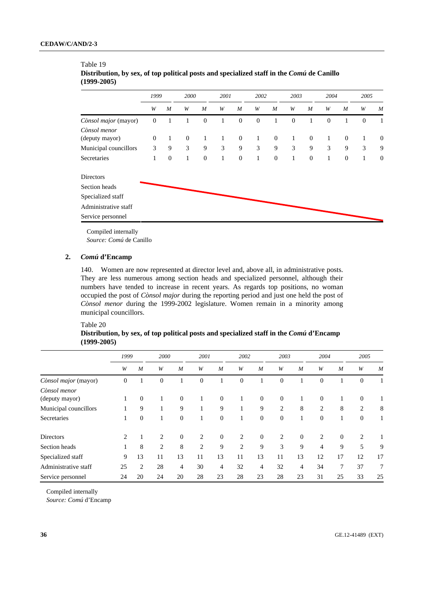|                                | 1999             |              | 2000         |              | 2001         |              | 2002         |              | 2003             |              | 2004         |                | 2005         |                  |
|--------------------------------|------------------|--------------|--------------|--------------|--------------|--------------|--------------|--------------|------------------|--------------|--------------|----------------|--------------|------------------|
|                                | W                | M            | W            | M            | W            | M            | W            | M            | W                | M            | W            | M              | W            | M                |
| Cònsol major (mayor)           | $\boldsymbol{0}$ | 1            | 1            | $\mathbf{0}$ | 1            | $\mathbf{0}$ | $\mathbf{0}$ | 1            | $\boldsymbol{0}$ | 1            | $\theta$     | 1              | $\mathbf{0}$ | 1                |
| Cònsol menor<br>(deputy mayor) | $\boldsymbol{0}$ | $\mathbf{1}$ | $\mathbf{0}$ | 1            | $\mathbf{1}$ | $\mathbf{0}$ | $\mathbf{1}$ | $\mathbf{0}$ | $\mathbf{1}$     | $\mathbf{0}$ | $\mathbf{1}$ | $\overline{0}$ | $\mathbf{1}$ | $\mathbf{0}$     |
| Municipal councillors          | 3                | 9            | 3            | 9            | 3            | 9            | 3            | 9            | 3                | 9            | 3            | 9              | 3            | 9                |
| Secretaries                    | $\mathbf{1}$     | $\theta$     | $\mathbf{1}$ | $\mathbf{0}$ | $\mathbf{1}$ | $\mathbf{0}$ | 1            | $\mathbf{0}$ | $\mathbf{1}$     | $\mathbf{0}$ | 1            | $\theta$       | 1            | $\boldsymbol{0}$ |
| Directors                      |                  |              |              |              |              |              |              |              |                  |              |              |                |              |                  |
| Section heads                  |                  |              |              |              |              |              |              |              |                  |              |              |                |              |                  |
| Specialized staff              |                  |              |              |              |              |              |              |              |                  |              |              |                |              |                  |
| Administrative staff           |                  |              |              |              |              |              |              |              |                  |              |              |                |              |                  |
| Service personnel              |                  |              |              |              |              |              |              |              |                  |              |              |                |              |                  |

#### Table 19 **Distribution, by sex, of top political posts and specialized staff in the** *Comú* **de Canillo (1999-2005)**

Compiled internally

*Source: Comú* de Canillo

## **2.** *Comú* **d'Encamp**

140. Women are now represented at director level and, above all, in administrative posts. They are less numerous among section heads and specialized personnel, although their numbers have tended to increase in recent years. As regards top positions, no woman occupied the post of *Cònsol major* during the reporting period and just one held the post of *Cònsol menor* during the 1999-2002 legislature. Women remain in a minority among municipal councillors.

## Table 20

|               |  | Distribution, by sex, of top political posts and specialized staff in the <i>Comú</i> d'Encamp |  |
|---------------|--|------------------------------------------------------------------------------------------------|--|
| $(1999-2005)$ |  |                                                                                                |  |

|                                | 1999             |                | 2000           |                |                | 2001           |                | 2002             |                  | 2003           |                | 2004           |                  | 2005             |  |
|--------------------------------|------------------|----------------|----------------|----------------|----------------|----------------|----------------|------------------|------------------|----------------|----------------|----------------|------------------|------------------|--|
|                                | W                | $\overline{M}$ | W              | $\overline{M}$ | W              | $\overline{M}$ | W              | $\overline{M}$   | W                | $\overline{M}$ | W              | $\overline{M}$ | W                | $\boldsymbol{M}$ |  |
| Cònsol major (mayor)           | $\boldsymbol{0}$ |                | $\theta$       |                | $\overline{0}$ |                | $\theta$       |                  | $\overline{0}$   |                | $\mathbf{0}$   |                | $\boldsymbol{0}$ |                  |  |
| Cònsol menor<br>(deputy mayor) | 1                | $\theta$       | 1              | $\overline{0}$ | 1              | $\overline{0}$ | 1              | $\boldsymbol{0}$ | $\boldsymbol{0}$ | 1              | $\overline{0}$ | $\mathbf{1}$   | $\mathbf{0}$     |                  |  |
| Municipal councillors          |                  | 9              |                | 9              |                | 9              |                | 9                | $\overline{2}$   | 8              | $\overline{c}$ | 8              | 2                | 8                |  |
| Secretaries                    | 1                | $\theta$       |                | $\overline{0}$ |                | $\mathbf{0}$   | 1              | $\boldsymbol{0}$ | $\theta$         |                | $\mathbf{0}$   | 1              | $\theta$         |                  |  |
| <b>Directors</b>               | 2                |                | $\overline{2}$ | $\theta$       | 2              | $\mathbf{0}$   | 2              | $\theta$         | 2                | $\Omega$       | 2              | $\mathbf{0}$   | 2                |                  |  |
| Section heads                  |                  | 8              | $\overline{2}$ | 8              | $\overline{2}$ | 9              | $\overline{c}$ | 9                | 3                | 9              | 4              | 9              | 5                | 9                |  |
| Specialized staff              | 9                | 13             | 11             | 13             | 11             | 13             | 11             | 13               | 11               | 13             | 12             | 17             | 12               | 17               |  |
| Administrative staff           | 25               | 2              | 28             | $\overline{4}$ | 30             | 4              | 32             | 4                | 32               | 4              | 34             | 7              | 37               | $\tau$           |  |
| Service personnel              | 24               | 20             | 24             | 20             | 28             | 23             | 28             | 23               | 28               | 23             | 31             | 25             | 33               | 25               |  |

Compiled internally

*Source: Comú* d'Encamp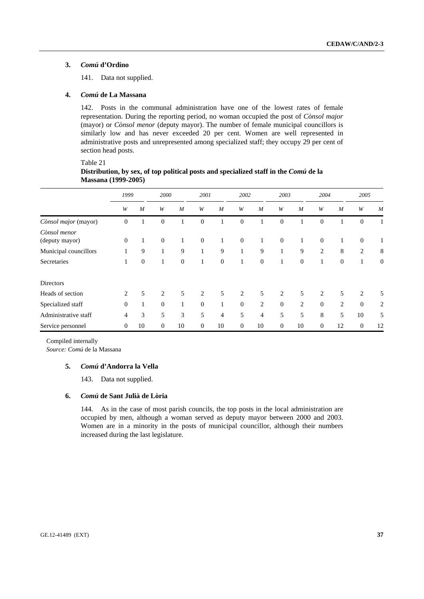## **3.** *Comú* **d'Ordino**

Table 21

141. Data not supplied.

#### **4.** *Comú* **de La Massana**

142. Posts in the communal administration have one of the lowest rates of female representation. During the reporting period, no woman occupied the post of *Cònsol major*  (mayor) or *Cònsol menor* (deputy mayor). The number of female municipal councillors is similarly low and has never exceeded 20 per cent. Women are well represented in administrative posts and unrepresented among specialized staff; they occupy 29 per cent of section head posts.

|                                | 1999             |                | 2000           |                  |                  | 2001           |              | 2002             |                  | 2003             |                | 2004           |              | 2005             |  |
|--------------------------------|------------------|----------------|----------------|------------------|------------------|----------------|--------------|------------------|------------------|------------------|----------------|----------------|--------------|------------------|--|
|                                | W                | $\overline{M}$ | W              | $\boldsymbol{M}$ | W                | $\overline{M}$ | W            | $\boldsymbol{M}$ | W                | $\boldsymbol{M}$ | W              | $\overline{M}$ | W            | M                |  |
| Cònsol major (mayor)           | $\boldsymbol{0}$ | 1              | $\mathbf{0}$   |                  | $\mathbf{0}$     |                | $\theta$     |                  | $\overline{0}$   |                  | $\mathbf{0}$   |                | $\theta$     |                  |  |
| Cònsol menor<br>(deputy mayor) | $\mathbf{0}$     | $\mathbf{1}$   | $\mathbf{0}$   | 1                | $\boldsymbol{0}$ | 1              | $\theta$     | $\mathbf{1}$     | $\mathbf{0}$     | 1                | $\mathbf{0}$   | 1              | $\mathbf{0}$ | $\mathbf{1}$     |  |
| Municipal councillors          | 1                | 9              |                | 9                | 1                | 9              | $\mathbf{1}$ | 9                | 1                | 9                | 2              | 8              | 2            | 8                |  |
| Secretaries                    | $\mathbf{1}$     | $\mathbf{0}$   |                | $\mathbf{0}$     | $\mathbf{1}$     | $\mathbf{0}$   | $\mathbf{1}$ | $\mathbf{0}$     | 1                | $\theta$         | 1              | $\mathbf{0}$   | Τ.           | $\boldsymbol{0}$ |  |
| Directors                      |                  |                |                |                  |                  |                |              |                  |                  |                  |                |                |              |                  |  |
| Heads of section               | 2                | 5              | $\overline{c}$ | 5                | 2                | 5              | 2            | 5                | $\overline{2}$   | 5                | $\overline{2}$ | 5              | 2            | 5                |  |
| Specialized staff              | $\boldsymbol{0}$ | $\mathbf{1}$   | $\theta$       | 1                | $\theta$         | 1              | $\mathbf{0}$ | 2                | $\boldsymbol{0}$ | 2                | $\mathbf{0}$   | 2              | $\mathbf{0}$ | $\overline{2}$   |  |
| Administrative staff           | 4                | 3              | 5              | 3                | 5                | $\overline{4}$ | 5            | 4                | 5                | 5                | 8              | 5              | 10           | 5                |  |
| Service personnel              | $\overline{0}$   | 10             | $\mathbf{0}$   | 10               | $\mathbf{0}$     | 10             | $\theta$     | 10               | $\theta$         | 10               | $\mathbf{0}$   | 12             | $\theta$     | 12               |  |

| Distribution, by sex, of top political posts and specialized staff in the Comú de la |
|--------------------------------------------------------------------------------------|
| <b>Massana</b> (1999-2005)                                                           |

Compiled internally

*Source: Comú* de la Massana

#### **5.** *Comú* **d'Andorra la Vella**

143. Data not supplied.

#### **6.** *Comú* **de Sant Julià de Lòria**

144. As in the case of most parish councils, the top posts in the local administration are occupied by men, although a woman served as deputy mayor between 2000 and 2003. Women are in a minority in the posts of municipal councillor, although their numbers increased during the last legislature.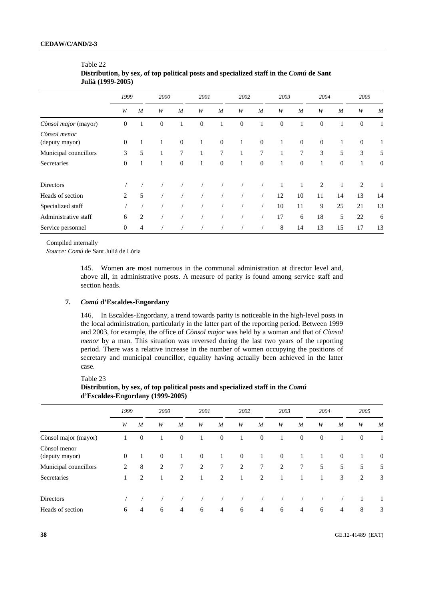|                                | 1999             |                  | 2000     |                  |          | 2001             |              | 2002             |              | 2003             |              | 2004             |                | 2005             |  |
|--------------------------------|------------------|------------------|----------|------------------|----------|------------------|--------------|------------------|--------------|------------------|--------------|------------------|----------------|------------------|--|
|                                | W                | $\boldsymbol{M}$ | W        | $\boldsymbol{M}$ | W        | $\boldsymbol{M}$ | W            | $\boldsymbol{M}$ | W            | $\boldsymbol{M}$ | W            | $\boldsymbol{M}$ | W              | M                |  |
| Cònsol major (mayor)           | $\mathbf{0}$     |                  | $\theta$ | 1                | $\theta$ | 1                | $\mathbf{0}$ | 1                | $\mathbf{0}$ | 1                | $\mathbf{0}$ | 1                | $\overline{0}$ | 1                |  |
| Cònsol menor<br>(deputy mayor) | $\boldsymbol{0}$ | 1                | 1        | $\mathbf{0}$     | 1        | $\mathbf{0}$     | 1            | $\mathbf{0}$     | $\mathbf{1}$ | $\overline{0}$   | $\mathbf{0}$ | $\mathbf{1}$     | $\mathbf{0}$   | $\mathbf{1}$     |  |
| Municipal councillors          | 3                | 5                | 1        | $\tau$           | 1        | 7                | 1            | 7                | 1            | 7                | 3            | 5                | 3              | 5                |  |
| Secretaries                    | $\boldsymbol{0}$ | 1                | 1        | $\mathbf{0}$     | 1        | $\theta$         | 1            | $\mathbf{0}$     | 1            | $\mathbf{0}$     |              | $\mathbf{0}$     | 1              | $\boldsymbol{0}$ |  |
| <b>Directors</b>               |                  |                  |          |                  |          |                  |              |                  | 1            | 1                | 2            | 1                | 2              | 1                |  |
| Heads of section               | $\overline{c}$   | 5                |          |                  |          |                  |              |                  | 12           | 10               | 11           | 14               | 13             | 14               |  |
| Specialized staff              |                  |                  |          |                  |          |                  |              |                  | 10           | 11               | 9            | 25               | 21             | 13               |  |
| Administrative staff           | 6                | 2                |          |                  |          |                  |              |                  | 17           | 6                | 18           | 5                | 22             | 6                |  |
| Service personnel              | $\boldsymbol{0}$ | 4                |          |                  |          |                  |              |                  | 8            | 14               | 13           | 15               | 17             | 13               |  |

| Table 22                                                                               |
|----------------------------------------------------------------------------------------|
| Distribution, by sex, of top political posts and specialized staff in the Comú de Sant |
| Julià (1999-2005)                                                                      |

Compiled internally

*Source: Comú* de Sant Julià de Lòria

145. Women are most numerous in the communal administration at director level and, above all, in administrative posts. A measure of parity is found among service staff and section heads.

#### **7.** *Comú* **d'Escaldes-Engordany**

146. In Escaldes-Engordany, a trend towards parity is noticeable in the high-level posts in the local administration, particularly in the latter part of the reporting period. Between 1999 and 2003, for example, the office of *Cònsol major* was held by a woman and that of *Cònsol menor* by a man. This situation was reversed during the last two years of the reporting period. There was a relative increase in the number of women occupying the positions of secretary and municipal councillor, equality having actually been achieved in the latter case.

Table 23

|                                | 1999             |                  | 2000         |                  | 2001           |                  | 2002         |                  | 2003     |                  | 2004     |                | 2005           |                  |
|--------------------------------|------------------|------------------|--------------|------------------|----------------|------------------|--------------|------------------|----------|------------------|----------|----------------|----------------|------------------|
|                                | W                | $\boldsymbol{M}$ | W            | $\boldsymbol{M}$ | W              | $\boldsymbol{M}$ | W            | $\boldsymbol{M}$ | W        | $\boldsymbol{M}$ | W        | M              | W              | M                |
| Cònsol major (mayor)           | 1                | $\mathbf{0}$     | 1            | $\boldsymbol{0}$ |                | $\mathbf{0}$     |              | $\mathbf{0}$     | 1        | $\mathbf{0}$     | $\theta$ |                | $\overline{0}$ |                  |
| Cònsol menor<br>(deputy mayor) | $\boldsymbol{0}$ |                  | $\mathbf{0}$ |                  | $\overline{0}$ | 1                | $\mathbf{0}$ | 1                | $\theta$ |                  |          | $\mathbf{0}$   |                | $\boldsymbol{0}$ |
| Municipal councillors          | 2                | 8                | 2            | 7                | 2              | 7                | 2            | $7\phantom{.0}$  | 2        | 7                | 5        | 5              | 5              | 5                |
| Secretaries                    | 1                | 2                |              | 2                |                | 2                |              | 2                | 1        |                  |          | 3              | 2              | 3                |
| <b>Directors</b>               |                  |                  |              |                  |                |                  |              |                  |          |                  |          |                |                |                  |
| Heads of section               | 6                | $\overline{4}$   | 6            | $\overline{4}$   | 6              | $\overline{4}$   | 6            | 4                | 6        | 4                | 6        | $\overline{4}$ | 8              | 3                |

## **Distribution, by sex, of top political posts and specialized staff in the** *Comú*  **d'Escaldes-Engordany (1999-2005)**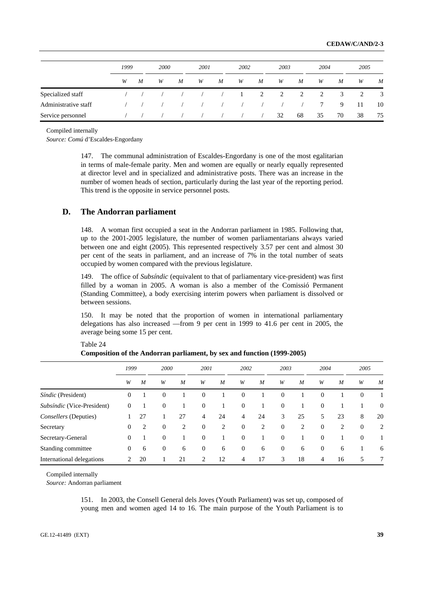|                      | 1999 |   | <b>2000</b> |   | 2001                 |   | 2002                                 |   | 2003 |    | 2004   |    | 2005 |                  |
|----------------------|------|---|-------------|---|----------------------|---|--------------------------------------|---|------|----|--------|----|------|------------------|
|                      | W    | M | W           | M | W                    | M | W                                    | M | W    | M  | W      | M  | W    | $\boldsymbol{M}$ |
| Specialized staff    |      |   |             |   | $\sim$ $\sim$ $\sim$ |   | $\begin{array}{ccc} & 1 \end{array}$ | 2 | 2    | 2  | 2      | 3  | 2    | 3                |
| Administrative staff |      |   |             |   |                      |   |                                      |   |      |    | $\tau$ | 9  | -11  | 10               |
| Service personnel    |      |   |             |   |                      |   |                                      |   | 32   | 68 | 35     | 70 | 38   | 75               |

Compiled internally

*Source: Comú* d'Escaldes-Engordany

147. The communal administration of Escaldes-Engordany is one of the most egalitarian in terms of male-female parity. Men and women are equally or nearly equally represented at director level and in specialized and administrative posts. There was an increase in the number of women heads of section, particularly during the last year of the reporting period. This trend is the opposite in service personnel posts.

## **D. The Andorran parliament**

148. A woman first occupied a seat in the Andorran parliament in 1985. Following that, up to the 2001-2005 legislature, the number of women parliamentarians always varied between one and eight (2005). This represented respectively 3.57 per cent and almost 30 per cent of the seats in parliament, and an increase of 7% in the total number of seats occupied by women compared with the previous legislature.

149. The office of *Subsíndic* (equivalent to that of parliamentary vice-president) was first filled by a woman in 2005. A woman is also a member of the Comissió Permanent (Standing Committee), a body exercising interim powers when parliament is dissolved or between sessions.

150. It may be noted that the proportion of women in international parliamentary delegations has also increased —from 9 per cent in 1999 to 41.6 per cent in 2005, the average being some 15 per cent.

|                            | 1999     | 2000 |                |                | 2001         |    | 2002             |    | 2003           |                  | 2004           |                  | 2005             |                  |  |
|----------------------------|----------|------|----------------|----------------|--------------|----|------------------|----|----------------|------------------|----------------|------------------|------------------|------------------|--|
|                            | W        | M    | W              | M              | W            | M  | W                | M  | W              | $\boldsymbol{M}$ | W              | $\boldsymbol{M}$ | W                | $\boldsymbol{M}$ |  |
| Síndic (President)         | $\Omega$ |      | $\mathbf{0}$   |                | $\mathbf{0}$ |    | $\theta$         |    | $\Omega$       |                  | $\overline{0}$ |                  | $\boldsymbol{0}$ |                  |  |
| Subsíndic (Vice-President) | $\Omega$ |      | $\overline{0}$ |                | $\mathbf{0}$ |    | $\mathbf{0}$     |    | $\theta$       |                  | $\overline{0}$ |                  |                  | $\boldsymbol{0}$ |  |
| Consellers (Deputies)      |          | 27   |                | 27             | 4            | 24 | 4                | 24 | 3              | 25               | 5              | 23               | 8                | 20               |  |
| Secretary                  | $\theta$ |      | $\mathbf{0}$   | $\overline{2}$ | $\mathbf{0}$ | 2  | $\boldsymbol{0}$ | 2  | $\theta$       | 2                | $\overline{0}$ | 2                | $\mathbf{0}$     | $\overline{c}$   |  |
| Secretary-General          | $\Omega$ |      | $\mathbf{0}$   |                | $\mathbf{0}$ |    | $\theta$         |    | $\Omega$       |                  | $\overline{0}$ |                  | $\mathbf{0}$     |                  |  |
| Standing committee         | $\theta$ | 6    | $\theta$       | 6              | $\mathbf{0}$ | 6  | $\boldsymbol{0}$ | 6  | $\overline{0}$ | 6                | $\theta$       | 6                |                  | 6                |  |
| International delegations  | 2        | 20   |                | 21             | 2            | 12 | 4                | 17 | 3              | 18               | $\overline{4}$ | 16               | 5                | 7                |  |

Table 24 **Composition of the Andorran parliament, by sex and function (1999-2005)** 

Compiled internally

*Source:* Andorran parliament

151. In 2003, the Consell General dels Joves (Youth Parliament) was set up, composed of young men and women aged 14 to 16. The main purpose of the Youth Parliament is to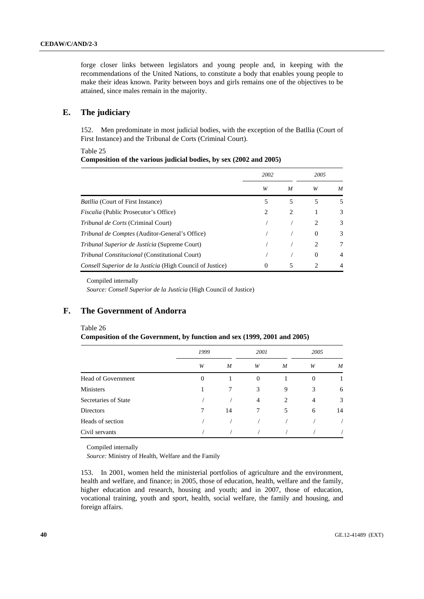forge closer links between legislators and young people and, in keeping with the recommendations of the United Nations, to constitute a body that enables young people to make their ideas known. Parity between boys and girls remains one of the objectives to be attained, since males remain in the majority.

## **E. The judiciary**

152. Men predominate in most judicial bodies, with the exception of the Batllia (Court of First Instance) and the Tribunal de Corts (Criminal Court).

#### Table 25

## **Composition of the various judicial bodies, by sex (2002 and 2005)**

|                                                                  | 2002                          |   | 2005           |                |
|------------------------------------------------------------------|-------------------------------|---|----------------|----------------|
|                                                                  | W                             | M | W              | M              |
| <i>Batllia</i> (Court of First Instance)                         | 5                             | 5 | 5              | 5              |
| <i>Fiscalia</i> (Public Prosecutor's Office)                     | $\mathfrak{D}_{\mathfrak{p}}$ | 2 |                | 3              |
| <i>Tribunal de Corts</i> (Criminal Court)                        |                               |   | 2              | 3              |
| <i>Tribunal de Comptes</i> (Auditor-General's Office)            |                               |   | $\theta$       | 3              |
| <i>Tribunal Superior de Justícia</i> (Supreme Court)             |                               |   | 2              | 7              |
| <i>Tribunal Constitucional</i> (Constitutional Court)            |                               |   | $\Omega$       | $\overline{4}$ |
| <i>Consell Superior de la Justícia</i> (High Council of Justice) | $\Omega$                      | 5 | $\mathfrak{D}$ | $\overline{4}$ |

Compiled internally

*Source: Consell Superior de la Justícia* (High Council of Justice)

# **F. The Government of Andorra**

#### Table 26

**Composition of the Government, by function and sex (1999, 2001 and 2005)** 

|                      | 1999           |    | 2001           |   | 2005           |                  |
|----------------------|----------------|----|----------------|---|----------------|------------------|
|                      | W              | M  | W              | M | W              | $\boldsymbol{M}$ |
| Head of Government   | $\overline{0}$ |    | $\overline{0}$ |   | $\theta$       |                  |
| Ministers            |                | 7  | 3              | 9 | 3              | 6                |
| Secretaries of State |                |    | 4              | 2 | $\overline{4}$ | 3                |
| <b>Directors</b>     | 7              | 14 | 7              | 5 | 6              | 14               |
| Heads of section     |                |    |                |   |                |                  |
| Civil servants       |                |    |                |   |                |                  |

Compiled internally

*Source:* Ministry of Health, Welfare and the Family

153. In 2001, women held the ministerial portfolios of agriculture and the environment, health and welfare, and finance; in 2005, those of education, health, welfare and the family, higher education and research, housing and youth; and in 2007, those of education, vocational training, youth and sport, health, social welfare, the family and housing, and foreign affairs.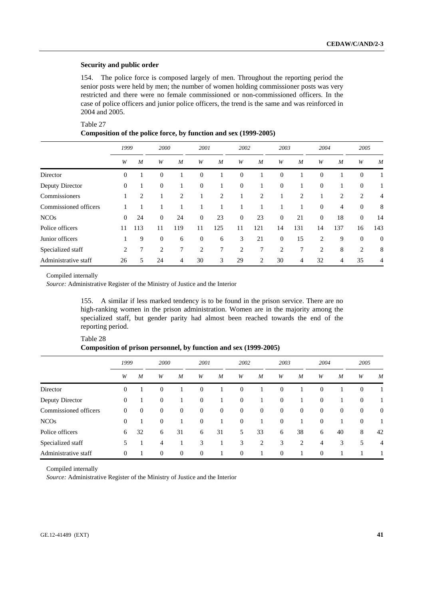#### **Security and public order**

154. The police force is composed largely of men. Throughout the reporting period the senior posts were held by men; the number of women holding commissioner posts was very restricted and there were no female commissioned or non-commissioned officers. In the case of police officers and junior police officers, the trend is the same and was reinforced in 2004 and 2005.

| Table 27                                                         |
|------------------------------------------------------------------|
| Composition of the police force, by function and sex (1999-2005) |
|                                                                  |

|                       | 1999             |                | 2000             |                  | 2001           |     | 2002     |                | 2003             |                | 2004           |                | 2005             |                  |
|-----------------------|------------------|----------------|------------------|------------------|----------------|-----|----------|----------------|------------------|----------------|----------------|----------------|------------------|------------------|
|                       | W                | $\overline{M}$ | W                | $\boldsymbol{M}$ | W              | M   | W        | M              | W                | $\overline{M}$ | W              | $\overline{M}$ | W                | M                |
| Director              | $\boldsymbol{0}$ |                | $\boldsymbol{0}$ |                  | $\mathbf{0}$   |     | $\theta$ |                | $\mathbf{0}$     |                | $\theta$       |                | $\boldsymbol{0}$ |                  |
| Deputy Director       | $\mathbf{0}$     |                | $\mathbf{0}$     |                  | $\mathbf{0}$   |     | $\theta$ |                | $\theta$         |                | $\mathbf{0}$   |                | $\theta$         |                  |
| Commissioners         |                  | 2              |                  | $\overline{c}$   |                | 2   |          | $\overline{2}$ |                  | $\overline{c}$ |                | 2              | 2                | 4                |
| Commissioned officers |                  |                |                  |                  |                |     |          |                |                  |                | $\overline{0}$ | $\overline{4}$ | $\mathbf{0}$     | 8                |
| <b>NCOs</b>           | $\theta$         | 24             | $\boldsymbol{0}$ | 24               | $\mathbf{0}$   | 23  | $\theta$ | 23             | $\boldsymbol{0}$ | 21             | $\mathbf{0}$   | 18             | $\mathbf{0}$     | 14               |
| Police officers       | 11               | 113            | 11               | 119              | 11             | 125 | 11       | 121            | 14               | 131            | 14             | 137            | 16               | 143              |
| Junior officers       |                  | 9              | $\overline{0}$   | 6                | $\overline{0}$ | 6   | 3        | 21             | $\mathbf{0}$     | 15             | 2              | 9              | $\theta$         | $\boldsymbol{0}$ |
| Specialized staff     | 2                | 7              | 2                | 7                | 2              | 7   | 2        | 7              | 2                | 7              | 2              | 8              | 2                | 8                |
| Administrative staff  | 26               | 5              | 24               | 4                | 30             | 3   | 29       | 2              | 30               | 4              | 32             | 4              | 35               | 4                |

Compiled internally

*Source:* Administrative Register of the Ministry of Justice and the Interior

155. A similar if less marked tendency is to be found in the prison service. There are no high-ranking women in the prison administration. Women are in the majority among the specialized staff, but gender parity had almost been reached towards the end of the reporting period.

| Table 28                                                         |  |  |  |
|------------------------------------------------------------------|--|--|--|
| Composition of prison personnel, by function and sex (1999-2005) |  |  |  |

|                       | 1999             |              | 2000             |                | 2001             |                  | 2002           |                | 2003             |                |                | 2004         |                  | 2005             |
|-----------------------|------------------|--------------|------------------|----------------|------------------|------------------|----------------|----------------|------------------|----------------|----------------|--------------|------------------|------------------|
|                       | W                | M            | W                | M              | W                | M                | W              | M              | W                | M              | W              | M            | W                | M                |
| Director              | $\mathbf{0}$     |              | $\theta$         |                | $\overline{0}$   |                  | $\theta$       |                | $\theta$         |                | $\overline{0}$ |              | $\theta$         |                  |
| Deputy Director       | $\boldsymbol{0}$ |              | $\theta$         |                | $\overline{0}$   |                  | $\theta$       | 1              | $\boldsymbol{0}$ |                | $\overline{0}$ |              | $\boldsymbol{0}$ |                  |
| Commissioned officers | $\mathbf{0}$     | $\mathbf{0}$ | $\boldsymbol{0}$ | $\overline{0}$ | $\boldsymbol{0}$ | $\boldsymbol{0}$ | $\theta$       | $\mathbf{0}$   | $\boldsymbol{0}$ | $\overline{0}$ | $\theta$       | $\mathbf{0}$ | $\theta$         | $\boldsymbol{0}$ |
| <b>NCOs</b>           | 0                |              | $\boldsymbol{0}$ |                | $\theta$         |                  | $\mathbf{0}$   |                | $\boldsymbol{0}$ |                | $\mathbf{0}$   |              | $\mathbf{0}$     |                  |
| Police officers       | 6                | 32           | 6                | 31             | 6                | 31               | 5              | 33             | 6                | 38             | 6              | 40           | 8                | 42               |
| Specialized staff     | 5                |              | 4                |                | 3                |                  | 3              | $\overline{2}$ | 3                | 2              | 4              | 3            | 5                | $\overline{4}$   |
| Administrative staff  | $\mathbf{0}$     |              | $\theta$         | $\overline{0}$ | $\overline{0}$   |                  | $\overline{0}$ | 1              | $\overline{0}$   |                | $\theta$       |              |                  |                  |

Compiled internally

*Source:* Administrative Register of the Ministry of Justice and the Interior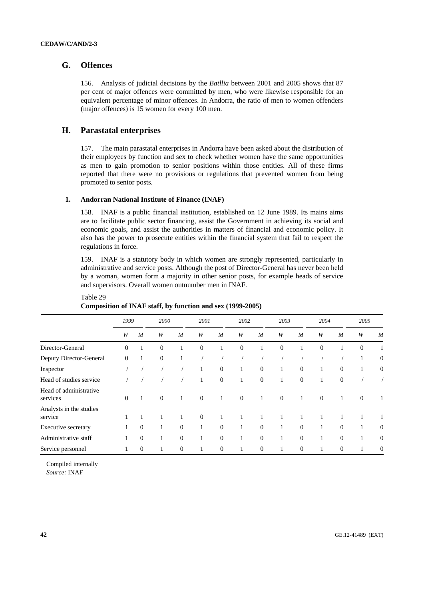## **G. Offences**

156. Analysis of judicial decisions by the *Batllia* between 2001 and 2005 shows that 87 per cent of major offences were committed by men, who were likewise responsible for an equivalent percentage of minor offences. In Andorra, the ratio of men to women offenders (major offences) is 15 women for every 100 men.

## **H. Parastatal enterprises**

Table 29

157. The main parastatal enterprises in Andorra have been asked about the distribution of their employees by function and sex to check whether women have the same opportunities as men to gain promotion to senior positions within those entities. All of these firms reported that there were no provisions or regulations that prevented women from being promoted to senior posts.

#### **1. Andorran National Institute of Finance (INAF)**

158. INAF is a public financial institution, established on 12 June 1989. Its mains aims are to facilitate public sector financing, assist the Government in achieving its social and economic goals, and assist the authorities in matters of financial and economic policy. It also has the power to prosecute entities within the financial system that fail to respect the regulations in force.

159. INAF is a statutory body in which women are strongly represented, particularly in administrative and service posts. Although the post of Director-General has never been held by a woman, women form a majority in other senior posts, for example heads of service and supervisors. Overall women outnumber men in INAF.

|                                    | 1999         |                  | 2000           |              | 2001           |              | 2002           |                  | 2003         |                |          | 2004<br>2005     |              |                  |
|------------------------------------|--------------|------------------|----------------|--------------|----------------|--------------|----------------|------------------|--------------|----------------|----------|------------------|--------------|------------------|
|                                    | W            | $\boldsymbol{M}$ | W              | M            | W              | M            | W              | $\boldsymbol{M}$ | W            | M              | W        | $\boldsymbol{M}$ | W            | M                |
| Director-General                   | $\Omega$     | $\mathbf{1}$     | $\overline{0}$ | 1            | $\overline{0}$ |              | $\theta$       |                  | $\theta$     |                | $\Omega$ |                  | $\mathbf{0}$ | 1                |
| Deputy Director-General            | $\Omega$     | 1                | $\mathbf{0}$   | 1            |                |              |                |                  |              |                |          |                  | 1            | $\mathbf{0}$     |
| Inspector                          |              |                  |                |              |                | $\theta$     | 1              | $\mathbf{0}$     | 1            | $\theta$       | 1        | $\overline{0}$   | 1            | $\mathbf{0}$     |
| Head of studies service            |              |                  |                |              |                | $\mathbf{0}$ | 1              | $\mathbf{0}$     | 1            | $\overline{0}$ |          | $\mathbf{0}$     |              |                  |
| Head of administrative<br>services | $\theta$     | $\mathbf{1}$     | $\mathbf{0}$   | $\mathbf{1}$ | $\overline{0}$ | 1            | $\overline{0}$ | 1                | $\mathbf{0}$ | $\mathbf{1}$   | $\theta$ | 1                | $\mathbf{0}$ | 1                |
| Analysts in the studies<br>service |              |                  |                | 1            | $\mathbf{0}$   |              |                |                  |              |                |          |                  |              |                  |
| Executive secretary                |              | $\theta$         | 1              | $\Omega$     | 1              | $\Omega$     | 1              | $\mathbf{0}$     | 1            | $\Omega$       | 1        | $\Omega$         | $\mathbf{1}$ | $\boldsymbol{0}$ |
| Administrative staff               |              | $\theta$         | 1              | $\mathbf{0}$ |                | $\theta$     | 1              | $\mathbf{0}$     | 1            | $\mathbf{0}$   | 1        | $\theta$         | 1            | $\theta$         |
| Service personnel                  | $\mathbf{1}$ | $\boldsymbol{0}$ | 1              | $\mathbf{0}$ |                | $\theta$     | $\perp$        | $\boldsymbol{0}$ | 1            | $\theta$       |          | $\overline{0}$   | 1            | $\boldsymbol{0}$ |

## **Composition of INAF staff, by function and sex (1999-2005)**

Compiled internally *Source:* INAF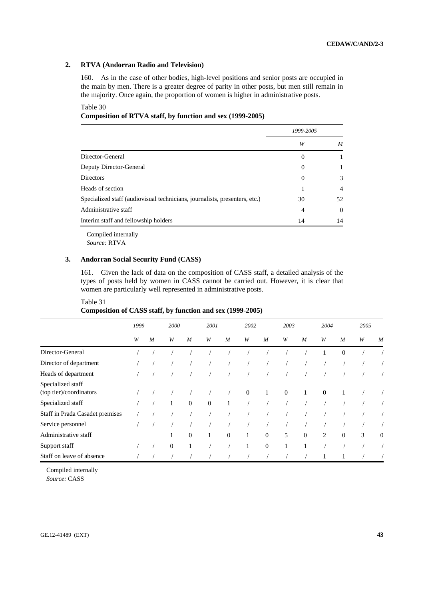## **2. RTVA (Andorran Radio and Television)**

160. As in the case of other bodies, high-level positions and senior posts are occupied in the main by men. There is a greater degree of parity in other posts, but men still remain in the majority. Once again, the proportion of women is higher in administrative posts.

Table 30

**Composition of RTVA staff, by function and sex (1999-2005)** 

|                                                                            | 1999-2005 |                |
|----------------------------------------------------------------------------|-----------|----------------|
|                                                                            | W         | M              |
| Director-General                                                           | $\theta$  |                |
| Deputy Director-General                                                    | $\theta$  |                |
| <b>Directors</b>                                                           | 0         | 3              |
| Heads of section                                                           |           | $\overline{4}$ |
| Specialized staff (audiovisual technicians, journalists, presenters, etc.) | 30        | 52             |
| Administrative staff                                                       | 4         | $\theta$       |
| Interim staff and fellowship holders                                       | 14        | 14             |

Compiled internally *Source:* RTVA

## **3. Andorran Social Security Fund (CASS)**

161. Given the lack of data on the composition of CASS staff, a detailed analysis of the types of posts held by women in CASS cannot be carried out. However, it is clear that women are particularly well represented in administrative posts.

## Table 31 **Composition of CASS staff, by function and sex (1999-2005)**

|                                              | 1999 | 2001<br>2002<br>2000<br>2003 |              | 2004           |                | 2005           |              |              |              |                  |              |                |   |                  |
|----------------------------------------------|------|------------------------------|--------------|----------------|----------------|----------------|--------------|--------------|--------------|------------------|--------------|----------------|---|------------------|
|                                              | W    | $\overline{M}$               | W            | $\overline{M}$ | W              | $\overline{M}$ | W            | M            | W            | $\boldsymbol{M}$ | W            | $\overline{M}$ | W | M                |
| Director-General                             |      |                              |              |                |                |                |              |              |              |                  |              | $\mathbf{0}$   |   |                  |
| Director of department                       |      |                              |              |                |                |                |              |              |              |                  |              |                |   |                  |
| Heads of department                          |      |                              |              |                |                |                |              |              |              |                  |              |                |   |                  |
| Specialized staff<br>(top tier)/coordinators |      |                              |              |                |                |                | $\mathbf{0}$ | $\mathbf{1}$ | $\mathbf{0}$ | $\mathbf{1}$     | $\mathbf{0}$ |                |   |                  |
| Specialized staff                            |      |                              |              | $\overline{0}$ | $\overline{0}$ |                |              |              |              |                  |              |                |   |                  |
| Staff in Prada Casadet premises              |      |                              |              |                |                |                |              |              |              |                  |              |                |   |                  |
| Service personnel                            |      |                              |              |                |                |                |              |              |              |                  |              |                |   |                  |
| Administrative staff                         |      |                              |              | $\mathbf{0}$   | 1              | $\Omega$       | $\mathbf{1}$ | $\Omega$     | 5            | $\overline{0}$   | 2            | $\overline{0}$ | 3 | $\boldsymbol{0}$ |
| Support staff                                |      |                              | $\mathbf{0}$ |                |                |                |              | $\Omega$     |              | 1                |              |                |   |                  |
| Staff on leave of absence                    |      |                              |              |                |                |                |              |              |              |                  |              |                |   |                  |

Compiled internally

*Source:* CASS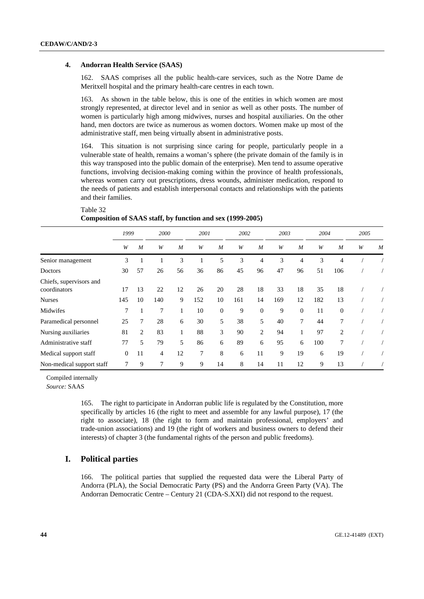#### **4. Andorran Health Service (SAAS)**

162. SAAS comprises all the public health-care services, such as the Notre Dame de Meritxell hospital and the primary health-care centres in each town.

163. As shown in the table below, this is one of the entities in which women are most strongly represented, at director level and in senior as well as other posts. The number of women is particularly high among midwives, nurses and hospital auxiliaries. On the other hand, men doctors are twice as numerous as women doctors. Women make up most of the administrative staff, men being virtually absent in administrative posts.

164. This situation is not surprising since caring for people, particularly people in a vulnerable state of health, remains a woman's sphere (the private domain of the family is in this way transposed into the public domain of the enterprise). Men tend to assume operative functions, involving decision-making coming within the province of health professionals, whereas women carry out prescriptions, dress wounds, administer medication, respond to the needs of patients and establish interpersonal contacts and relationships with the patients and their families.

Table 32 **Composition of SAAS staff, by function and sex (1999-2005)** 

|                                         | 1999         |                | 2000   |                  | 2001 |                | 2002 |                | 2003 |                | 2004 |                | 2005 |            |
|-----------------------------------------|--------------|----------------|--------|------------------|------|----------------|------|----------------|------|----------------|------|----------------|------|------------|
|                                         | W            | $\overline{M}$ | W      | $\boldsymbol{M}$ | W    | $\overline{M}$ | W    | $\overline{M}$ | W    | $\overline{M}$ | W    | $\overline{M}$ | W    | M          |
| Senior management                       | 3            |                |        | 3                |      | 5              | 3    | 4              | 3    | 4              | 3    | 4              |      |            |
| Doctors                                 | 30           | 57             | 26     | 56               | 36   | 86             | 45   | 96             | 47   | 96             | 51   | 106            |      |            |
| Chiefs, supervisors and<br>coordinators | 17           | 13             | 22     | 12               | 26   | 20             | 28   | 18             | 33   | 18             | 35   | 18             |      |            |
| <b>Nurses</b>                           | 145          | 10             | 140    | 9                | 152  | 10             | 161  | 14             | 169  | 12             | 182  | 13             |      |            |
| Midwifes                                | 7            |                | 7      | $\mathbf{I}$     | 10   | $\theta$       | 9    | $\mathbf{0}$   | 9    | $\overline{0}$ | 11   | $\theta$       |      |            |
| Paramedical personnel                   | 25           | 7              | 28     | 6                | 30   | 5              | 38   | 5              | 40   | 7              | 44   | 7              |      |            |
| Nursing auxiliaries                     | 81           | $\overline{2}$ | 83     | 1                | 88   | 3              | 90   | $\overline{2}$ | 94   | 1              | 97   | $\overline{2}$ |      |            |
| Administrative staff                    | 77           | 5              | 79     | 5                | 86   | 6              | 89   | 6              | 95   | 6              | 100  | 7              |      | $\sqrt{2}$ |
| Medical support staff                   | $\mathbf{0}$ | 11             | 4      | 12               | 7    | 8              | 6    | 11             | 9    | 19             | 6    | 19             |      | $\sqrt{2}$ |
| Non-medical support staff               | 7            | 9              | $\tau$ | 9                | 9    | 14             | 8    | 14             | 11   | 12             | 9    | 13             |      | $\prime$   |

Compiled internally

*Source:* SAAS

165. The right to participate in Andorran public life is regulated by the Constitution, more specifically by articles 16 (the right to meet and assemble for any lawful purpose), 17 (the right to associate), 18 (the right to form and maintain professional, employers' and trade-union associations) and 19 (the right of workers and business owners to defend their interests) of chapter 3 (the fundamental rights of the person and public freedoms).

## **I. Political parties**

166. The political parties that supplied the requested data were the Liberal Party of Andorra (PLA), the Social Democratic Party (PS) and the Andorra Green Party (VA). The Andorran Democratic Centre – Century 21 (CDA-S.XXI) did not respond to the request.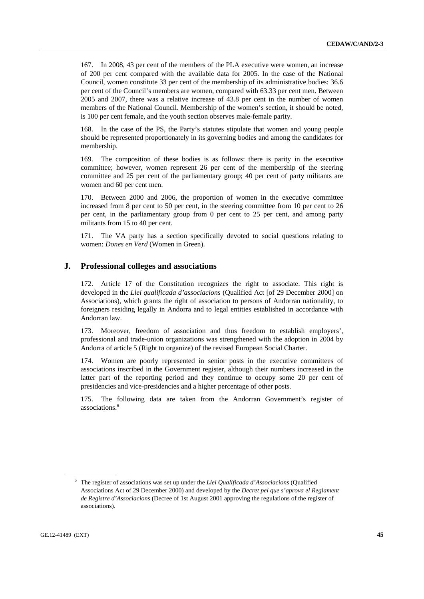167. In 2008, 43 per cent of the members of the PLA executive were women, an increase of 200 per cent compared with the available data for 2005. In the case of the National Council, women constitute 33 per cent of the membership of its administrative bodies: 36.6 per cent of the Council's members are women, compared with 63.33 per cent men. Between 2005 and 2007, there was a relative increase of 43.8 per cent in the number of women members of the National Council. Membership of the women's section, it should be noted, is 100 per cent female, and the youth section observes male-female parity.

168. In the case of the PS, the Party's statutes stipulate that women and young people should be represented proportionately in its governing bodies and among the candidates for membership.

169. The composition of these bodies is as follows: there is parity in the executive committee; however, women represent 26 per cent of the membership of the steering committee and 25 per cent of the parliamentary group; 40 per cent of party militants are women and 60 per cent men.

170. Between 2000 and 2006, the proportion of women in the executive committee increased from 8 per cent to 50 per cent, in the steering committee from 10 per cent to 26 per cent, in the parliamentary group from 0 per cent to 25 per cent, and among party militants from 15 to 40 per cent.

171. The VA party has a section specifically devoted to social questions relating to women: *Dones en Verd* (Women in Green).

## **J. Professional colleges and associations**

172. Article 17 of the Constitution recognizes the right to associate. This right is developed in the *Llei qualificada d'associacions* (Qualified Act [of 29 December 2000] on Associations), which grants the right of association to persons of Andorran nationality, to foreigners residing legally in Andorra and to legal entities established in accordance with Andorran law.

173. Moreover, freedom of association and thus freedom to establish employers', professional and trade-union organizations was strengthened with the adoption in 2004 by Andorra of article 5 (Right to organize) of the revised European Social Charter.

174. Women are poorly represented in senior posts in the executive committees of associations inscribed in the Government register, although their numbers increased in the latter part of the reporting period and they continue to occupy some 20 per cent of presidencies and vice-presidencies and a higher percentage of other posts.

175. The following data are taken from the Andorran Government's register of associations.6

<sup>6</sup> The register of associations was set up under the *Llei Qualificada d'Associacions* (Qualified Associations Act of 29 December 2000) and developed by the *Decret pel que s'aprova el Reglament de Registre d'Associacions* (Decree of 1st August 2001 approving the regulations of the register of associations).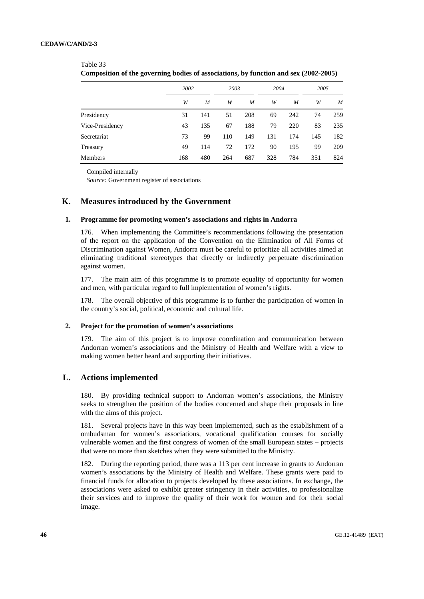#### Table 33

| Composition of the governing bodies of associations, by function and sex (2002-2005) |
|--------------------------------------------------------------------------------------|
|--------------------------------------------------------------------------------------|

|                 | 2002 |     | 2003 |     |     | 2004 |     | 2005 |  |
|-----------------|------|-----|------|-----|-----|------|-----|------|--|
|                 | W    | M   | W    | M   | W   | M    | W   | M    |  |
| Presidency      | 31   | 141 | 51   | 208 | 69  | 242  | 74  | 259  |  |
| Vice-Presidency | 43   | 135 | 67   | 188 | 79  | 220  | 83  | 235  |  |
| Secretariat     | 73   | 99  | 110  | 149 | 131 | 174  | 145 | 182  |  |
| Treasury        | 49   | 114 | 72   | 172 | 90  | 195  | 99  | 209  |  |
| Members         | 168  | 480 | 264  | 687 | 328 | 784  | 351 | 824  |  |

Compiled internally

*Source:* Government register of associations

## **K. Measures introduced by the Government**

#### **1. Programme for promoting women's associations and rights in Andorra**

176. When implementing the Committee's recommendations following the presentation of the report on the application of the Convention on the Elimination of All Forms of Discrimination against Women, Andorra must be careful to prioritize all activities aimed at eliminating traditional stereotypes that directly or indirectly perpetuate discrimination against women.

177. The main aim of this programme is to promote equality of opportunity for women and men, with particular regard to full implementation of women's rights.

178. The overall objective of this programme is to further the participation of women in the country's social, political, economic and cultural life.

#### **2. Project for the promotion of women's associations**

179. The aim of this project is to improve coordination and communication between Andorran women's associations and the Ministry of Health and Welfare with a view to making women better heard and supporting their initiatives.

## **L. Actions implemented**

180. By providing technical support to Andorran women's associations, the Ministry seeks to strengthen the position of the bodies concerned and shape their proposals in line with the aims of this project.

181. Several projects have in this way been implemented, such as the establishment of a ombudsman for women's associations, vocational qualification courses for socially vulnerable women and the first congress of women of the small European states – projects that were no more than sketches when they were submitted to the Ministry.

182. During the reporting period, there was a 113 per cent increase in grants to Andorran women's associations by the Ministry of Health and Welfare. These grants were paid to financial funds for allocation to projects developed by these associations. In exchange, the associations were asked to exhibit greater stringency in their activities, to professionalize their services and to improve the quality of their work for women and for their social image.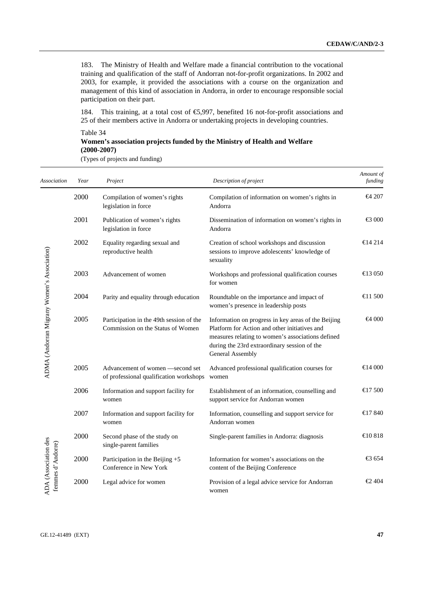183. The Ministry of Health and Welfare made a financial contribution to the vocational training and qualification of the staff of Andorran not-for-profit organizations. In 2002 and 2003, for example, it provided the associations with a course on the organization and management of this kind of association in Andorra, in order to encourage responsible social participation on their part.

184. This training, at a total cost of  $\epsilon$ 5,997, benefited 16 not-for-profit associations and 25 of their members active in Andorra or undertaking projects in developing countries.

Table 34 **Women's association projects funded by the Ministry of Health and Welfare (2000-2007)** 

(Types of projects and funding)

| Association                                 | Year | Project                                                                       | Description of project                                                                                                                                                                                                        | Amount of<br>funding                          |
|---------------------------------------------|------|-------------------------------------------------------------------------------|-------------------------------------------------------------------------------------------------------------------------------------------------------------------------------------------------------------------------------|-----------------------------------------------|
|                                             | 2000 | Compilation of women's rights<br>legislation in force                         | Compilation of information on women's rights in<br>Andorra                                                                                                                                                                    | $\leftrightarrow$ 207                         |
|                                             | 2001 | Publication of women's rights<br>legislation in force                         | Dissemination of information on women's rights in<br>Andorra                                                                                                                                                                  | $\bigoplus$ 000                               |
|                                             | 2002 | Equality regarding sexual and<br>reproductive health                          | Creation of school workshops and discussion<br>sessions to improve adolescents' knowledge of<br>sexuality                                                                                                                     | $\triangleleft$ 4 214                         |
|                                             | 2003 | Advancement of women                                                          | Workshops and professional qualification courses<br>for women                                                                                                                                                                 | $\bigoplus$ 3 050                             |
|                                             | 2004 | Parity and equality through education                                         | Roundtable on the importance and impact of<br>women's presence in leadership posts                                                                                                                                            | $\triangleleft$ 1 500                         |
| ADMA (Andorran Migrany Women's Association) | 2005 | Participation in the 49th session of the<br>Commission on the Status of Women | Information on progress in key areas of the Beijing<br>Platform for Action and other initiatives and<br>measures relating to women's associations defined<br>during the 23rd extraordinary session of the<br>General Assembly | $-64000$                                      |
|                                             | 2005 | Advancement of women -second set<br>of professional qualification workshops   | Advanced professional qualification courses for<br>women                                                                                                                                                                      | $\bigoplus$ 4 000                             |
|                                             | 2006 | Information and support facility for<br>women                                 | Establishment of an information, counselling and<br>support service for Andorran women                                                                                                                                        | $\bigoplus$ 7 500                             |
|                                             | 2007 | Information and support facility for<br>women                                 | Information, counselling and support service for<br>Andorran women                                                                                                                                                            | $\bigoplus$ 7 840                             |
|                                             | 2000 | Second phase of the study on<br>single-parent families                        | Single-parent families in Andorra: diagnosis                                                                                                                                                                                  | €10818                                        |
| ADA (Association des<br>femmes d'Andorre)   | 2000 | Participation in the Beijing +5<br>Conference in New York                     | Information for women's associations on the<br>content of the Beijing Conference                                                                                                                                              | € 654                                         |
|                                             | 2000 | Legal advice for women                                                        | Provision of a legal advice service for Andorran<br>women                                                                                                                                                                     | $\textcolor{red}{\textbf{\textsterling}}$ 404 |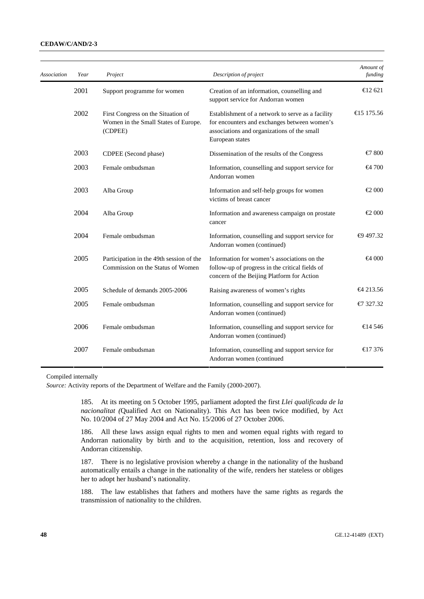#### **CEDAW/C/AND/2-3**

| Association | Year | Project                                                                               | Description of project                                                                                                                                              | Amount of<br>funding  |
|-------------|------|---------------------------------------------------------------------------------------|---------------------------------------------------------------------------------------------------------------------------------------------------------------------|-----------------------|
|             | 2001 | Support programme for women                                                           | Creation of an information, counselling and<br>support service for Andorran women                                                                                   | $\triangleleft$ 2 621 |
|             | 2002 | First Congress on the Situation of<br>Women in the Small States of Europe.<br>(CDPEE) | Establishment of a network to serve as a facility<br>for encounters and exchanges between women's<br>associations and organizations of the small<br>European states | €15 175.56            |
|             | 2003 | CDPEE (Second phase)                                                                  | Dissemination of the results of the Congress                                                                                                                        | €7 800                |
|             | 2003 | Female ombudsman                                                                      | Information, counselling and support service for<br>Andorran women                                                                                                  | $-4700$               |
|             | 2003 | Alba Group                                                                            | Information and self-help groups for women<br>victims of breast cancer                                                                                              | $\epsilon$ 000        |
|             | 2004 | Alba Group                                                                            | Information and awareness campaign on prostate<br>cancer                                                                                                            | $\epsilon$ 000        |
|             | 2004 | Female ombudsman                                                                      | Information, counselling and support service for<br>Andorran women (continued)                                                                                      | ⊕497.32               |
|             | 2005 | Participation in the 49th session of the<br>Commission on the Status of Women         | Information for women's associations on the<br>follow-up of progress in the critical fields of<br>concern of the Beijing Platform for Action                        | $\bigoplus$ 000       |
|             | 2005 | Schedule of demands 2005-2006                                                         | Raising awareness of women's rights                                                                                                                                 | $-4213.56$            |
|             | 2005 | Female ombudsman                                                                      | Information, counselling and support service for<br>Andorran women (continued)                                                                                      | $\bigoplus$ 327.32    |
|             | 2006 | Female ombudsman                                                                      | Information, counselling and support service for<br>Andorran women (continued)                                                                                      | €14 546               |
|             | 2007 | Female ombudsman                                                                      | Information, counselling and support service for<br>Andorran women (continued                                                                                       | $\bigoplus$ 7 376     |

Compiled internally

*Source:* Activity reports of the Department of Welfare and the Family (2000-2007).

185. At its meeting on 5 October 1995, parliament adopted the first *Llei qualificada de la nacionalitat (*Qualified Act on Nationality). This Act has been twice modified, by Act No. 10/2004 of 27 May 2004 and Act No. 15/2006 of 27 October 2006.

186. All these laws assign equal rights to men and women equal rights with regard to Andorran nationality by birth and to the acquisition, retention, loss and recovery of Andorran citizenship.

187. There is no legislative provision whereby a change in the nationality of the husband automatically entails a change in the nationality of the wife, renders her stateless or obliges her to adopt her husband's nationality.

188. The law establishes that fathers and mothers have the same rights as regards the transmission of nationality to the children.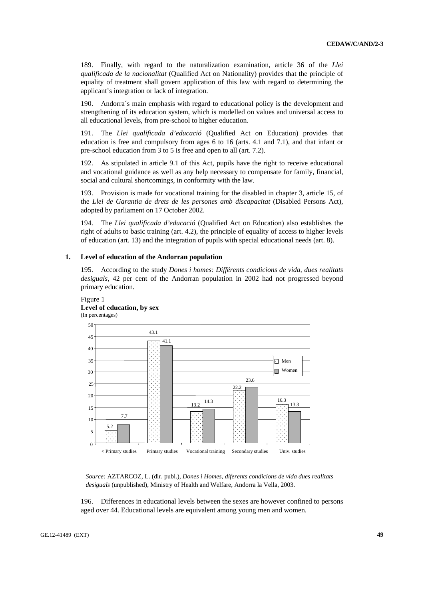189. Finally, with regard to the naturalization examination, article 36 of the *Llei qualificada de la nacionalitat* (Qualified Act on Nationality) provides that the principle of equality of treatment shall govern application of this law with regard to determining the applicant's integration or lack of integration.

190. Andorra´s main emphasis with regard to educational policy is the development and strengthening of its education system, which is modelled on values and universal access to all educational levels, from pre-school to higher education.

191. The *Llei qualificada d'educació* (Qualified Act on Education) provides that education is free and compulsory from ages 6 to 16 (arts. 4.1 and 7.1), and that infant or pre-school education from 3 to 5 is free and open to all (art. 7.2).

192. As stipulated in article 9.1 of this Act, pupils have the right to receive educational and vocational guidance as well as any help necessary to compensate for family, financial, social and cultural shortcomings, in conformity with the law.

193. Provision is made for vocational training for the disabled in chapter 3, article 15, of the *Llei de Garantia de drets de les persones amb discapacitat* (Disabled Persons Act), adopted by parliament on 17 October 2002.

194. The *Llei qualificada d'educació* (Qualified Act on Education) also establishes the right of adults to basic training (art. 4.2), the principle of equality of access to higher levels of education (art. 13) and the integration of pupils with special educational needs (art. 8).

#### **1. Level of education of the Andorran population**

195. According to the study *Dones i homes: Différents condicions de vida, dues realitats desiguals*, 42 per cent of the Andorran population in 2002 had not progressed beyond primary education.

## Figure 1 **Level of education, by sex**



*Source:* AZTARCOZ, L. (dir. publ.), *Dones i Homes, diferents condicions de vida dues realitats desiguals* (unpublished), Ministry of Health and Welfare, Andorra la Vella, 2003.

196. Differences in educational levels between the sexes are however confined to persons aged over 44. Educational levels are equivalent among young men and women.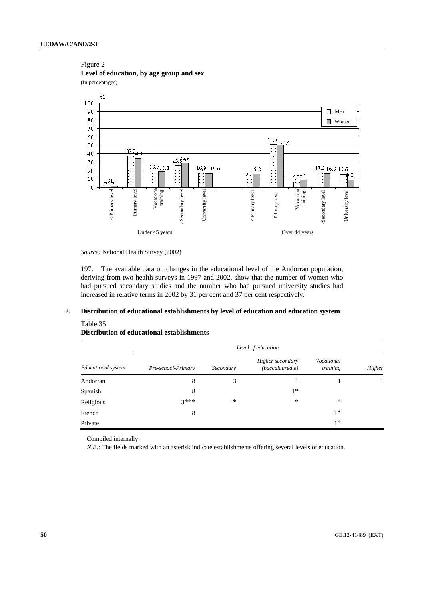#### Figure 2 **Level of education, by age group and sex**

(In percentages)



*Source:* National Health Survey (2002)

197. The available data on changes in the educational level of the Andorran population, deriving from two health surveys in 1997 and 2002, show that the number of women who had pursued secondary studies and the number who had pursued university studies had increased in relative terms in 2002 by 31 per cent and 37 per cent respectively.

## **2. Distribution of educational establishments by level of education and education system**

#### Table 35

## **Distribution of educational establishments**

|                    | Level of education |           |                                     |                        |        |  |  |  |
|--------------------|--------------------|-----------|-------------------------------------|------------------------|--------|--|--|--|
| Educational system | Pre-school-Primary | Secondary | Higher secondary<br>(baccalaureate) | Vocational<br>training | Higher |  |  |  |
| Andorran           | 8                  | 3         |                                     |                        |        |  |  |  |
| Spanish            | 8                  |           | $1*$                                |                        |        |  |  |  |
| Religious          | $3***$             | ∗         | ∗                                   | *                      |        |  |  |  |
| French             | 8                  |           |                                     | $1*$                   |        |  |  |  |
| Private            |                    |           |                                     | $1*$                   |        |  |  |  |

Compiled internally

*N.B.*: The fields marked with an asterisk indicate establishments offering several levels of education.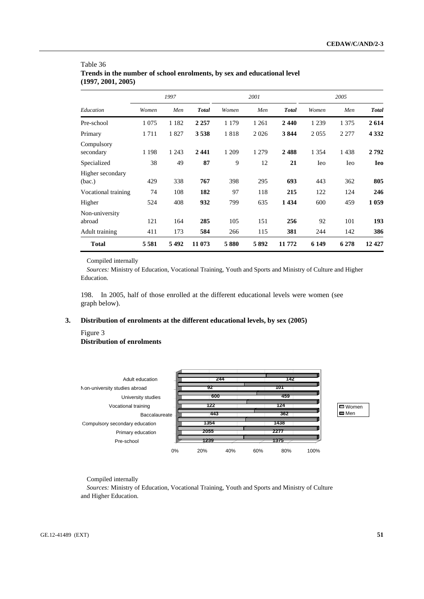|                            |         | 1997    |              |         | 2001    |              |             | 2005        |              |
|----------------------------|---------|---------|--------------|---------|---------|--------------|-------------|-------------|--------------|
| Education                  | Women   | Men     | <b>Total</b> | Women   | Men     | <b>Total</b> | Women       | Men         | <b>Total</b> |
| Pre-school                 | 1 0 7 5 | 1 1 8 2 | 2 2 5 7      | 1 1 7 9 | 1 2 6 1 | 2440         | 1 2 3 9     | 1 3 7 5     | 2614         |
| Primary                    | 1711    | 1827    | 3538         | 1818    | 2026    | 3844         | 2 0 5 5     | 2 2 7 7     | 4 3 3 2      |
| Compulsory<br>secondary    | 1 1 9 8 | 1 2 4 3 | 2441         | 1 209   | 1 2 7 9 | 2488         | 1 3 5 4     | 1438        | 2792         |
| Specialized                | 38      | 49      | 87           | 9       | 12      | 21           | <b>I</b> eo | <b>I</b> eo | <b>Ieo</b>   |
| Higher secondary<br>(bac.) | 429     | 338     | 767          | 398     | 295     | 693          | 443         | 362         | 805          |
| Vocational training        | 74      | 108     | 182          | 97      | 118     | 215          | 122         | 124         | 246          |
| Higher                     | 524     | 408     | 932          | 799     | 635     | 1 4 3 4      | 600         | 459         | 1059         |
| Non-university<br>abroad   | 121     | 164     | 285          | 105     | 151     | 256          | 92          | 101         | 193          |
| Adult training             | 411     | 173     | 584          | 266     | 115     | 381          | 244         | 142         | 386          |
| <b>Total</b>               | 5581    | 5492    | 11 073       | 5880    | 5892    | 11 772       | 6 1 4 9     | 6 2 7 8     | 12427        |

## Table 36 **Trends in the number of school enrolments, by sex and educational level (1997, 2001, 2005)**

Compiled internally

*Sources:* Ministry of Education, Vocational Training, Youth and Sports and Ministry of Culture and Higher Education.

198. In 2005, half of those enrolled at the different educational levels were women (see graph below).

## **3. Distribution of enrolments at the different educational levels, by sex (2005)**

## Figure 3 **Distribution of enrolments**



Women  $\Box$  Men

Compiled internally

*Sources:* Ministry of Education, Vocational Training, Youth and Sports and Ministry of Culture and Higher Education.

GE.12-41489 (EXT) **51**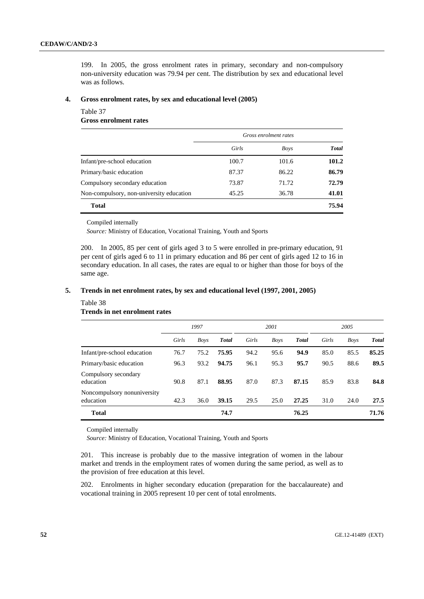199. In 2005, the gross enrolment rates in primary, secondary and non-compulsory non-university education was 79.94 per cent. The distribution by sex and educational level was as follows.

## **4. Gross enrolment rates, by sex and educational level (2005)**

#### Table 37

**Gross enrolment rates** 

|                                          | Gross enrolment rates |             |              |  |
|------------------------------------------|-----------------------|-------------|--------------|--|
|                                          | Girls                 | <b>Boys</b> | <b>Total</b> |  |
| Infant/pre-school education              | 100.7                 | 101.6       | 101.2        |  |
| Primary/basic education                  | 87.37                 | 86.22       | 86.79        |  |
| Compulsory secondary education           | 73.87                 | 71.72       | 72.79        |  |
| Non-compulsory, non-university education | 45.25                 | 36.78       | 41.01        |  |
| <b>Total</b>                             |                       |             | 75.94        |  |

#### Compiled internally

*Source:* Ministry of Education, Vocational Training, Youth and Sports

200. In 2005, 85 per cent of girls aged 3 to 5 were enrolled in pre-primary education, 91 per cent of girls aged 6 to 11 in primary education and 86 per cent of girls aged 12 to 16 in secondary education. In all cases, the rates are equal to or higher than those for boys of the same age.

#### **5. Trends in net enrolment rates, by sex and educational level (1997, 2001, 2005)**

#### Table 38 **Trends in net enrolment rates**

|                                          | 1997  |      | 2001         |       |             | 2005         |       |             |              |
|------------------------------------------|-------|------|--------------|-------|-------------|--------------|-------|-------------|--------------|
|                                          | Girls | Boys | <b>Total</b> | Girls | <b>Boys</b> | <b>Total</b> | Girls | <b>Boys</b> | <b>Total</b> |
| Infant/pre-school education              | 76.7  | 75.2 | 75.95        | 94.2  | 95.6        | 94.9         | 85.0  | 85.5        | 85.25        |
| Primary/basic education                  | 96.3  | 93.2 | 94.75        | 96.1  | 95.3        | 95.7         | 90.5  | 88.6        | 89.5         |
| Compulsory secondary<br>education        | 90.8  | 87.1 | 88.95        | 87.0  | 87.3        | 87.15        | 85.9  | 83.8        | 84.8         |
| Noncompulsory nonuniversity<br>education | 42.3  | 36.0 | 39.15        | 29.5  | 25.0        | 27.25        | 31.0  | 24.0        | 27.5         |
| <b>Total</b>                             |       |      | 74.7         |       |             | 76.25        |       |             | 71.76        |

Compiled internally

*Source:* Ministry of Education, Vocational Training, Youth and Sports

201. This increase is probably due to the massive integration of women in the labour market and trends in the employment rates of women during the same period, as well as to the provision of free education at this level.

202. Enrolments in higher secondary education (preparation for the baccalaureate) and vocational training in 2005 represent 10 per cent of total enrolments.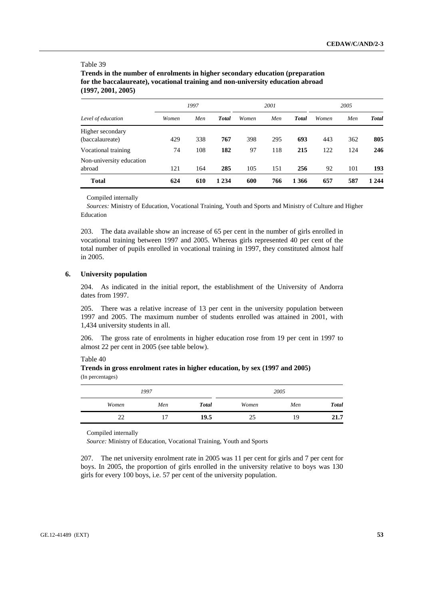#### Table 39

**Trends in the number of enrolments in higher secondary education (preparation for the baccalaureate), vocational training and non-university education abroad (1997, 2001, 2005)** 

|                          | 1997<br>2001 |     |              |       |     | 2005         |       |     |              |
|--------------------------|--------------|-----|--------------|-------|-----|--------------|-------|-----|--------------|
| Level of education       | Women        | Men | <b>Total</b> | Women | Men | <b>Total</b> | Women | Men | <b>Total</b> |
| Higher secondary         |              |     |              |       |     |              |       |     |              |
| (baccalaureate)          | 429          | 338 | 767          | 398   | 295 | 693          | 443   | 362 | 805          |
| Vocational training      | 74           | 108 | 182          | 97    | 118 | 215          | 122   | 124 | 246          |
| Non-university education |              |     |              |       |     |              |       |     |              |
| abroad                   | 121          | 164 | 285          | 105   | 151 | 256          | 92    | 101 | 193          |
| <b>Total</b>             | 624          | 610 | 1 2 3 4      | 600   | 766 | 1 3 6 6      | 657   | 587 | 1 2 4 4      |

Compiled internally

*Sources:* Ministry of Education, Vocational Training, Youth and Sports and Ministry of Culture and Higher Education

203. The data available show an increase of 65 per cent in the number of girls enrolled in vocational training between 1997 and 2005. Whereas girls represented 40 per cent of the total number of pupils enrolled in vocational training in 1997, they constituted almost half in 2005.

#### **6. University population**

204. As indicated in the initial report, the establishment of the University of Andorra dates from 1997.

205. There was a relative increase of 13 per cent in the university population between 1997 and 2005. The maximum number of students enrolled was attained in 2001, with 1,434 university students in all.

206. The gross rate of enrolments in higher education rose from 19 per cent in 1997 to almost 22 per cent in 2005 (see table below).

Table 40

**Trends in gross enrolment rates in higher education, by sex (1997 and 2005)**  (In percentages)

| 1997     |     |              |       | 2005 |              |
|----------|-----|--------------|-------|------|--------------|
| Women    | Men | <b>Total</b> | Women | Men  | <b>Total</b> |
| າາ<br>-- | -   | 19.5         | 25    | 19   | 21.7         |

Compiled internally

*Source:* Ministry of Education, Vocational Training, Youth and Sports

207. The net university enrolment rate in 2005 was 11 per cent for girls and 7 per cent for boys. In 2005, the proportion of girls enrolled in the university relative to boys was 130 girls for every 100 boys, i.e. 57 per cent of the university population.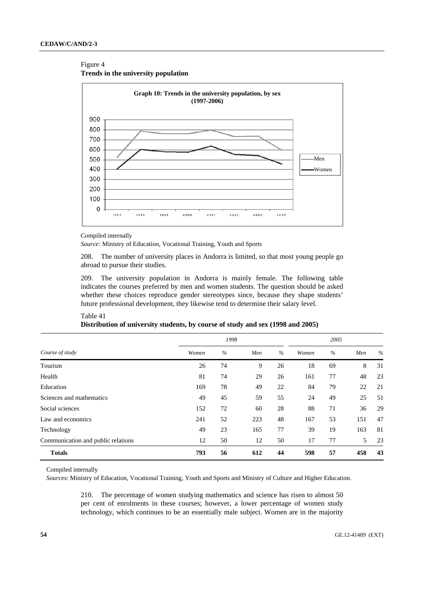## Figure 4





#### Compiled internally

*Source:* Ministry of Education, Vocational Training, Youth and Sports

208. The number of university places in Andorra is limited, so that most young people go abroad to pursue their studies.

209. The university population in Andorra is mainly female. The following table indicates the courses preferred by men and women students. The question should be asked whether these choices reproduce gender stereotypes since, because they shape students' future professional development, they likewise tend to determine their salary level.

|                                    |       | 2005 |     |      |       |               |     |      |
|------------------------------------|-------|------|-----|------|-------|---------------|-----|------|
| Course of study                    | Women | $\%$ | Men | $\%$ | Women | $\frac{0}{0}$ | Men | $\%$ |
| Tourism                            | 26    | 74   | 9   | 26   | 18    | 69            | 8   | 31   |
| Health                             | 81    | 74   | 29  | 26   | 161   | 77            | 48  | 23   |
| Education                          | 169   | 78   | 49  | 22   | 84    | 79            | 22  | 21   |
| Sciences and mathematics           | 49    | 45   | 59  | 55   | 24    | 49            | 25  | 51   |
| Social sciences                    | 152   | 72   | 60  | 28   | 88    | 71            | 36  | 29   |
| Law and economics                  | 241   | 52   | 223 | 48   | 167   | 53            | 151 | 47   |
| Technology                         | 49    | 23   | 165 | 77   | 39    | 19            | 163 | 81   |
| Communication and public relations | 12    | 50   | 12  | 50   | 17    | 77            | 5   | 23   |
| <b>Totals</b>                      | 793   | 56   | 612 | 44   | 598   | 57            | 458 | 43   |

#### Table 41 **Distribution of university students, by course of study and sex (1998 and 2005)**

Compiled internally

*Sources*: Ministry of Education, Vocational Training, Youth and Sports and Ministry of Culture and Higher Education.

210. The percentage of women studying mathematics and science has risen to almost 50 per cent of enrolments in these courses; however, a lower percentage of women study technology, which continues to be an essentially male subject. Women are in the majority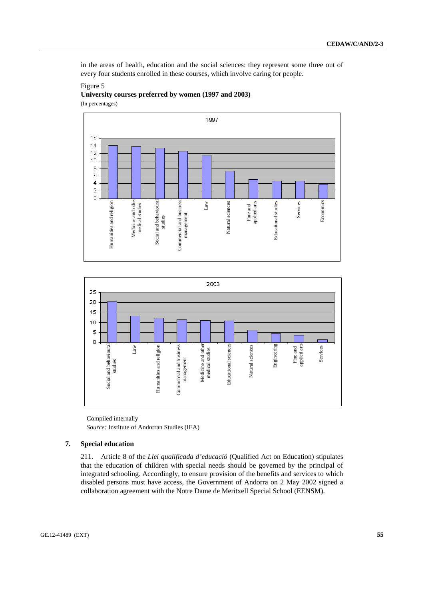in the areas of health, education and the social sciences: they represent some three out of every four students enrolled in these courses, which involve caring for people.

## Figure 5

**University courses preferred by women (1997 and 2003)**  (In percentages)





Compiled internally *Source:* Institute of Andorran Studies (IEA)

## **7. Special education**

211. Article 8 of the *Llei qualificada d'educació* (Qualified Act on Education) stipulates that the education of children with special needs should be governed by the principal of integrated schooling. Accordingly, to ensure provision of the benefits and services to which disabled persons must have access, the Government of Andorra on 2 May 2002 signed a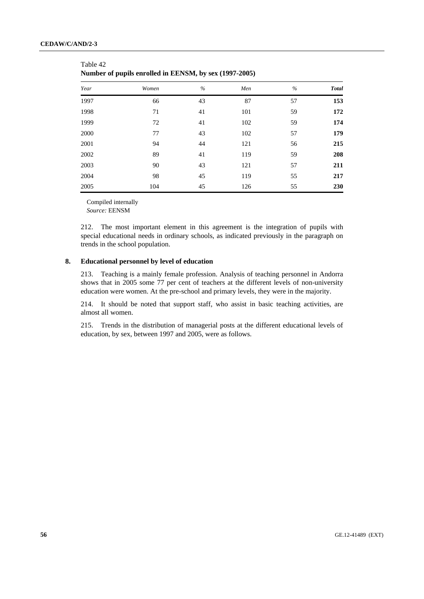Table 42

| Year | Women | $\%$ | Men | $\%$ | <b>Total</b> |
|------|-------|------|-----|------|--------------|
| 1997 | 66    | 43   | 87  | 57   | 153          |
| 1998 | 71    | 41   | 101 | 59   | 172          |
| 1999 | 72    | 41   | 102 | 59   | 174          |
| 2000 | 77    | 43   | 102 | 57   | 179          |
| 2001 | 94    | 44   | 121 | 56   | 215          |
| 2002 | 89    | 41   | 119 | 59   | 208          |
| 2003 | 90    | 43   | 121 | 57   | 211          |
| 2004 | 98    | 45   | 119 | 55   | 217          |
| 2005 | 104   | 45   | 126 | 55   | 230          |

| --------                                               |  |
|--------------------------------------------------------|--|
| Number of pupils enrolled in EENSM, by sex (1997-2005) |  |

Compiled internally *Source:* EENSM

212. The most important element in this agreement is the integration of pupils with special educational needs in ordinary schools, as indicated previously in the paragraph on trends in the school population.

#### **8. Educational personnel by level of education**

213. Teaching is a mainly female profession. Analysis of teaching personnel in Andorra shows that in 2005 some 77 per cent of teachers at the different levels of non-university education were women. At the pre-school and primary levels, they were in the majority.

214. It should be noted that support staff, who assist in basic teaching activities, are almost all women.

215. Trends in the distribution of managerial posts at the different educational levels of education, by sex, between 1997 and 2005, were as follows.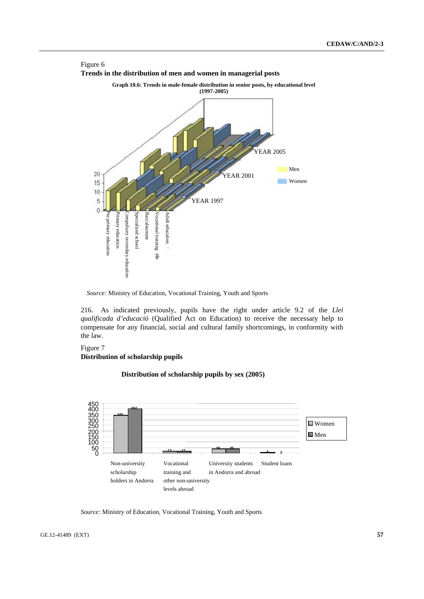

Figure 6

*Source:* Ministry of Education, Vocational Training, Youth and Sports

216. As indicated previously, pupils have the right under article 9.2 of the *Llei qualificada d'educació* (Qualified Act on Education) to receive the necessary help to compensate for any financial, social and cultural family shortcomings, in conformity with the law.

## Figure 7 **Distribution of scholarship pupils**

**Distribution of scholarship pupils by sex (2005)**



*Source:* Ministry of Education, Vocational Training, Youth and Sports

GE.12-41489 (EXT) **57**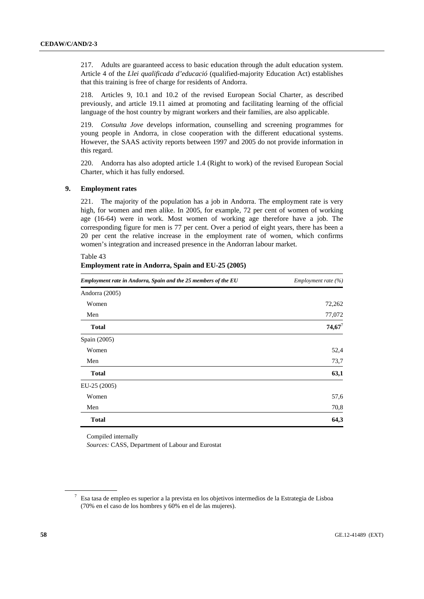217. Adults are guaranteed access to basic education through the adult education system. Article 4 of the *Llei qualificada d'educació* (qualified-majority Education Act) establishes that this training is free of charge for residents of Andorra.

218. Articles 9, 10.1 and 10.2 of the revised European Social Charter, as described previously, and article 19.11 aimed at promoting and facilitating learning of the official language of the host country by migrant workers and their families, are also applicable.

219. *Consulta Jove* develops information, counselling and screening programmes for young people in Andorra, in close cooperation with the different educational systems. However, the SAAS activity reports between 1997 and 2005 do not provide information in this regard.

220. Andorra has also adopted article 1.4 (Right to work) of the revised European Social Charter, which it has fully endorsed.

## **9. Employment rates**

221. The majority of the population has a job in Andorra. The employment rate is very high, for women and men alike. In 2005, for example, 72 per cent of women of working age (16-64) were in work. Most women of working age therefore have a job. The corresponding figure for men is 77 per cent. Over a period of eight years, there has been a 20 per cent the relative increase in the employment rate of women, which confirms women's integration and increased presence in the Andorran labour market.

| Employment rate in Andorra, Spain and the 25 members of the EU | Employment rate $(\% )$ |  |  |
|----------------------------------------------------------------|-------------------------|--|--|
| Andorra (2005)                                                 |                         |  |  |
| Women                                                          | 72,262                  |  |  |
| Men                                                            | 77,072                  |  |  |
| <b>Total</b>                                                   | $74,67^7$               |  |  |
| Spain (2005)                                                   |                         |  |  |
| Women                                                          | 52,4                    |  |  |
| Men                                                            | 73,7                    |  |  |
| <b>Total</b>                                                   | 63,1                    |  |  |
| EU-25 (2005)                                                   |                         |  |  |
| Women                                                          | 57,6                    |  |  |
| Men                                                            | 70,8                    |  |  |
| <b>Total</b>                                                   | 64,3                    |  |  |

## Table 43 **Employment rate in Andorra, Spain and EU-25 (2005)**

Compiled internally *Sources:* CASS, Department of Labour and Eurostat

<sup>7</sup> Esa tasa de empleo es superior a la prevista en los objetivos intermedios de la Estrategia de Lisboa (70% en el caso de los hombres y 60% en el de las mujeres).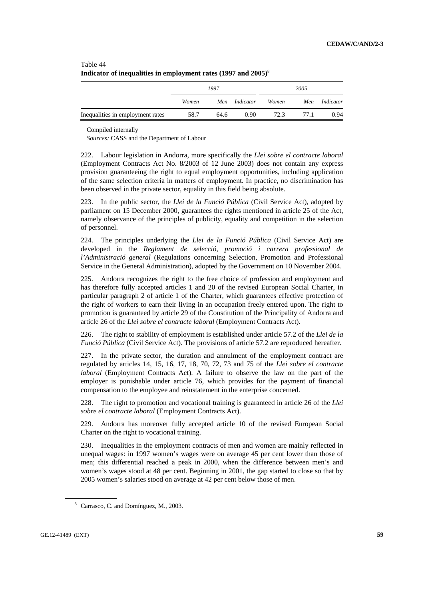| Table 44                                                                   |  |
|----------------------------------------------------------------------------|--|
| Indicator of inequalities in employment rates (1997 and 2005) <sup>8</sup> |  |

|                                  | 1997  |      |           | 2005  |      |           |
|----------------------------------|-------|------|-----------|-------|------|-----------|
|                                  | Women | Men  | Indicator | Women | Men  | Indicator |
| Inequalities in employment rates | 58.7  | 64.6 | 0.90      | 72.3  | 77.1 | 0.94      |

Compiled internally

*Sources:* CASS and the Department of Labour

222. Labour legislation in Andorra, more specifically the *Llei sobre el contracte laboral*  (Employment Contracts Act No. 8/2003 of 12 June 2003) does not contain any express provision guaranteeing the right to equal employment opportunities, including application of the same selection criteria in matters of employment. In practice, no discrimination has been observed in the private sector, equality in this field being absolute.

223. In the public sector, the *Llei de la Funció Pública* (Civil Service Act), adopted by parliament on 15 December 2000, guarantees the rights mentioned in article 25 of the Act, namely observance of the principles of publicity, equality and competition in the selection of personnel.

224. The principles underlying the *Llei de la Funció Pública* (Civil Service Act) are developed in the *Reglament de selecció, promoció i carrera professional de l'Administració general* (Regulations concerning Selection, Promotion and Professional Service in the General Administration), adopted by the Government on 10 November 2004.

225. Andorra recognizes the right to the free choice of profession and employment and has therefore fully accepted articles 1 and 20 of the revised European Social Charter, in particular paragraph 2 of article 1 of the Charter, which guarantees effective protection of the right of workers to earn their living in an occupation freely entered upon. The right to promotion is guaranteed by article 29 of the Constitution of the Principality of Andorra and article 26 of the *Llei sobre el contracte laboral* (Employment Contracts Act).

226. The right to stability of employment is established under article 57.2 of the *Llei de la Funció Pública* (Civil Service Act). The provisions of article 57.2 are reproduced hereafter.

227. In the private sector, the duration and annulment of the employment contract are regulated by articles 14, 15, 16, 17, 18, 70, 72, 73 and 75 of the *Llei sobre el contracte laboral* (Employment Contracts Act). A failure to observe the law on the part of the employer is punishable under article 76, which provides for the payment of financial compensation to the employee and reinstatement in the enterprise concerned.

228. The right to promotion and vocational training is guaranteed in article 26 of the *Llei sobre el contracte laboral* (Employment Contracts Act).

229. Andorra has moreover fully accepted article 10 of the revised European Social Charter on the right to vocational training.

230. Inequalities in the employment contracts of men and women are mainly reflected in unequal wages: in 1997 women's wages were on average 45 per cent lower than those of men; this differential reached a peak in 2000, when the difference between men's and women's wages stood at 48 per cent. Beginning in 2001, the gap started to close so that by 2005 women's salaries stood on average at 42 per cent below those of men.

<sup>&</sup>lt;sup>8</sup> Carrasco, C. and Domínguez, M., 2003.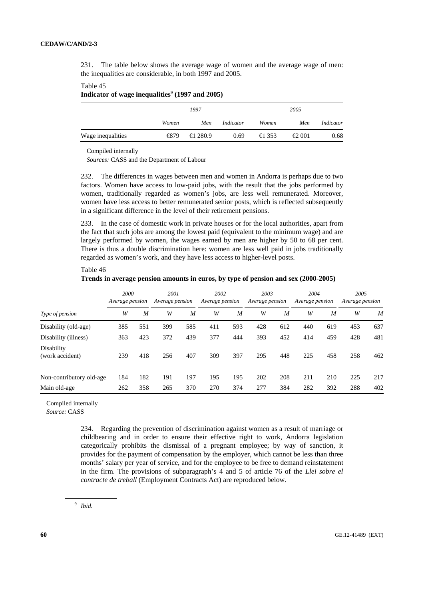231. The table below shows the average wage of women and the average wage of men: the inequalities are considerable, in both 1997 and 2005.

#### Table 45

Indicator of wage inequalities<sup>9</sup> (1997 and 2005)

|                   |       | 1997             |           | 2005           |                 |           |
|-------------------|-------|------------------|-----------|----------------|-----------------|-----------|
|                   | Women | Men              | Indicator | Women          | Men             | Indicator |
| Wage inequalities | €879  | $\epsilon$ 280.9 | 0.69      | $\epsilon$ 353 | $\epsilon$ 2001 | 0.68      |

Compiled internally

*Sources:* CASS and the Department of Labour

232. The differences in wages between men and women in Andorra is perhaps due to two factors. Women have access to low-paid jobs, with the result that the jobs performed by women, traditionally regarded as women's jobs, are less well remunerated. Moreover, women have less access to better remunerated senior posts, which is reflected subsequently in a significant difference in the level of their retirement pensions.

233. In the case of domestic work in private houses or for the local authorities, apart from the fact that such jobs are among the lowest paid (equivalent to the minimum wage) and are largely performed by women, the wages earned by men are higher by 50 to 68 per cent. There is thus a double discrimination here: women are less well paid in jobs traditionally regarded as women's work, and they have less access to higher-level posts.

|                               | 2000<br>Average pension |     | 2001<br>Average pension |     | 2002<br>Average pension |     | 2003<br>Average pension |                  | 2004<br>Average pension |                  | 2005<br>Average pension |     |
|-------------------------------|-------------------------|-----|-------------------------|-----|-------------------------|-----|-------------------------|------------------|-------------------------|------------------|-------------------------|-----|
| Type of pension               | W                       | M   | W                       | M   | W                       | M   | W                       | $\boldsymbol{M}$ | W                       | $\boldsymbol{M}$ | W                       | M   |
| Disability (old-age)          | 385                     | 551 | 399                     | 585 | 411                     | 593 | 428                     | 612              | 440                     | 619              | 453                     | 637 |
| Disability (illness)          | 363                     | 423 | 372                     | 439 | 377                     | 444 | 393                     | 452              | 414                     | 459              | 428                     | 481 |
| Disability<br>(work accident) | 239                     | 418 | 256                     | 407 | 309                     | 397 | 295                     | 448              | 225                     | 458              | 258                     | 462 |
| Non-contributory old-age      | 184                     | 182 | 191                     | 197 | 195                     | 195 | 202                     | 208              | 211                     | 210              | 225                     | 217 |
| Main old-age                  | 262                     | 358 | 265                     | 370 | 270                     | 374 | 277                     | 384              | 282                     | 392              | 288                     | 402 |

Table 46 **Trends in average pension amounts in euros, by type of pension and sex (2000-2005)** 

Compiled internally

*Source:* CASS

234. Regarding the prevention of discrimination against women as a result of marriage or childbearing and in order to ensure their effective right to work, Andorra legislation categorically prohibits the dismissal of a pregnant employee; by way of sanction, it provides for the payment of compensation by the employer, which cannot be less than three months' salary per year of service, and for the employee to be free to demand reinstatement in the firm. The provisions of subparagraph's 4 and 5 of article 76 of the *Llei sobre el contracte de treball* (Employment Contracts Act) are reproduced below.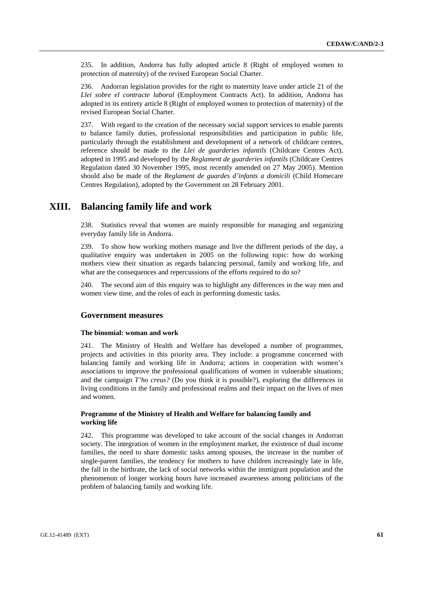235. In addition, Andorra has fully adopted article 8 (Right of employed women to protection of maternity) of the revised European Social Charter.

236. Andorran legislation provides for the right to maternity leave under article 21 of the *Llei sobre el contracte laboral* (Employment Contracts Act). In addition, Andorra has adopted in its entirety article 8 (Right of employed women to protection of maternity) of the revised European Social Charter.

237. With regard to the creation of the necessary social support services to enable parents to balance family duties, professional responsibilities and participation in public life, particularly through the establishment and development of a network of childcare centres, reference should be made to the *Llei de guarderies infantils* (Childcare Centres Act), adopted in 1995 and developed by the *Reglament de guarderies infantils* (Childcare Centres Regulation dated 30 November 1995, most recently amended on 27 May 2005). Mention should also be made of the *Reglament de guardes d'infants a domicili* (Child Homecare Centres Regulation), adopted by the Government on 28 February 2001.

# **XIII. Balancing family life and work**

238. Statistics reveal that women are mainly responsible for managing and organizing everyday family life in Andorra.

239. To show how working mothers manage and live the different periods of the day, a qualitative enquiry was undertaken in 2005 on the following topic: how do working mothers view their situation as regards balancing personal, family and working life, and what are the consequences and repercussions of the efforts required to do so?

240. The second aim of this enquiry was to highlight any differences in the way men and women view time, and the roles of each in performing domestic tasks.

#### **Government measures**

#### **The binomial: woman and work**

241. The Ministry of Health and Welfare has developed a number of programmes, projects and activities in this priority area. They include: a programme concerned with balancing family and working life in Andorra; actions in cooperation with women's associations to improve the professional qualifications of women in vulnerable situations; and the campaign *T'ho creus?* (Do you think it is possible?), exploring the differences in living conditions in the family and professional realms and their impact on the lives of men and women.

#### **Programme of the Ministry of Health and Welfare for balancing family and working life**

242. This programme was developed to take account of the social changes in Andorran society. The integration of women in the employment market, the existence of dual income families, the need to share domestic tasks among spouses, the increase in the number of single-parent families, the tendency for mothers to have children increasingly late in life, the fall in the birthrate, the lack of social networks within the immigrant population and the phenomenon of longer working hours have increased awareness among politicians of the problem of balancing family and working life.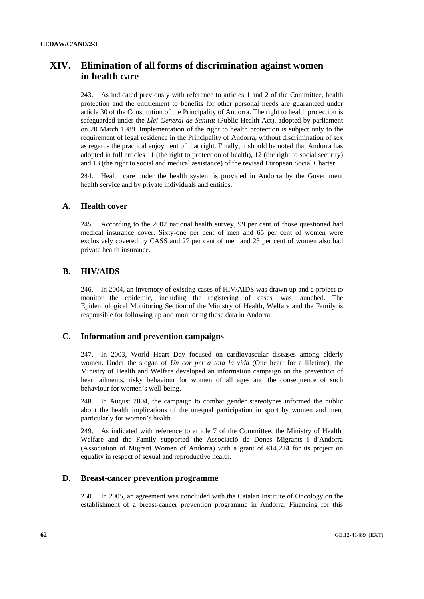# **XIV. Elimination of all forms of discrimination against women in health care**

243. As indicated previously with reference to articles 1 and 2 of the Committee, health protection and the entitlement to benefits for other personal needs are guaranteed under article 30 of the Constitution of the Principality of Andorra. The right to health protection is safeguarded under the *Llei General de Sanitat* (Public Health Act), adopted by parliament on 20 March 1989. Implementation of the right to health protection is subject only to the requirement of legal residence in the Principality of Andorra, without discrimination of sex as regards the practical enjoyment of that right. Finally, it should be noted that Andorra has adopted in full articles 11 (the right to protection of health), 12 (the right to social security) and 13 (the right to social and medical assistance) of the revised European Social Charter.

244. Health care under the health system is provided in Andorra by the Government health service and by private individuals and entities.

## **A. Health cover**

245. According to the 2002 national health survey, 99 per cent of those questioned had medical insurance cover. Sixty-one per cent of men and 65 per cent of women were exclusively covered by CASS and 27 per cent of men and 23 per cent of women also had private health insurance.

## **B. HIV/AIDS**

246. In 2004, an inventory of existing cases of HIV/AIDS was drawn up and a project to monitor the epidemic, including the registering of cases, was launched. The Epidemiological Monitoring Section of the Ministry of Health, Welfare and the Family is responsible for following up and monitoring these data in Andorra.

#### **C. Information and prevention campaigns**

247. In 2003, World Heart Day focused on cardiovascular diseases among elderly women. Under the slogan of *Un cor per a tota la vida* (One heart for a lifetime), the Ministry of Health and Welfare developed an information campaign on the prevention of heart ailments, risky behaviour for women of all ages and the consequence of such behaviour for women's well-being.

248. In August 2004, the campaign to combat gender stereotypes informed the public about the health implications of the unequal participation in sport by women and men, particularly for women's health.

249. As indicated with reference to article 7 of the Committee, the Ministry of Health, Welfare and the Family supported the Associació de Dones Migrants i d'Andorra (Association of Migrant Women of Andorra) with a grant of €14,214 for its project on equality in respect of sexual and reproductive health.

## **D. Breast-cancer prevention programme**

250. In 2005, an agreement was concluded with the Catalan Institute of Oncology on the establishment of a breast-cancer prevention programme in Andorra. Financing for this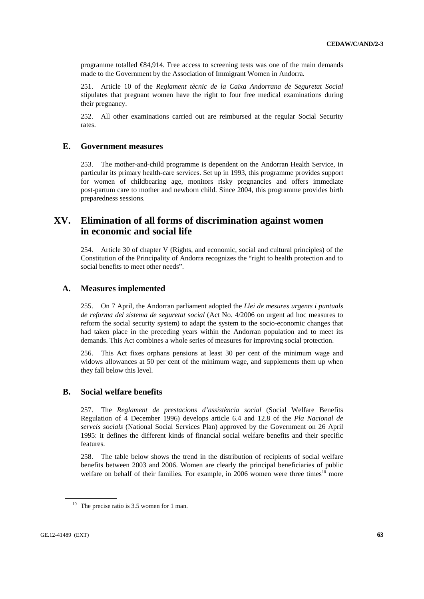programme totalled €84,914. Free access to screening tests was one of the main demands made to the Government by the Association of Immigrant Women in Andorra.

251. Article 10 of the *Reglament tècnic de la Caixa Andorrana de Seguretat Social* stipulates that pregnant women have the right to four free medical examinations during their pregnancy.

252. All other examinations carried out are reimbursed at the regular Social Security rates.

## **E. Government measures**

253. The mother-and-child programme is dependent on the Andorran Health Service, in particular its primary health-care services. Set up in 1993, this programme provides support for women of childbearing age, monitors risky pregnancies and offers immediate post-partum care to mother and newborn child. Since 2004, this programme provides birth preparedness sessions.

# **XV. Elimination of all forms of discrimination against women in economic and social life**

254. Article 30 of chapter V (Rights, and economic, social and cultural principles) of the Constitution of the Principality of Andorra recognizes the "right to health protection and to social benefits to meet other needs".

## **A. Measures implemented**

255. On 7 April, the Andorran parliament adopted the *Llei de mesures urgents i puntuals de reforma del sistema de seguretat social* (Act No. 4/2006 on urgent ad hoc measures to reform the social security system) to adapt the system to the socio-economic changes that had taken place in the preceding years within the Andorran population and to meet its demands. This Act combines a whole series of measures for improving social protection.

256. This Act fixes orphans pensions at least 30 per cent of the minimum wage and widows allowances at 50 per cent of the minimum wage, and supplements them up when they fall below this level.

## **B. Social welfare benefits**

257. The *Reglament de prestacions d'assistència social* (Social Welfare Benefits Regulation of 4 December 1996) develops article 6.4 and 12.8 of the *Pla Nacional de serveis socials* (National Social Services Plan) approved by the Government on 26 April 1995: it defines the different kinds of financial social welfare benefits and their specific features.

258. The table below shows the trend in the distribution of recipients of social welfare benefits between 2003 and 2006. Women are clearly the principal beneficiaries of public welfare on behalf of their families. For example, in 2006 women were three times<sup>10</sup> more

<sup>&</sup>lt;sup>10</sup> The precise ratio is 3.5 women for 1 man.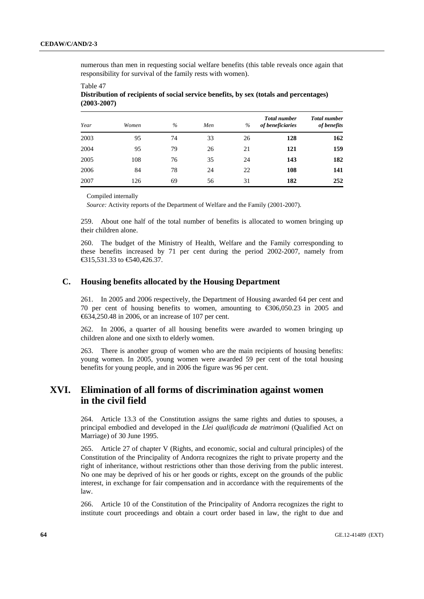Table 47

numerous than men in requesting social welfare benefits (this table reveals once again that responsibility for survival of the family rests with women).

| Year | Women | $\%$ | Men | $\frac{0}{0}$ | <b>Total number</b><br>of beneficiaries | <b>Total number</b><br>of benefits |
|------|-------|------|-----|---------------|-----------------------------------------|------------------------------------|
| 2003 | 95    | 74   | 33  | 26            | 128                                     | 162                                |
| 2004 | 95    | 79   | 26  | 21            | 121                                     | 159                                |
| 2005 | 108   | 76   | 35  | 24            | 143                                     | 182                                |
| 2006 | 84    | 78   | 24  | 22            | 108                                     | 141                                |
| 2007 | 126   | 69   | 56  | 31            | 182                                     | 252                                |

**Distribution of recipients of social service benefits, by sex (totals and percentages) (2003-2007)** 

Compiled internally

*Source:* Activity reports of the Department of Welfare and the Family (2001-2007).

259. About one half of the total number of benefits is allocated to women bringing up their children alone.

260. The budget of the Ministry of Health, Welfare and the Family corresponding to these benefits increased by 71 per cent during the period 2002-2007, namely from €315,531.33 to €540,426.37.

## **C. Housing benefits allocated by the Housing Department**

261. In 2005 and 2006 respectively, the Department of Housing awarded 64 per cent and 70 per cent of housing benefits to women, amounting to €306,050.23 in 2005 and €634,250.48 in 2006, or an increase of 107 per cent.

262. In 2006, a quarter of all housing benefits were awarded to women bringing up children alone and one sixth to elderly women.

263. There is another group of women who are the main recipients of housing benefits: young women. In 2005, young women were awarded 59 per cent of the total housing benefits for young people, and in 2006 the figure was 96 per cent.

# **XVI. Elimination of all forms of discrimination against women in the civil field**

264. Article 13.3 of the Constitution assigns the same rights and duties to spouses, a principal embodied and developed in the *Llei qualificada de matrimoni* (Qualified Act on Marriage) of 30 June 1995.

265. Article 27 of chapter V (Rights, and economic, social and cultural principles) of the Constitution of the Principality of Andorra recognizes the right to private property and the right of inheritance, without restrictions other than those deriving from the public interest. No one may be deprived of his or her goods or rights, except on the grounds of the public interest, in exchange for fair compensation and in accordance with the requirements of the law.

266. Article 10 of the Constitution of the Principality of Andorra recognizes the right to institute court proceedings and obtain a court order based in law, the right to due and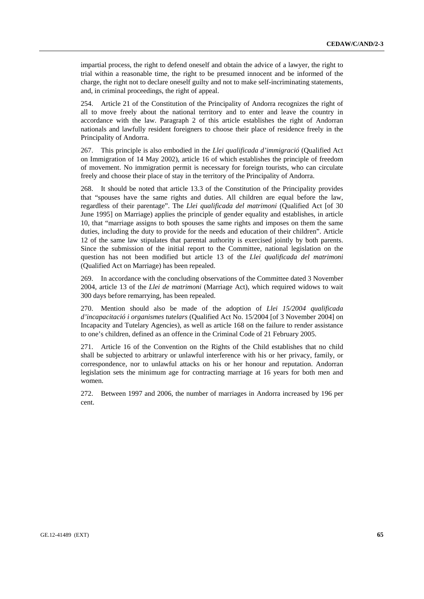impartial process, the right to defend oneself and obtain the advice of a lawyer, the right to trial within a reasonable time, the right to be presumed innocent and be informed of the charge, the right not to declare oneself guilty and not to make self-incriminating statements, and, in criminal proceedings, the right of appeal.

254. Article 21 of the Constitution of the Principality of Andorra recognizes the right of all to move freely about the national territory and to enter and leave the country in accordance with the law. Paragraph 2 of this article establishes the right of Andorran nationals and lawfully resident foreigners to choose their place of residence freely in the Principality of Andorra.

267. This principle is also embodied in the *Llei qualificada d'immigració* (Qualified Act on Immigration of 14 May 2002), article 16 of which establishes the principle of freedom of movement. No immigration permit is necessary for foreign tourists, who can circulate freely and choose their place of stay in the territory of the Principality of Andorra.

268. It should be noted that article 13.3 of the Constitution of the Principality provides that "spouses have the same rights and duties. All children are equal before the law, regardless of their parentage". The *Llei qualificada del matrimoni* (Qualified Act [of 30 June 1995] on Marriage) applies the principle of gender equality and establishes, in article 10, that "marriage assigns to both spouses the same rights and imposes on them the same duties, including the duty to provide for the needs and education of their children". Article 12 of the same law stipulates that parental authority is exercised jointly by both parents. Since the submission of the initial report to the Committee, national legislation on the question has not been modified but article 13 of the *Llei qualificada del matrimoni* (Qualified Act on Marriage) has been repealed.

269. In accordance with the concluding observations of the Committee dated 3 November 2004, article 13 of the *Llei de matrimoni* (Marriage Act), which required widows to wait 300 days before remarrying, has been repealed.

270. Mention should also be made of the adoption of *Llei 15/2004 qualificada d'incapacitació i organismes tutelars* (Qualified Act No. 15/2004 [of 3 November 2004] on Incapacity and Tutelary Agencies), as well as article 168 on the failure to render assistance to one's children, defined as an offence in the Criminal Code of 21 February 2005.

271. Article 16 of the Convention on the Rights of the Child establishes that no child shall be subjected to arbitrary or unlawful interference with his or her privacy, family, or correspondence, nor to unlawful attacks on his or her honour and reputation. Andorran legislation sets the minimum age for contracting marriage at 16 years for both men and women.

272. Between 1997 and 2006, the number of marriages in Andorra increased by 196 per cent.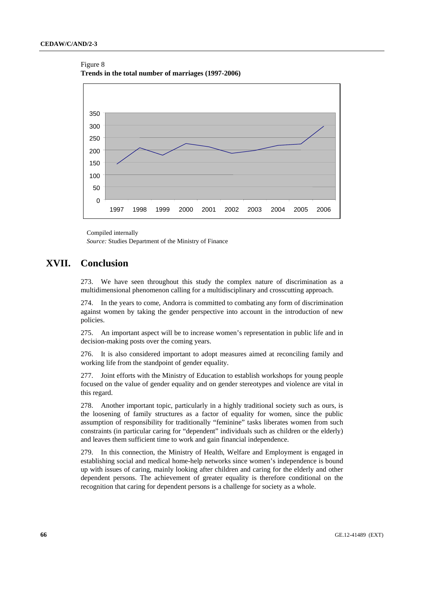#### Figure 8

**Trends in the total number of marriages (1997-2006)** 



Compiled internally

*Source:* Studies Department of the Ministry of Finance

# **XVII. Conclusion**

273. We have seen throughout this study the complex nature of discrimination as a multidimensional phenomenon calling for a multidisciplinary and crosscutting approach.

274. In the years to come, Andorra is committed to combating any form of discrimination against women by taking the gender perspective into account in the introduction of new policies.

275. An important aspect will be to increase women's representation in public life and in decision-making posts over the coming years.

276. It is also considered important to adopt measures aimed at reconciling family and working life from the standpoint of gender equality.

277. Joint efforts with the Ministry of Education to establish workshops for young people focused on the value of gender equality and on gender stereotypes and violence are vital in this regard.

278. Another important topic, particularly in a highly traditional society such as ours, is the loosening of family structures as a factor of equality for women, since the public assumption of responsibility for traditionally "feminine" tasks liberates women from such constraints (in particular caring for "dependent" individuals such as children or the elderly) and leaves them sufficient time to work and gain financial independence.

279. In this connection, the Ministry of Health, Welfare and Employment is engaged in establishing social and medical home-help networks since women's independence is bound up with issues of caring, mainly looking after children and caring for the elderly and other dependent persons. The achievement of greater equality is therefore conditional on the recognition that caring for dependent persons is a challenge for society as a whole.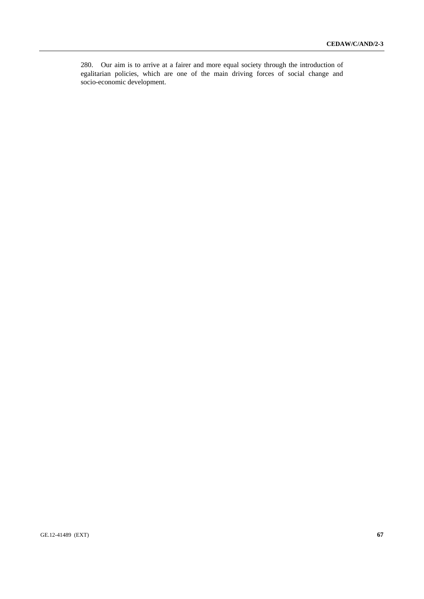280. Our aim is to arrive at a fairer and more equal society through the introduction of egalitarian policies, which are one of the main driving forces of social change and socio-economic development.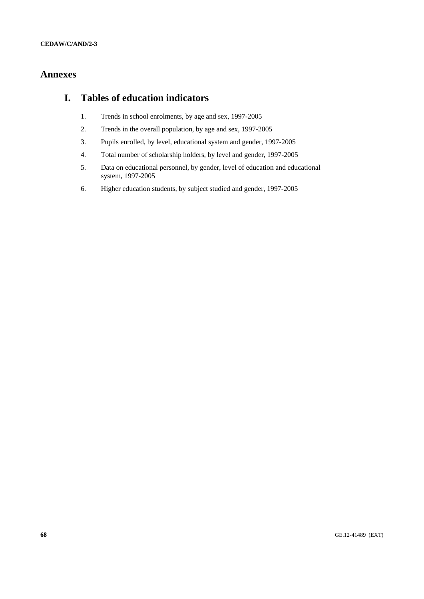# **Annexes**

# **I. Tables of education indicators**

- 1. Trends in school enrolments, by age and sex, 1997-2005
- 2. Trends in the overall population, by age and sex, 1997-2005
- 3. Pupils enrolled, by level, educational system and gender, 1997-2005
- 4. Total number of scholarship holders, by level and gender, 1997-2005
- 5. Data on educational personnel, by gender, level of education and educational system, 1997-2005
- 6. Higher education students, by subject studied and gender, 1997-2005